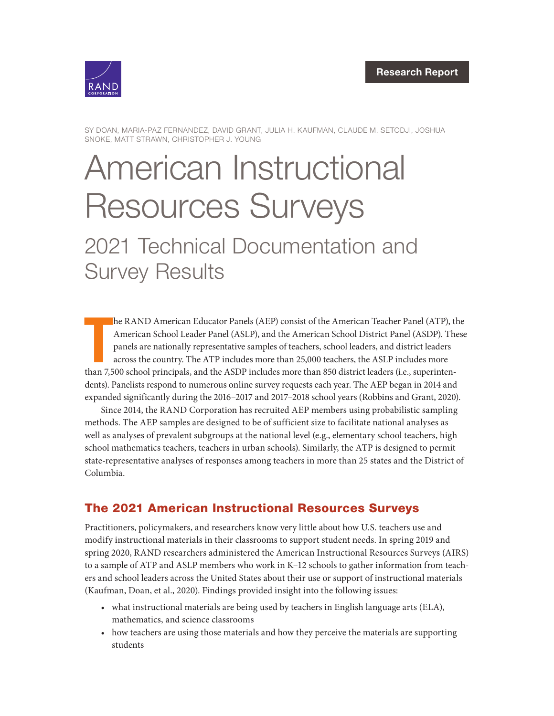

SY DOAN, MARIA-PAZ FERNANDEZ, DAVID GRANT, JULIA H. KAUFMAN, CLAUDE M. SETODJI, JOSHUA SNOKE, MATT STRAWN, CHRISTOPHER J. YOUNG

# [American Instructional](https://www.rand.org/pubs/research_reports/RRA134-10.html)  Resources Surveys 2021 Technical Documentation and Survey Results

T he RAND American Educator Panels (AEP) consist of the American Teacher Panel (ATP), the American School Leader Panel (ASLP), and the American School District Panel (ASDP). These panels are nationally representative samples of teachers, school leaders, and district leaders across the country. The ATP includes more than 25,000 teachers, the ASLP includes more than 7,500 school principals, and the ASDP includes more than 850 district leaders (i.e., superintendents). Panelists respond to numerous online survey requests each year. The AEP began in 2014 and expanded significantly during the 2016–2017 and 2017–2018 school years (Robbins and Grant, 2020).

Since 2014, the RAND Corporation has recruited AEP members using probabilistic sampling methods. The AEP samples are designed to be of sufficient size to facilitate national analyses as well as analyses of prevalent subgroups at the national level (e.g., elementary school teachers, high school mathematics teachers, teachers in urban schools). Similarly, the ATP is designed to permit state-representative analyses of responses among teachers in more than 25 states and the District of Columbia.

## The 2021 American Instructional Resources Surveys

Practitioners, policymakers, and researchers know very little about how U.S. teachers use and modify instructional materials in their classrooms to support student needs. In spring 2019 and spring 2020, RAND researchers administered the American Instructional Resources Surveys (AIRS) to a sample of ATP and ASLP members who work in K–12 schools to gather information from teachers and school leaders across the United States about their use or support of instructional materials (Kaufman, Doan, et al., 2020). Findings provided insight into the following issues:

- what instructional materials are being used by teachers in English language arts (ELA), mathematics, and science classrooms
- how teachers are using those materials and how they perceive the materials are supporting students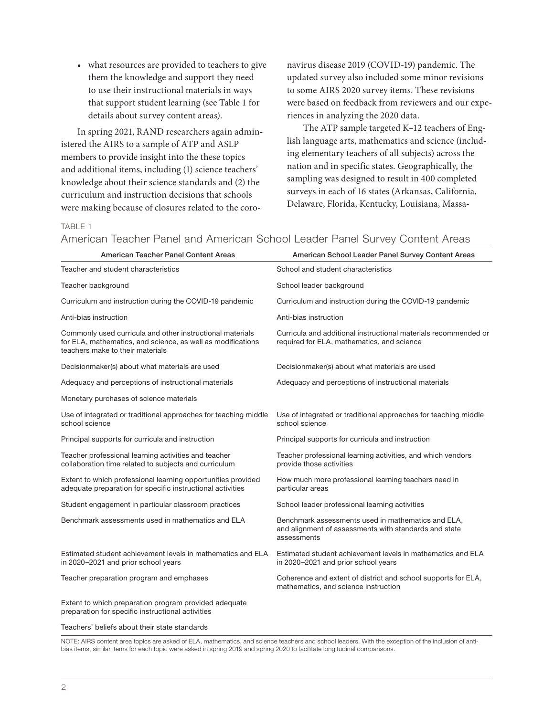• what resources are provided to teachers to give them the knowledge and support they need to use their instructional materials in ways that support student learning (see Table 1 for details about survey content areas).

In spring 2021, RAND researchers again administered the AIRS to a sample of ATP and ASLP members to provide insight into the these topics and additional items, including (1) science teachers' knowledge about their science standards and (2) the curriculum and instruction decisions that schools were making because of closures related to the coronavirus disease 2019 (COVID-19) pandemic. The updated survey also included some minor revisions to some AIRS 2020 survey items. These revisions were based on feedback from reviewers and our experiences in analyzing the 2020 data.

The ATP sample targeted K–12 teachers of English language arts, mathematics and science (including elementary teachers of all subjects) across the nation and in specific states. Geographically, the sampling was designed to result in 400 completed surveys in each of 16 states (Arkansas, California, Delaware, Florida, Kentucky, Louisiana, Massa-

### TABLE 1

American Teacher Panel and American School Leader Panel Survey Content Areas

| American Teacher Panel Content Areas                                                                                                                         | American School Leader Panel Survey Content Areas                                                                          |
|--------------------------------------------------------------------------------------------------------------------------------------------------------------|----------------------------------------------------------------------------------------------------------------------------|
| Teacher and student characteristics                                                                                                                          | School and student characteristics                                                                                         |
| Teacher background                                                                                                                                           | School leader background                                                                                                   |
| Curriculum and instruction during the COVID-19 pandemic                                                                                                      | Curriculum and instruction during the COVID-19 pandemic                                                                    |
| Anti-bias instruction                                                                                                                                        | Anti-bias instruction                                                                                                      |
| Commonly used curricula and other instructional materials<br>for ELA, mathematics, and science, as well as modifications<br>teachers make to their materials | Curricula and additional instructional materials recommended or<br>required for ELA, mathematics, and science              |
| Decisionmaker(s) about what materials are used                                                                                                               | Decisionmaker(s) about what materials are used                                                                             |
| Adequacy and perceptions of instructional materials                                                                                                          | Adequacy and perceptions of instructional materials                                                                        |
| Monetary purchases of science materials                                                                                                                      |                                                                                                                            |
| Use of integrated or traditional approaches for teaching middle<br>school science                                                                            | Use of integrated or traditional approaches for teaching middle<br>school science                                          |
| Principal supports for curricula and instruction                                                                                                             | Principal supports for curricula and instruction                                                                           |
| Teacher professional learning activities and teacher<br>collaboration time related to subjects and curriculum                                                | Teacher professional learning activities, and which vendors<br>provide those activities                                    |
| Extent to which professional learning opportunities provided<br>adequate preparation for specific instructional activities                                   | How much more professional learning teachers need in<br>particular areas                                                   |
| Student engagement in particular classroom practices                                                                                                         | School leader professional learning activities                                                                             |
| Benchmark assessments used in mathematics and ELA                                                                                                            | Benchmark assessments used in mathematics and ELA,<br>and alignment of assessments with standards and state<br>assessments |
| Estimated student achievement levels in mathematics and ELA<br>in 2020-2021 and prior school years                                                           | Estimated student achievement levels in mathematics and ELA<br>in 2020-2021 and prior school years                         |
| Teacher preparation program and emphases                                                                                                                     | Coherence and extent of district and school supports for ELA,<br>mathematics, and science instruction                      |
| Extent to which preparation program provided adequate<br>preparation for specific instructional activities                                                   |                                                                                                                            |

Teachers' beliefs about their state standards

NOTE: AIRS content area topics are asked of ELA, mathematics, and science teachers and school leaders. With the exception of the inclusion of antibias items, similar items for each topic were asked in spring 2019 and spring 2020 to facilitate longitudinal comparisons.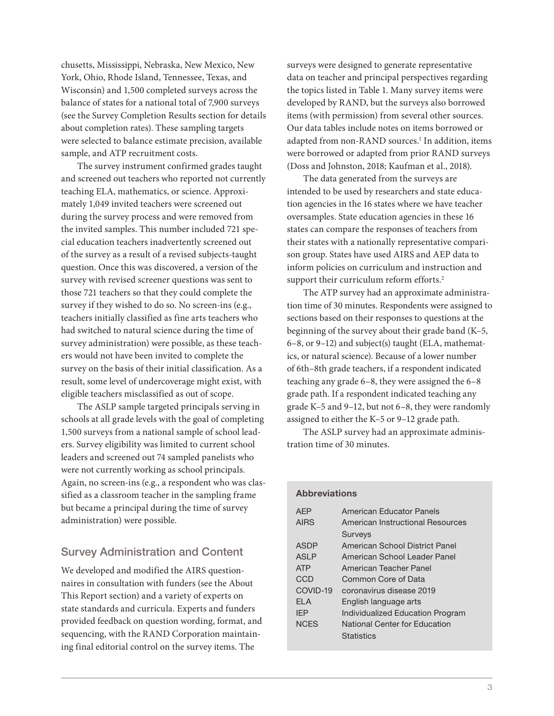chusetts, Mississippi, Nebraska, New Mexico, New York, Ohio, Rhode Island, Tennessee, Texas, and Wisconsin) and 1,500 completed surveys across the balance of states for a national total of 7,900 surveys (see the Survey Completion Results section for details about completion rates). These sampling targets were selected to balance estimate precision, available sample, and ATP recruitment costs.

The survey instrument confirmed grades taught and screened out teachers who reported not currently teaching ELA, mathematics, or science. Approximately 1,049 invited teachers were screened out during the survey process and were removed from the invited samples. This number included 721 special education teachers inadvertently screened out of the survey as a result of a revised subjects-taught question. Once this was discovered, a version of the survey with revised screener questions was sent to those 721 teachers so that they could complete the survey if they wished to do so. No screen-ins (e.g., teachers initially classified as fine arts teachers who had switched to natural science during the time of survey administration) were possible, as these teachers would not have been invited to complete the survey on the basis of their initial classification. As a result, some level of undercoverage might exist, with eligible teachers misclassified as out of scope.

The ASLP sample targeted principals serving in schools at all grade levels with the goal of completing 1,500 surveys from a national sample of school leaders. Survey eligibility was limited to current school leaders and screened out 74 sampled panelists who were not currently working as school principals. Again, no screen-ins (e.g., a respondent who was classified as a classroom teacher in the sampling frame but became a principal during the time of survey administration) were possible.

### Survey Administration and Content

We developed and modified the AIRS questionnaires in consultation with funders (see the About This Report section) and a variety of experts on state standards and curricula. Experts and funders provided feedback on question wording, format, and sequencing, with the RAND Corporation maintaining final editorial control on the survey items. The

surveys were designed to generate representative data on teacher and principal perspectives regarding the topics listed in Table 1. Many survey items were developed by RAND, but the surveys also borrowed items (with permission) from several other sources. Our data tables include notes on items borrowed or adapted from non-RAND sources.<sup>1</sup> In addition, items were borrowed or adapted from prior RAND surveys (Doss and Johnston, 2018; Kaufman et al., 2018).

The data generated from the surveys are intended to be used by researchers and state education agencies in the 16 states where we have teacher oversamples. State education agencies in these 16 states can compare the responses of teachers from their states with a nationally representative comparison group. States have used AIRS and AEP data to inform policies on curriculum and instruction and support their curriculum reform efforts.<sup>2</sup>

The ATP survey had an approximate administration time of 30 minutes. Respondents were assigned to sections based on their responses to questions at the beginning of the survey about their grade band (K–5, 6–8, or 9–12) and subject(s) taught (ELA, mathematics, or natural science). Because of a lower number of 6th–8th grade teachers, if a respondent indicated teaching any grade 6–8, they were assigned the 6–8 grade path. If a respondent indicated teaching any grade K–5 and 9–12, but not 6–8, they were randomly assigned to either the K–5 or 9–12 grade path.

The ASLP survey had an approximate administration time of 30 minutes.

| <b>Abbreviations</b> |                                  |
|----------------------|----------------------------------|
| AFP                  | American Educator Panels         |
| <b>AIRS</b>          | American Instructional Resources |
|                      | <b>Surveys</b>                   |
| ASDP                 | American School District Panel   |
| ASI P                | American School Leader Panel     |
| <b>ATP</b>           | American Teacher Panel           |
| CCD                  | Common Core of Data              |
| COVID-19             | coronavirus disease 2019         |
| FI A                 | English language arts            |
| <b>IFP</b>           | Individualized Education Program |
| <b>NCFS</b>          | National Center for Education    |
|                      | <b>Statistics</b>                |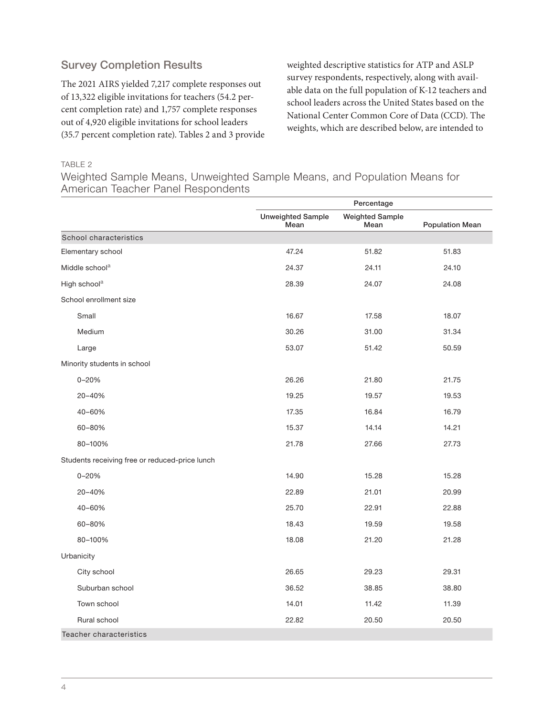## Survey Completion Results

The 2021 AIRS yielded 7,217 complete responses out of 13,322 eligible invitations for teachers (54.2 percent completion rate) and 1,757 complete responses out of 4,920 eligible invitations for school leaders (35.7 percent completion rate). Tables 2 and 3 provide

weighted descriptive statistics for ATP and ASLP survey respondents, respectively, along with available data on the full population of K-12 teachers and school leaders across the United States based on the National Center Common Core of Data (CCD). The weights, which are described below, are intended to

### TABLE 2

Weighted Sample Means, Unweighted Sample Means, and Population Means for American Teacher Panel Respondents

|                                                | Percentage                       |                                |                        |
|------------------------------------------------|----------------------------------|--------------------------------|------------------------|
|                                                | <b>Unweighted Sample</b><br>Mean | <b>Weighted Sample</b><br>Mean | <b>Population Mean</b> |
| School characteristics                         |                                  |                                |                        |
| Elementary school                              | 47.24                            | 51.82                          | 51.83                  |
| Middle school <sup>a</sup>                     | 24.37                            | 24.11                          | 24.10                  |
| High school <sup>a</sup>                       | 28.39                            | 24.07                          | 24.08                  |
| School enrollment size                         |                                  |                                |                        |
| Small                                          | 16.67                            | 17.58                          | 18.07                  |
| Medium                                         | 30.26                            | 31.00                          | 31.34                  |
| Large                                          | 53.07                            | 51.42                          | 50.59                  |
| Minority students in school                    |                                  |                                |                        |
| $0 - 20%$                                      | 26.26                            | 21.80                          | 21.75                  |
| 20-40%                                         | 19.25                            | 19.57                          | 19.53                  |
| 40-60%                                         | 17.35                            | 16.84                          | 16.79                  |
| 60-80%                                         | 15.37                            | 14.14                          | 14.21                  |
| 80-100%                                        | 21.78                            | 27.66                          | 27.73                  |
| Students receiving free or reduced-price lunch |                                  |                                |                        |
| $0 - 20%$                                      | 14.90                            | 15.28                          | 15.28                  |
| 20-40%                                         | 22.89                            | 21.01                          | 20.99                  |
| 40-60%                                         | 25.70                            | 22.91                          | 22.88                  |
| 60-80%                                         | 18.43                            | 19.59                          | 19.58                  |
| 80-100%                                        | 18.08                            | 21.20                          | 21.28                  |
| Urbanicity                                     |                                  |                                |                        |
| City school                                    | 26.65                            | 29.23                          | 29.31                  |
| Suburban school                                | 36.52                            | 38.85                          | 38.80                  |
| Town school                                    | 14.01                            | 11.42                          | 11.39                  |
| Rural school                                   | 22.82                            | 20.50                          | 20.50                  |
| Teacher characteristics                        |                                  |                                |                        |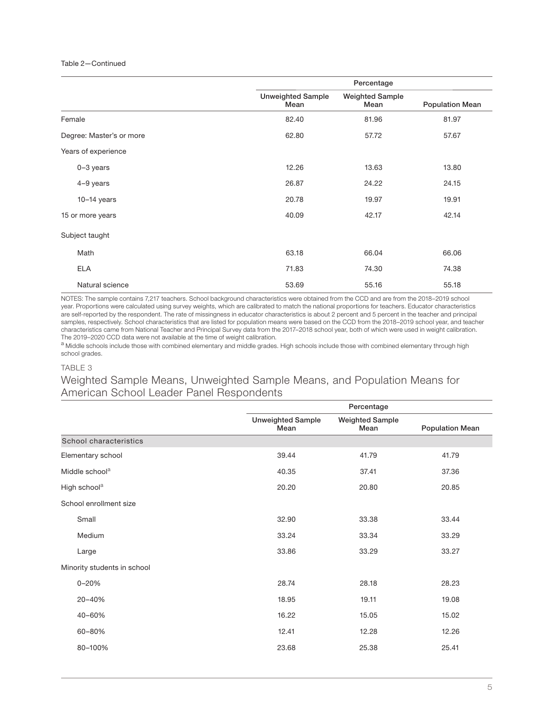### Table 2—Continued

|                          |                                  | Percentage                     |                        |
|--------------------------|----------------------------------|--------------------------------|------------------------|
|                          | <b>Unweighted Sample</b><br>Mean | <b>Weighted Sample</b><br>Mean | <b>Population Mean</b> |
| Female                   | 82.40                            | 81.96                          | 81.97                  |
| Degree: Master's or more | 62.80                            | 57.72                          | 57.67                  |
| Years of experience      |                                  |                                |                        |
| $0-3$ years              | 12.26                            | 13.63                          | 13.80                  |
| 4-9 years                | 26.87                            | 24.22                          | 24.15                  |
| $10-14$ years            | 20.78                            | 19.97                          | 19.91                  |
| 15 or more years         | 40.09                            | 42.17                          | 42.14                  |
| Subject taught           |                                  |                                |                        |
| Math                     | 63.18                            | 66.04                          | 66.06                  |
| <b>ELA</b>               | 71.83                            | 74.30                          | 74.38                  |
| Natural science          | 53.69                            | 55.16                          | 55.18                  |

NOTES: The sample contains 7,217 teachers. School background characteristics were obtained from the CCD and are from the 2018–2019 school year. Proportions were calculated using survey weights, which are calibrated to match the national proportions for teachers. Educator characteristics are self-reported by the respondent. The rate of missingness in educator characteristics is about 2 percent and 5 percent in the teacher and principal samples, respectively. School characteristics that are listed for population means were based on the CCD from the 2018–2019 school year, and teacher characteristics came from National Teacher and Principal Survey data from the 2017–2018 school year, both of which were used in weight calibration. The 2019–2020 CCD data were not available at the time of weight calibration.

a Middle schools include those with combined elementary and middle grades. High schools include those with combined elementary through high school grades.

### TABLE 3

Weighted Sample Means, Unweighted Sample Means, and Population Means for American School Leader Panel Respondents

|                             |                                  | Percentage                     |                        |
|-----------------------------|----------------------------------|--------------------------------|------------------------|
|                             | <b>Unweighted Sample</b><br>Mean | <b>Weighted Sample</b><br>Mean | <b>Population Mean</b> |
| School characteristics      |                                  |                                |                        |
| Elementary school           | 39.44                            | 41.79                          | 41.79                  |
| Middle school <sup>a</sup>  | 40.35                            | 37.41                          | 37.36                  |
| High school <sup>a</sup>    | 20.20                            | 20.80                          | 20.85                  |
| School enrollment size      |                                  |                                |                        |
| Small                       | 32.90                            | 33.38                          | 33.44                  |
| Medium                      | 33.24                            | 33.34                          | 33.29                  |
| Large                       | 33.86                            | 33.29                          | 33.27                  |
| Minority students in school |                                  |                                |                        |
| $0 - 20%$                   | 28.74                            | 28.18                          | 28.23                  |
| 20-40%                      | 18.95                            | 19.11                          | 19.08                  |
| 40-60%                      | 16.22                            | 15.05                          | 15.02                  |
| 60-80%                      | 12.41                            | 12.28                          | 12.26                  |
| 80-100%                     | 23.68                            | 25.38                          | 25.41                  |
|                             |                                  |                                |                        |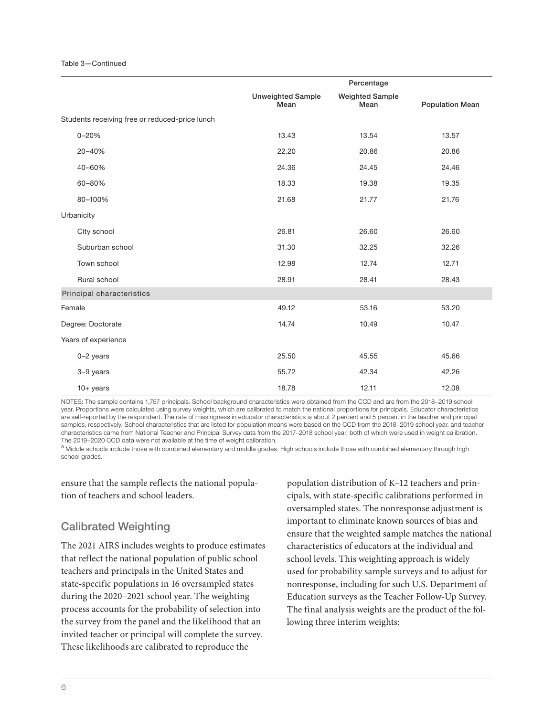### Table 3—Continued

|                                                | Percentage                       |                                |                        |
|------------------------------------------------|----------------------------------|--------------------------------|------------------------|
|                                                | <b>Unweighted Sample</b><br>Mean | <b>Weighted Sample</b><br>Mean | <b>Population Mean</b> |
| Students receiving free or reduced-price lunch |                                  |                                |                        |
| $0 - 20%$                                      | 13.43                            | 13.54                          | 13.57                  |
| 20-40%                                         | 22.20                            | 20.86                          | 20.86                  |
| 40-60%                                         | 24.36                            | 24.45                          | 24.46                  |
| 60-80%                                         | 18.33                            | 19.38                          | 19.35                  |
| 80-100%                                        | 21.68                            | 21.77                          | 21.76                  |
| Urbanicity                                     |                                  |                                |                        |
| City school                                    | 26.81                            | 26.60                          | 26.60                  |
| Suburban school                                | 31.30                            | 32.25                          | 32.26                  |
| Town school                                    | 12.98                            | 12.74                          | 12.71                  |
| Rural school                                   | 28.91                            | 28.41                          | 28.43                  |
| Principal characteristics                      |                                  |                                |                        |
| Female                                         | 49.12                            | 53.16                          | 53.20                  |
| Degree: Doctorate                              | 14.74                            | 10.49                          | 10.47                  |
| Years of experience                            |                                  |                                |                        |
| $0-2$ years                                    | 25.50                            | 45.55                          | 45.66                  |
| 3-9 years                                      | 55.72                            | 42.34                          | 42.26                  |
| $10 + years$                                   | 18.78                            | 12.11                          | 12.08                  |

NOTES: The sample contains 1,757 principals. School background characteristics were obtained from the CCD and are from the 2018–2019 school year. Proportions were calculated using survey weights, which are calibrated to match the national proportions for principals. Educator characteristics are self-reported by the respondent. The rate of missingness in educator characteristics is about 2 percent and 5 percent in the teacher and principal samples, respectively. School characteristics that are listed for population means were based on the CCD from the 2018–2019 school year, and teacher characteristics came from National Teacher and Principal Survey data from the 2017–2018 school year, both of which were used in weight calibration. The 2019–2020 CCD data were not available at the time of weight calibration.

a Middle schools include those with combined elementary and middle grades. High schools include those with combined elementary through high school grades.

ensure that the sample reflects the national population of teachers and school leaders.

## Calibrated Weighting

The 2021 AIRS includes weights to produce estimates that reflect the national population of public school teachers and principals in the United States and state-specific populations in 16 oversampled states during the 2020–2021 school year. The weighting process accounts for the probability of selection into the survey from the panel and the likelihood that an invited teacher or principal will complete the survey. These likelihoods are calibrated to reproduce the

population distribution of K–12 teachers and principals, with state-specific calibrations performed in oversampled states. The nonresponse adjustment is important to eliminate known sources of bias and ensure that the weighted sample matches the national characteristics of educators at the individual and school levels. This weighting approach is widely used for probability sample surveys and to adjust for nonresponse, including for such U.S. Department of Education surveys as the Teacher Follow-Up Survey. The final analysis weights are the product of the following three interim weights: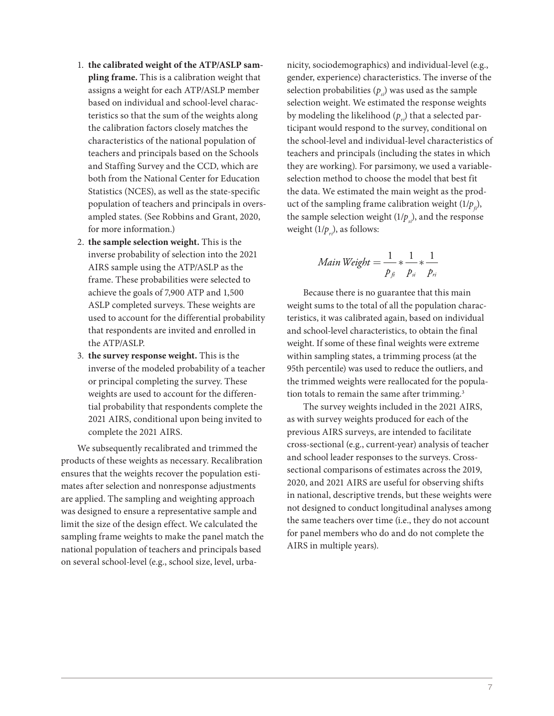- 1. **the calibrated weight of the ATP/ASLP sampling frame.** This is a calibration weight that assigns a weight for each ATP/ASLP member based on individual and school-level characteristics so that the sum of the weights along the calibration factors closely matches the characteristics of the national population of teachers and principals based on the Schools and Staffing Survey and the CCD, which are both from the National Center for Education Statistics (NCES), as well as the state-specific population of teachers and principals in oversampled states. (See Robbins and Grant, 2020, for more information.)
- 2. **the sample selection weight.** This is the inverse probability of selection into the 2021 AIRS sample using the ATP/ASLP as the frame. These probabilities were selected to achieve the goals of 7,900 ATP and 1,500 ASLP completed surveys. These weights are used to account for the differential probability that respondents are invited and enrolled in the ATP/ASLP.
- 3. **the survey response weight.** This is the inverse of the modeled probability of a teacher or principal completing the survey. These weights are used to account for the differential probability that respondents complete the 2021 AIRS, conditional upon being invited to complete the 2021 AIRS.

We subsequently recalibrated and trimmed the products of these weights as necessary. Recalibration ensures that the weights recover the population estimates after selection and nonresponse adjustments are applied. The sampling and weighting approach was designed to ensure a representative sample and limit the size of the design effect. We calculated the sampling frame weights to make the panel match the national population of teachers and principals based on several school-level (e.g., school size, level, urbanicity, sociodemographics) and individual-level (e.g., gender, experience) characteristics. The inverse of the selection probabilities  $(p_s)$  was used as the sample selection weight. We estimated the response weights by modeling the likelihood  $(p_{n})$  that a selected participant would respond to the survey, conditional on the school-level and individual-level characteristics of teachers and principals (including the states in which they are working). For parsimony, we used a variableselection method to choose the model that best fit the data. We estimated the main weight as the product of the sampling frame calibration weight  $(1/p<sub>c</sub>)$ , the sample selection weight  $(1/p_s)$ , and the response weight  $(1/p_{ri})$ , as follows:

$$
Main Weight = \frac{1}{p_{fi}} * \frac{1}{p_{si}} * \frac{1}{p_{ri}}
$$

Because there is no guarantee that this main weight sums to the total of all the population characteristics, it was calibrated again, based on individual and school-level characteristics, to obtain the final weight. If some of these final weights were extreme within sampling states, a trimming process (at the 95th percentile) was used to reduce the outliers, and the trimmed weights were reallocated for the population totals to remain the same after trimming.<sup>3</sup>

The survey weights included in the 2021 AIRS, as with survey weights produced for each of the previous AIRS surveys, are intended to facilitate cross-sectional (e.g., current-year) analysis of teacher and school leader responses to the surveys. Crosssectional comparisons of estimates across the 2019, 2020, and 2021 AIRS are useful for observing shifts in national, descriptive trends, but these weights were not designed to conduct longitudinal analyses among the same teachers over time (i.e., they do not account for panel members who do and do not complete the AIRS in multiple years).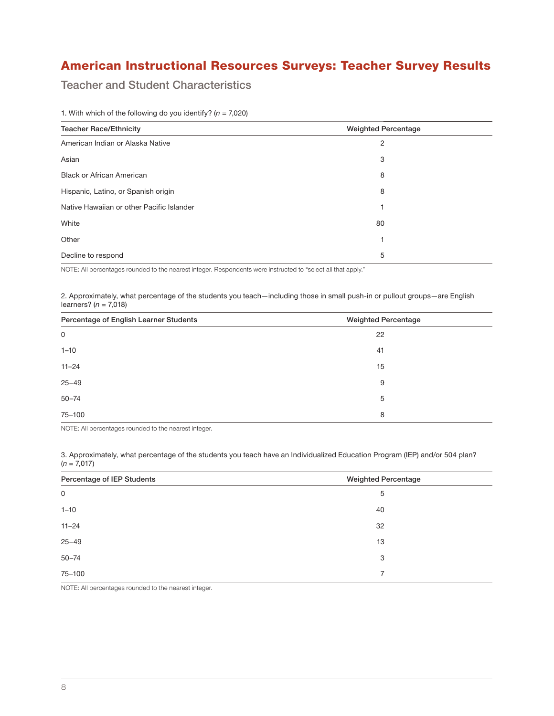## American Instructional Resources Surveys: Teacher Survey Results

Teacher and Student Characteristics

| <b>Teacher Race/Ethnicity</b>             | <b>Weighted Percentage</b> |
|-------------------------------------------|----------------------------|
| American Indian or Alaska Native          | 2                          |
| Asian                                     | 3                          |
| <b>Black or African American</b>          | 8                          |
| Hispanic, Latino, or Spanish origin       | 8                          |
| Native Hawaiian or other Pacific Islander |                            |
| White                                     | 80                         |
| Other                                     |                            |
| Decline to respond                        | 5                          |

1. With which of the following do you identify? ( $n = 7,020$ )

NOTE: All percentages rounded to the nearest integer. Respondents were instructed to "select all that apply."

2. Approximately, what percentage of the students you teach—including those in small push-in or pullout groups—are English learners?  $(n = 7,018)$ 

| Percentage of English Learner Students | <b>Weighted Percentage</b> |
|----------------------------------------|----------------------------|
| 0                                      | 22                         |
| $1 - 10$                               | 41                         |
| $11 - 24$                              | 15                         |
| $25 - 49$                              | 9                          |
| $50 - 74$                              | 5                          |
| 75-100                                 | 8                          |

NOTE: All percentages rounded to the nearest integer.

3. Approximately, what percentage of the students you teach have an Individualized Education Program (IEP) and/or 504 plan?  $(n = 7,017)$ 

| Percentage of IEP Students | <b>Weighted Percentage</b> |
|----------------------------|----------------------------|
| $\mathsf 0$                | 5                          |
| $1 - 10$                   | 40                         |
| $11 - 24$                  | 32                         |
| $25 - 49$                  | 13                         |
| $50 - 74$                  | 3                          |
| 75-100                     | $\overline{7}$             |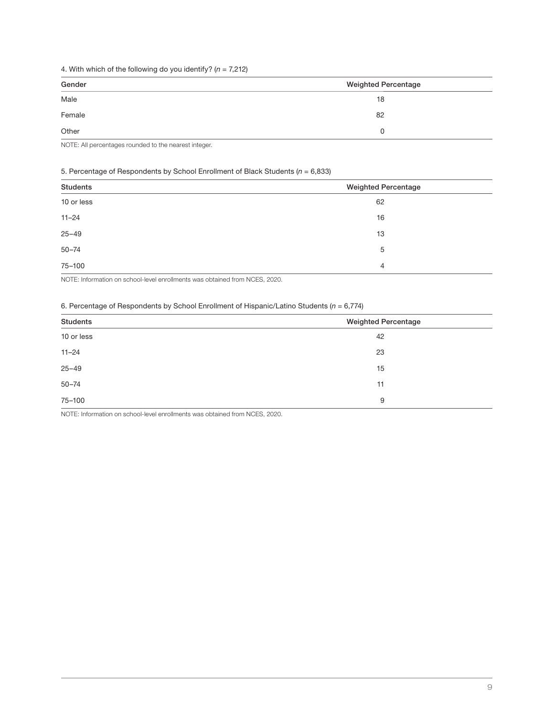### 4. With which of the following do you identify? ( $n = 7,212$ )

| Gender | <b>Weighted Percentage</b> |
|--------|----------------------------|
| Male   | 18                         |
| Female | 82                         |
| Other  | 0                          |

NOTE: All percentages rounded to the nearest integer.

### 5. Percentage of Respondents by School Enrollment of Black Students ( $n = 6,833$ )

| <b>Students</b> | <b>Weighted Percentage</b> |
|-----------------|----------------------------|
| 10 or less      | 62                         |
| $11 - 24$       | 16                         |
| $25 - 49$       | 13                         |
| $50 - 74$       | 5                          |
| 75-100          | $\overline{4}$             |

NOTE: Information on school-level enrollments was obtained from NCES, 2020.

### 6. Percentage of Respondents by School Enrollment of Hispanic/Latino Students ( $n = 6,774$ )

| Students   | <b>Weighted Percentage</b> |
|------------|----------------------------|
| 10 or less | 42                         |
| $11 - 24$  | 23                         |
| $25 - 49$  | 15                         |
| $50 - 74$  | 11                         |
| 75-100     | 9                          |

NOTE: Information on school-level enrollments was obtained from NCES, 2020.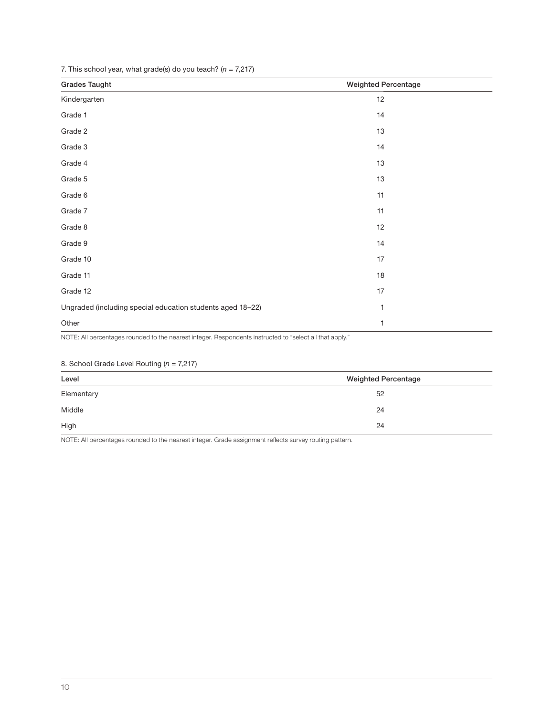7. This school year, what grade(s) do you teach?  $(n = 7,217)$ 

| <b>Grades Taught</b>                                       | <b>Weighted Percentage</b> |
|------------------------------------------------------------|----------------------------|
| Kindergarten                                               | 12                         |
| Grade 1                                                    | 14                         |
| Grade 2                                                    | 13                         |
| Grade 3                                                    | 14                         |
| Grade 4                                                    | 13                         |
| Grade 5                                                    | 13                         |
| Grade 6                                                    | 11                         |
| Grade 7                                                    | 11                         |
| Grade 8                                                    | 12                         |
| Grade 9                                                    | 14                         |
| Grade 10                                                   | 17                         |
| Grade 11                                                   | $18$                       |
| Grade 12                                                   | 17                         |
| Ungraded (including special education students aged 18-22) | 1                          |
| Other                                                      | $\mathbf{1}$               |

NOTE: All percentages rounded to the nearest integer. Respondents instructed to "select all that apply."

### 8. School Grade Level Routing  $(n = 7,217)$

| Level      | <b>Weighted Percentage</b> |  |  |
|------------|----------------------------|--|--|
| Elementary | 52                         |  |  |
| Middle     | 24                         |  |  |
| High       | 24                         |  |  |

NOTE: All percentages rounded to the nearest integer. Grade assignment reflects survey routing pattern.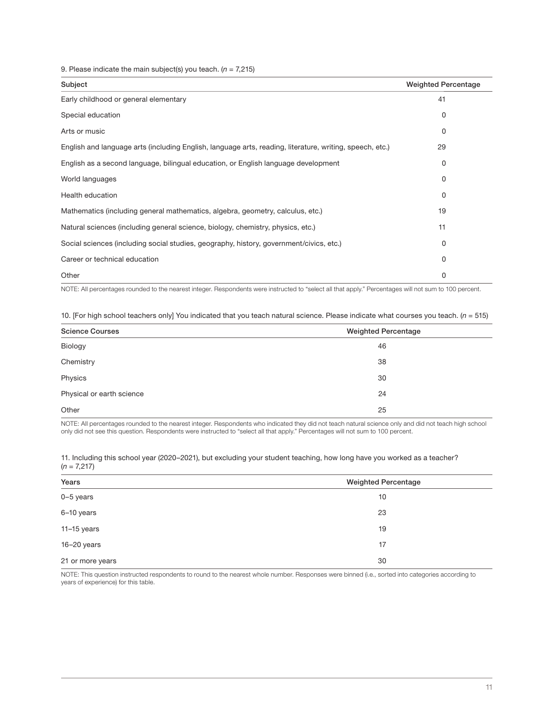9. Please indicate the main subject(s) you teach. ( $n = 7,215$ )

| Subject                                                                                                  | <b>Weighted Percentage</b> |
|----------------------------------------------------------------------------------------------------------|----------------------------|
| Early childhood or general elementary                                                                    | 41                         |
| Special education                                                                                        | 0                          |
| Arts or music                                                                                            | 0                          |
| English and language arts (including English, language arts, reading, literature, writing, speech, etc.) | 29                         |
| English as a second language, bilingual education, or English language development                       | 0                          |
| World languages                                                                                          | 0                          |
| Health education                                                                                         | 0                          |
| Mathematics (including general mathematics, algebra, geometry, calculus, etc.)                           | 19                         |
| Natural sciences (including general science, biology, chemistry, physics, etc.)                          | 11                         |
| Social sciences (including social studies, geography, history, government/civics, etc.)                  | 0                          |
| Career or technical education                                                                            | 0                          |
| Other                                                                                                    | 0                          |

NOTE: All percentages rounded to the nearest integer. Respondents were instructed to "select all that apply." Percentages will not sum to 100 percent.

10. [For high school teachers only] You indicated that you teach natural science. Please indicate what courses you teach. ( $n = 515$ )

| <b>Science Courses</b>    | <b>Weighted Percentage</b> |  |  |
|---------------------------|----------------------------|--|--|
| Biology                   | 46                         |  |  |
| Chemistry                 | 38                         |  |  |
| Physics                   | 30                         |  |  |
| Physical or earth science | 24                         |  |  |
| Other                     | 25                         |  |  |

NOTE: All percentages rounded to the nearest integer. Respondents who indicated they did not teach natural science only and did not teach high school only did not see this question. Respondents were instructed to "select all that apply." Percentages will not sum to 100 percent.

| 11. Including this school year (2020–2021), but excluding your student teaching, how long have you worked as a teacher? |  |  |
|-------------------------------------------------------------------------------------------------------------------------|--|--|
| $(n = 7,217)$                                                                                                           |  |  |

| Years<br><b>Weighted Percentage</b> |    |  |
|-------------------------------------|----|--|
| $0-5$ years                         | 10 |  |
| 6-10 years                          | 23 |  |
| 11-15 years                         | 19 |  |
| 16-20 years                         | 17 |  |
| 21 or more years                    | 30 |  |

NOTE: This question instructed respondents to round to the nearest whole number. Responses were binned (i.e., sorted into categories according to years of experience) for this table.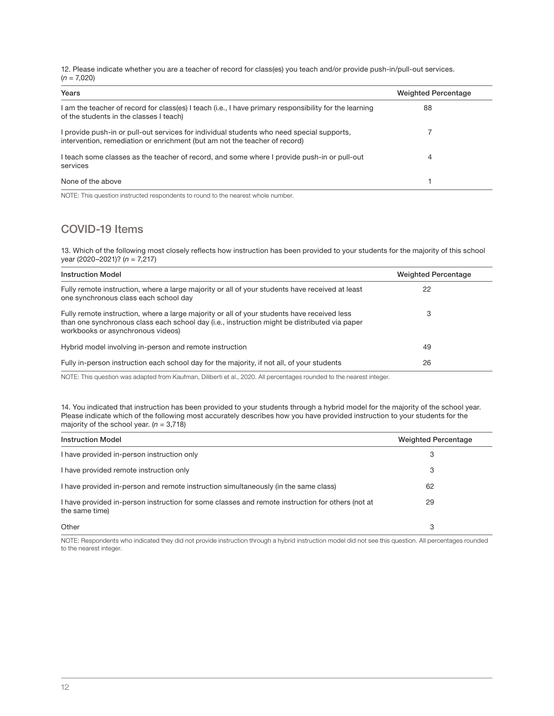12. Please indicate whether you are a teacher of record for class(es) you teach and/or provide push-in/pull-out services.  $(n = 7,020)$ 

| Years                                                                                                                                                                   | <b>Weighted Percentage</b> |
|-------------------------------------------------------------------------------------------------------------------------------------------------------------------------|----------------------------|
| I am the teacher of record for class(es) I teach (i.e., I have primary responsibility for the learning<br>of the students in the classes I teach)                       | 88                         |
| I provide push-in or pull-out services for individual students who need special supports,<br>intervention, remediation or enrichment (but am not the teacher of record) |                            |
| I teach some classes as the teacher of record, and some where I provide push-in or pull-out<br>services                                                                 | 4                          |
| None of the above                                                                                                                                                       |                            |

NOTE: This question instructed respondents to round to the nearest whole number.

## COVID-19 Items

13. Which of the following most closely reflects how instruction has been provided to your students for the majority of this school year (2020–2021)?  $(n = 7,217)$ 

| <b>Instruction Model</b>                                                                                                                                                                                                           | <b>Weighted Percentage</b> |
|------------------------------------------------------------------------------------------------------------------------------------------------------------------------------------------------------------------------------------|----------------------------|
| Fully remote instruction, where a large majority or all of your students have received at least<br>one synchronous class each school day                                                                                           | 22                         |
| Fully remote instruction, where a large majority or all of your students have received less<br>than one synchronous class each school day (i.e., instruction might be distributed via paper<br>workbooks or asynchronous videos)   | З                          |
| Hybrid model involving in-person and remote instruction                                                                                                                                                                            | 49                         |
| Fully in-person instruction each school day for the majority, if not all, of your students                                                                                                                                         | 26                         |
| $\mathcal{L}$ . The state of the state of the state of the state of the state of the state of the state of the state of the state of the state of the state of the state of the state of the state of the state of the state of th |                            |

NOTE: This question was adapted from Kaufman, Diliberti et al., 2020. All percentages rounded to the nearest integer.

14. You indicated that instruction has been provided to your students through a hybrid model for the majority of the school year. Please indicate which of the following most accurately describes how you have provided instruction to your students for the majority of the school year.  $(n = 3.718)$ 

| <b>Instruction Model</b>                                                                                           | <b>Weighted Percentage</b> |
|--------------------------------------------------------------------------------------------------------------------|----------------------------|
| I have provided in-person instruction only                                                                         | 3                          |
| I have provided remote instruction only                                                                            | 3                          |
| I have provided in-person and remote instruction simultaneously (in the same class)                                | 62                         |
| I have provided in-person instruction for some classes and remote instruction for others (not at<br>the same time) | 29                         |
| Other                                                                                                              | 3                          |

NOTE: Respondents who indicated they did not provide instruction through a hybrid instruction model did not see this question. All percentages rounded to the nearest integer.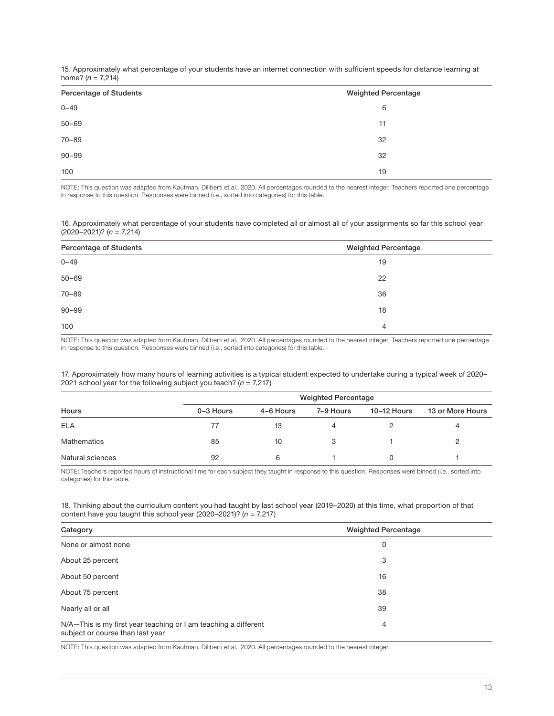15. Approximately what percentage of your students have an internet connection with sufficient speeds for distance learning at home?  $(n = 7,214)$ 

| <b>Percentage of Students</b><br><b>Weighted Percentage</b> |    |
|-------------------------------------------------------------|----|
| $0 - 49$                                                    | 6  |
| $50 - 69$                                                   | 11 |
| $70 - 89$                                                   | 32 |
| $90 - 99$                                                   | 32 |
| 100                                                         | 19 |

NOTE: This question was adapted from Kaufman, Diliberti et al., 2020. All percentages rounded to the nearest integer. Teachers reported one percentage in response to this question. Responses were binned (i.e., sorted into categories) for this table.

16. Approximately what percentage of your students have completed all or almost all of your assignments so far this school year  $(2020-2021)$ ? (n = 7,214)

| Percentage of Students | <b>Weighted Percentage</b> |  |  |
|------------------------|----------------------------|--|--|
| $0 - 49$               | 19                         |  |  |
| $50 - 69$              | 22                         |  |  |
| $70 - 89$              | 36                         |  |  |
| $90 - 99$              | 18                         |  |  |
| 100                    | 4                          |  |  |

NOTE: This question was adapted from Kaufman, Diliberti et al., 2020. All percentages rounded to the nearest integer. Teachers reported one percentage in response to this question. Responses were binned (i.e., sorted into categories) for this table.

17. Approximately how many hours of learning activities is a typical student expected to undertake during a typical week of 2020– 2021 school year for the following subject you teach? ( $n = 7,217$ )

| Hours            |           |           | <b>Weighted Percentage</b> |             |                  |
|------------------|-----------|-----------|----------------------------|-------------|------------------|
|                  | 0-3 Hours | 4-6 Hours | 7-9 Hours                  | 10-12 Hours | 13 or More Hours |
| <b>ELA</b>       |           | 13        |                            |             | 4                |
| Mathematics      | 85        | 10        |                            |             |                  |
| Natural sciences | 92        | 6         |                            |             |                  |

NOTE: Teachers reported hours of instructional time for each subject they taught in response to this question. Responses were binned (i.e., sorted into categories) for this table.

18. Thinking about the curriculum content you had taught by last school year (2019–2020) at this time, what proportion of that content have you taught this school year (2020–2021)?  $(n = 7,217)$ 

| Category                                                                                            | <b>Weighted Percentage</b> |
|-----------------------------------------------------------------------------------------------------|----------------------------|
| None or almost none                                                                                 | 0                          |
| About 25 percent                                                                                    | 3                          |
| About 50 percent                                                                                    | 16                         |
| About 75 percent                                                                                    | 38                         |
| Nearly all or all                                                                                   | 39                         |
| N/A-This is my first year teaching or I am teaching a different<br>subject or course than last year | 4                          |

NOTE: This question was adapted from Kaufman, Diliberti et al., 2020. All percentages rounded to the nearest integer.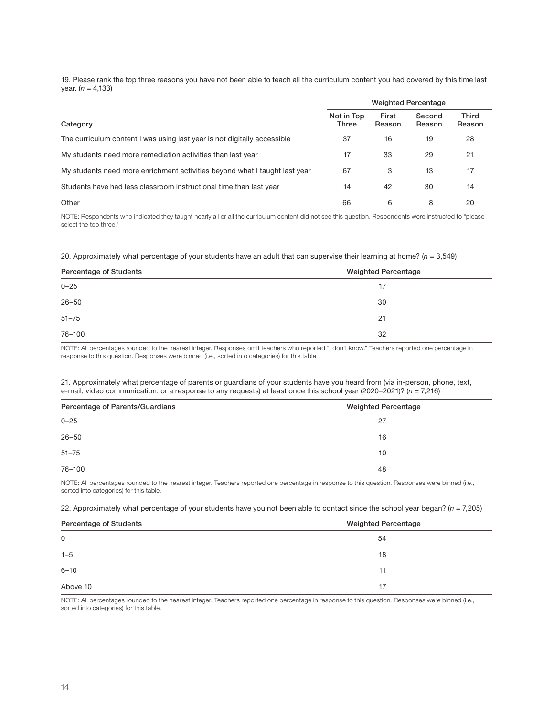19. Please rank the top three reasons you have not been able to teach all the curriculum content you had covered by this time last year. ( $n = 4,133$ )

|                                                                            | <b>Weighted Percentage</b> |                 |                  |                        |
|----------------------------------------------------------------------------|----------------------------|-----------------|------------------|------------------------|
| Category                                                                   | Not in Top<br><b>Three</b> | First<br>Reason | Second<br>Reason | <b>Third</b><br>Reason |
| The curriculum content I was using last year is not digitally accessible   | 37                         | 16              | 19               | 28                     |
| My students need more remediation activities than last year                | 17                         | 33              | 29               | 21                     |
| My students need more enrichment activities beyond what I taught last year | 67                         | 3               | 13               | 17                     |
| Students have had less classroom instructional time than last year         | 14                         | 42              | 30               | 14                     |
| Other                                                                      | 66                         | 6               | 8                | 20                     |

NOTE: Respondents who indicated they taught nearly all or all the curriculum content did not see this question. Respondents were instructed to "please select the top three."

|  |  | 20. Approximately what percentage of your students have an adult that can supervise their learning at home? ( $n = 3,549$ ) |  |  |
|--|--|-----------------------------------------------------------------------------------------------------------------------------|--|--|
|  |  |                                                                                                                             |  |  |

| Percentage of Students | <b>Weighted Percentage</b> |
|------------------------|----------------------------|
| $0 - 25$               | 17                         |
| $26 - 50$              | 30                         |
| $51 - 75$              | 21                         |
| 76-100                 | 32                         |

NOTE: All percentages rounded to the nearest integer. Responses omit teachers who reported "I don't know." Teachers reported one percentage in response to this question. Responses were binned (i.e., sorted into categories) for this table.

### 21. Approximately what percentage of parents or guardians of your students have you heard from (via in-person, phone, text, e-mail, video communication, or a response to any requests) at least once this school year (2020–2021)? ( $n = 7,216$ )

| Percentage of Parents/Guardians | <b>Weighted Percentage</b> |
|---------------------------------|----------------------------|
| $0 - 25$                        | 27                         |
| $26 - 50$                       | 16                         |
| $51 - 75$                       | 10                         |
| 76-100                          | 48                         |

NOTE: All percentages rounded to the nearest integer. Teachers reported one percentage in response to this question. Responses were binned (i.e., sorted into categories) for this table.

22. Approximately what percentage of your students have you not been able to contact since the school year began? ( $n = 7,205$ )

| Percentage of Students | <b>Weighted Percentage</b> |
|------------------------|----------------------------|
| 0                      | 54                         |
| $1 - 5$                | 18                         |
| $6 - 10$               | 11                         |
| Above 10               | 17                         |

NOTE: All percentages rounded to the nearest integer. Teachers reported one percentage in response to this question. Responses were binned (i.e., sorted into categories) for this table.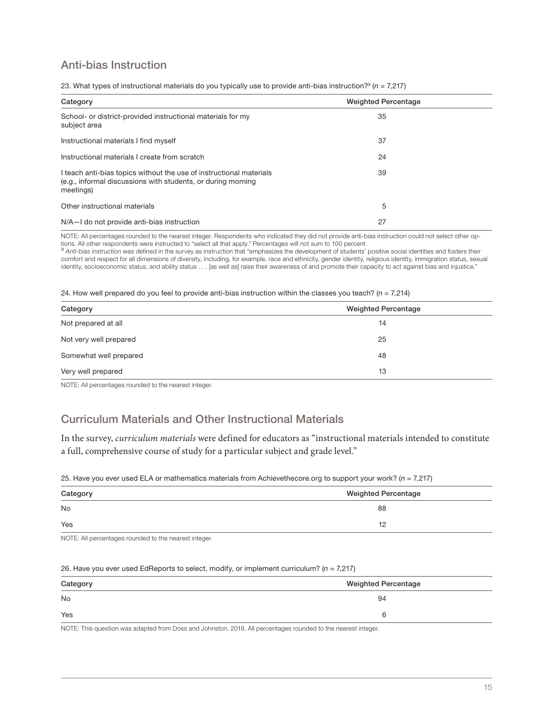## Anti-bias Instruction

| Category                                                                                                                                         | <b>Weighted Percentage</b> |  |
|--------------------------------------------------------------------------------------------------------------------------------------------------|----------------------------|--|
| School- or district-provided instructional materials for my<br>subject area                                                                      | 35                         |  |
| Instructional materials I find myself                                                                                                            | 37                         |  |
| Instructional materials I create from scratch                                                                                                    | 24                         |  |
| I teach anti-bias topics without the use of instructional materials<br>(e.g., informal discussions with students, or during morning<br>meetings) | 39                         |  |
| Other instructional materials                                                                                                                    | 5                          |  |
| N/A-I do not provide anti-bias instruction                                                                                                       | 27                         |  |

23. What types of instructional materials do you typically use to provide anti-bias instruction?<sup>a</sup> (n = 7,217)

NOTE: All percentages rounded to the nearest integer. Respondents who indicated they did not provide anti-bias instruction could not select other options. All other respondents were instructed to "select all that apply." Percentages will not sum to 100 percent.

a Anti-bias instruction was defined in the survey as instruction that "emphasizes the development of students' positive social identities and fosters their comfort and respect for all dimensions of diversity, including, for example, race and ethnicity, gender identity, religious identity, immigration status, sexual identity, socioeconomic status, and ability status . . . [as well as] raise their awareness of and promote their capacity to act against bias and injustice."

24. How well prepared do you feel to provide anti-bias instruction within the classes you teach? ( $n = 7,214$ )

| Category               | <b>Weighted Percentage</b> |
|------------------------|----------------------------|
| Not prepared at all    | 14                         |
| Not very well prepared | 25                         |
| Somewhat well prepared | 48                         |
| Very well prepared     | 13                         |

NOTE: All percentages rounded to the nearest integer.

## Curriculum Materials and Other Instructional Materials

In the survey, curriculum materials were defined for educators as "instructional materials intended to constitute a full, comprehensive course of study for a particular subject and grade level."

25. Have you ever used ELA or mathematics materials from Achievethecore.org to support your work? ( $n = 7,217$ )

| Category | <b>Weighted Percentage</b> |
|----------|----------------------------|
| No       | 88                         |
| Yes      | 12                         |

NOTE: All percentages rounded to the nearest integer.

### 26. Have you ever used EdReports to select, modify, or implement curriculum?  $(n = 7,217)$

| Category  | <b>Weighted Percentage</b> |
|-----------|----------------------------|
| <b>No</b> | 94                         |
| Yes       |                            |

NOTE: This question was adapted from Doss and Johnston, 2018. All percentages rounded to the nearest integer.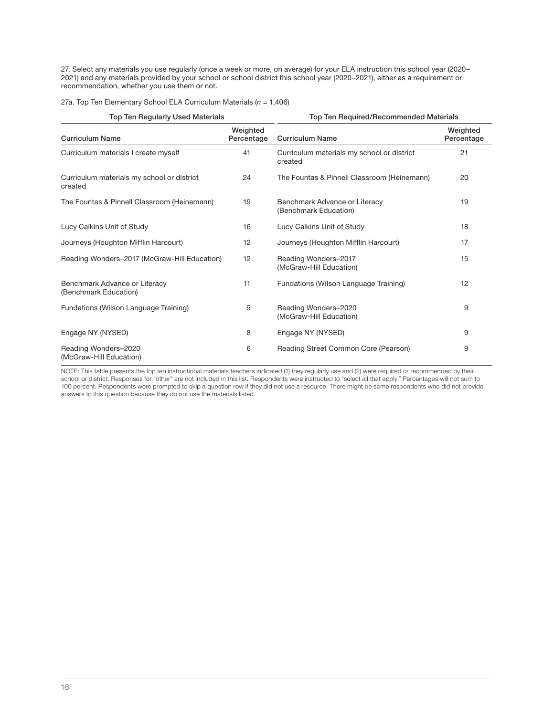27. Select any materials you use regularly (once a week or more, on average) for your ELA instruction this school year (2020– 2021) and any materials provided by your school or school district this school year (2020–2021), either as a requirement or recommendation, whether you use them or not.

| <b>Top Ten Regularly Used Materials</b>                |                        | Top Ten Required/Recommended Materials                 |                        |  |
|--------------------------------------------------------|------------------------|--------------------------------------------------------|------------------------|--|
| <b>Curriculum Name</b>                                 | Weighted<br>Percentage | <b>Curriculum Name</b>                                 | Weighted<br>Percentage |  |
| Curriculum materials I create myself                   | 41                     | Curriculum materials my school or district<br>created  | 21                     |  |
| Curriculum materials my school or district<br>created  | 24                     | The Fountas & Pinnell Classroom (Heinemann)            | 20                     |  |
| The Fountas & Pinnell Classroom (Heinemann)            | 19                     | Benchmark Advance or Literacy<br>(Benchmark Education) | 19                     |  |
| Lucy Calkins Unit of Study                             | 16                     | Lucy Calkins Unit of Study                             | 18                     |  |
| Journeys (Houghton Mifflin Harcourt)                   | 12                     | Journeys (Houghton Mifflin Harcourt)                   | 17                     |  |
| Reading Wonders-2017 (McGraw-Hill Education)           | 12                     | Reading Wonders-2017<br>(McGraw-Hill Education)        | 15                     |  |
| Benchmark Advance or Literacy<br>(Benchmark Education) | 11                     | Fundations (Wilson Language Training)                  | 12                     |  |
| Fundations (Wilson Language Training)                  | 9                      | Reading Wonders-2020<br>(McGraw-Hill Education)        | 9                      |  |
| Engage NY (NYSED)                                      | 8                      | Engage NY (NYSED)                                      | 9                      |  |
| Reading Wonders-2020<br>(McGraw-Hill Education)        | 6                      | Reading Street Common Core (Pearson)                   | 9                      |  |

27a. Top Ten Elementary School ELA Curriculum Materials ( $n = 1,406$ )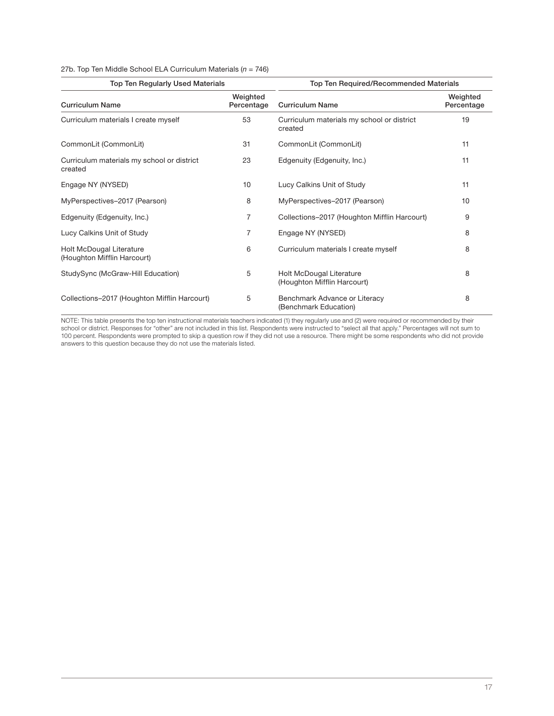### 27b. Top Ten Middle School ELA Curriculum Materials ( $n = 746$ )

| Top Ten Regularly Used Materials                        |                        | <b>Top Ten Required/Recommended Materials</b>           |                        |
|---------------------------------------------------------|------------------------|---------------------------------------------------------|------------------------|
| <b>Curriculum Name</b>                                  | Weighted<br>Percentage | <b>Curriculum Name</b>                                  | Weighted<br>Percentage |
| Curriculum materials I create myself                    | 53                     | Curriculum materials my school or district<br>created   | 19                     |
| CommonLit (CommonLit)                                   | 31                     | CommonLit (CommonLit)                                   | 11                     |
| Curriculum materials my school or district<br>created   | 23                     | Edgenuity (Edgenuity, Inc.)                             | 11                     |
| Engage NY (NYSED)                                       | 10                     | Lucy Calkins Unit of Study                              | 11                     |
| MyPerspectives-2017 (Pearson)                           | 8                      | MyPerspectives-2017 (Pearson)                           | 10                     |
| Edgenuity (Edgenuity, Inc.)                             | 7                      | Collections-2017 (Houghton Mifflin Harcourt)            | 9                      |
| Lucy Calkins Unit of Study                              | 7                      | Engage NY (NYSED)                                       | 8                      |
| Holt McDougal Literature<br>(Houghton Mifflin Harcourt) | 6                      | Curriculum materials I create myself                    | 8                      |
| StudySync (McGraw-Hill Education)                       | 5                      | Holt McDougal Literature<br>(Houghton Mifflin Harcourt) | 8                      |
| Collections-2017 (Houghton Mifflin Harcourt)            | 5                      | Benchmark Advance or Literacy<br>(Benchmark Education)  | 8                      |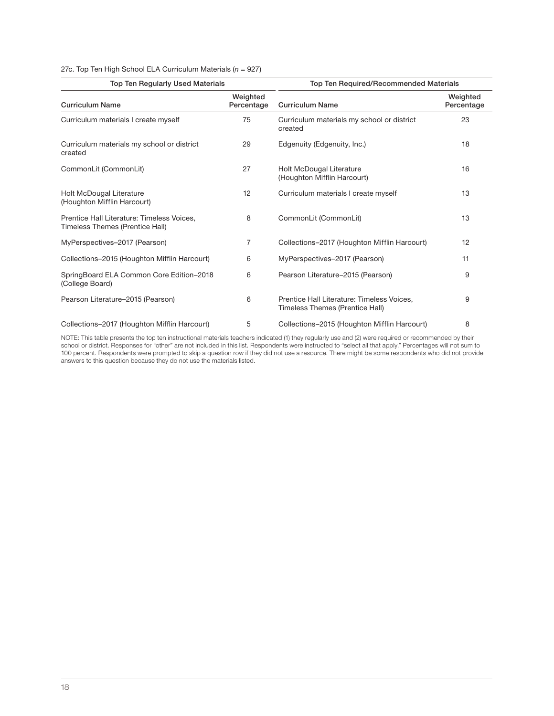### 27c. Top Ten High School ELA Curriculum Materials ( $n = 927$ )

| <b>Top Ten Regularly Used Materials</b>                                       |                        | Top Ten Required/Recommended Materials                                        |                        |  |
|-------------------------------------------------------------------------------|------------------------|-------------------------------------------------------------------------------|------------------------|--|
| <b>Curriculum Name</b>                                                        | Weighted<br>Percentage | <b>Curriculum Name</b>                                                        | Weighted<br>Percentage |  |
| Curriculum materials I create myself                                          | 75                     | Curriculum materials my school or district<br>created                         | 23                     |  |
| Curriculum materials my school or district<br>created                         | 29                     | Edgenuity (Edgenuity, Inc.)                                                   | 18                     |  |
| CommonLit (CommonLit)                                                         | 27                     | Holt McDougal Literature<br>(Houghton Mifflin Harcourt)                       | 16                     |  |
| Holt McDougal Literature<br>(Houghton Mifflin Harcourt)                       | 12                     | Curriculum materials I create myself                                          | 13                     |  |
| Prentice Hall Literature: Timeless Voices,<br>Timeless Themes (Prentice Hall) | 8                      | CommonLit (CommonLit)                                                         | 13                     |  |
| MyPerspectives-2017 (Pearson)                                                 | 7                      | Collections-2017 (Houghton Mifflin Harcourt)                                  | 12                     |  |
| Collections-2015 (Houghton Mifflin Harcourt)                                  | 6                      | MyPerspectives-2017 (Pearson)                                                 | 11                     |  |
| SpringBoard ELA Common Core Edition-2018<br>(College Board)                   | 6                      | Pearson Literature-2015 (Pearson)                                             | 9                      |  |
| Pearson Literature-2015 (Pearson)                                             | 6                      | Prentice Hall Literature: Timeless Voices,<br>Timeless Themes (Prentice Hall) | 9                      |  |
| Collections-2017 (Houghton Mifflin Harcourt)                                  | 5                      | Collections-2015 (Houghton Mifflin Harcourt)                                  | 8                      |  |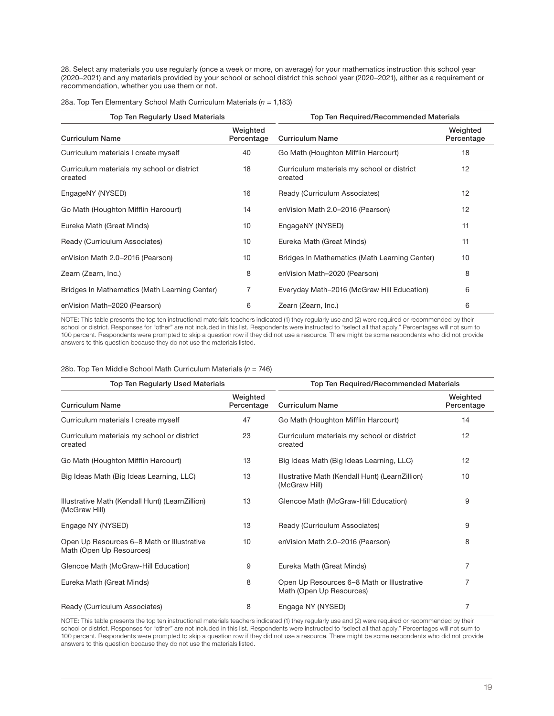28. Select any materials you use regularly (once a week or more, on average) for your mathematics instruction this school year (2020–2021) and any materials provided by your school or school district this school year (2020–2021), either as a requirement or recommendation, whether you use them or not.

| <b>Top Ten Regularly Used Materials</b>               |                        | Top Ten Required/Recommended Materials                |                        |  |
|-------------------------------------------------------|------------------------|-------------------------------------------------------|------------------------|--|
| <b>Curriculum Name</b>                                | Weighted<br>Percentage | <b>Curriculum Name</b>                                | Weighted<br>Percentage |  |
| Curriculum materials I create myself                  | 40                     | Go Math (Houghton Mifflin Harcourt)                   | 18                     |  |
| Curriculum materials my school or district<br>created | 18                     | Curriculum materials my school or district<br>created | 12                     |  |
| EngageNY (NYSED)                                      | 16                     | Ready (Curriculum Associates)                         | 12                     |  |
| Go Math (Houghton Mifflin Harcourt)                   | 14                     | enVision Math 2.0-2016 (Pearson)                      | 12                     |  |
| Eureka Math (Great Minds)                             | 10                     | EngageNY (NYSED)                                      | 11                     |  |
| Ready (Curriculum Associates)                         | 10                     | Eureka Math (Great Minds)                             | 11                     |  |
| enVision Math 2.0-2016 (Pearson)                      | 10                     | Bridges In Mathematics (Math Learning Center)         | 10                     |  |
| Zearn (Zearn, Inc.)                                   | 8                      | enVision Math-2020 (Pearson)                          | 8                      |  |
| Bridges In Mathematics (Math Learning Center)         | 7                      | Everyday Math-2016 (McGraw Hill Education)            | 6                      |  |
| enVision Math-2020 (Pearson)                          | 6                      | Zearn (Zearn, Inc.)                                   | 6                      |  |

28a. Top Ten Elementary School Math Curriculum Materials ( $n = 1,183$ )

NOTE: This table presents the top ten instructional materials teachers indicated (1) they regularly use and (2) were required or recommended by their school or district. Responses for "other" are not included in this list. Respondents were instructed to "select all that apply." Percentages will not sum to 100 percent. Respondents were prompted to skip a question row if they did not use a resource. There might be some respondents who did not provide answers to this question because they do not use the materials listed.

| 28b. Top Ten Middle School Math Curriculum Materials ( $n = 746$ ) |  |
|--------------------------------------------------------------------|--|
|--------------------------------------------------------------------|--|

| <b>Top Ten Regularly Used Materials</b>                                |                        | Top Ten Required/Recommended Materials                                 |                        |  |  |
|------------------------------------------------------------------------|------------------------|------------------------------------------------------------------------|------------------------|--|--|
| <b>Curriculum Name</b>                                                 | Weighted<br>Percentage | <b>Curriculum Name</b>                                                 | Weighted<br>Percentage |  |  |
| Curriculum materials I create myself                                   | 47                     | Go Math (Houghton Mifflin Harcourt)                                    | 14                     |  |  |
| Curriculum materials my school or district<br>created                  | 23                     | Curriculum materials my school or district<br>created                  | 12                     |  |  |
| Go Math (Houghton Mifflin Harcourt)                                    | 13                     | Big Ideas Math (Big Ideas Learning, LLC)                               | 12                     |  |  |
| Big Ideas Math (Big Ideas Learning, LLC)                               | 13                     | Illustrative Math (Kendall Hunt) (LearnZillion)<br>(McGraw Hill)       | 10                     |  |  |
| Illustrative Math (Kendall Hunt) (LearnZillion)<br>(McGraw Hill)       | 13                     | Glencoe Math (McGraw-Hill Education)                                   | 9                      |  |  |
| Engage NY (NYSED)                                                      | 13                     | Ready (Curriculum Associates)                                          | 9                      |  |  |
| Open Up Resources 6-8 Math or Illustrative<br>Math (Open Up Resources) | 10                     | enVision Math 2.0-2016 (Pearson)                                       | 8                      |  |  |
| Glencoe Math (McGraw-Hill Education)                                   | 9                      | Eureka Math (Great Minds)                                              | 7                      |  |  |
| Eureka Math (Great Minds)                                              | 8                      | Open Up Resources 6-8 Math or Illustrative<br>Math (Open Up Resources) | 7                      |  |  |
| Ready (Curriculum Associates)                                          | 8                      | Engage NY (NYSED)                                                      | 7                      |  |  |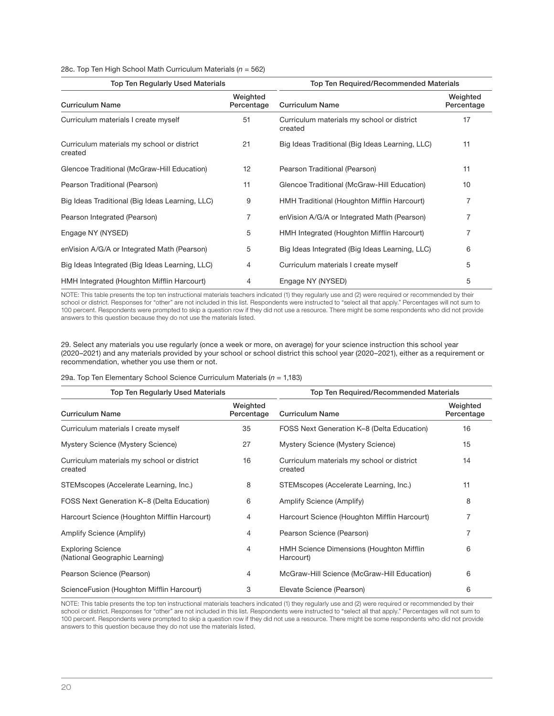### 28c. Top Ten High School Math Curriculum Materials ( $n = 562$ )

| <b>Top Ten Regularly Used Materials</b>               |                        | Top Ten Required/Recommended Materials                |                        |  |
|-------------------------------------------------------|------------------------|-------------------------------------------------------|------------------------|--|
| <b>Curriculum Name</b>                                | Weighted<br>Percentage | <b>Curriculum Name</b>                                | Weighted<br>Percentage |  |
| Curriculum materials I create myself                  | 51                     | Curriculum materials my school or district<br>created | 17                     |  |
| Curriculum materials my school or district<br>created | 21                     | Big Ideas Traditional (Big Ideas Learning, LLC)       | 11                     |  |
| Glencoe Traditional (McGraw-Hill Education)           | 12                     | Pearson Traditional (Pearson)                         | 11                     |  |
| Pearson Traditional (Pearson)                         | 11                     | Glencoe Traditional (McGraw-Hill Education)           | 10                     |  |
| Big Ideas Traditional (Big Ideas Learning, LLC)       | 9                      | HMH Traditional (Houghton Mifflin Harcourt)           |                        |  |
| Pearson Integrated (Pearson)                          | 7                      | enVision A/G/A or Integrated Math (Pearson)           |                        |  |
| Engage NY (NYSED)                                     | 5                      | HMH Integrated (Houghton Mifflin Harcourt)            | 7                      |  |
| enVision A/G/A or Integrated Math (Pearson)           | 5                      | Big Ideas Integrated (Big Ideas Learning, LLC)        | 6                      |  |
| Big Ideas Integrated (Big Ideas Learning, LLC)        | 4                      | Curriculum materials I create myself                  | 5                      |  |
| HMH Integrated (Houghton Mifflin Harcourt)            | 4                      | Engage NY (NYSED)                                     | 5                      |  |

NOTE: This table presents the top ten instructional materials teachers indicated (1) they regularly use and (2) were required or recommended by their school or district. Responses for "other" are not included in this list. Respondents were instructed to "select all that apply." Percentages will not sum to 100 percent. Respondents were prompted to skip a question row if they did not use a resource. There might be some respondents who did not provide answers to this question because they do not use the materials listed.

29. Select any materials you use regularly (once a week or more, on average) for your science instruction this school year (2020–2021) and any materials provided by your school or school district this school year (2020–2021), either as a requirement or recommendation, whether you use them or not.

|  |  |  | 29a. Top Ten Elementary School Science Curriculum Materials ( $n = 1,183$ ) |  |
|--|--|--|-----------------------------------------------------------------------------|--|
|  |  |  |                                                                             |  |

| <b>Top Ten Regularly Used Materials</b>                    |                        | Top Ten Required/Recommended Materials                |                        |  |
|------------------------------------------------------------|------------------------|-------------------------------------------------------|------------------------|--|
| <b>Curriculum Name</b>                                     | Weighted<br>Percentage | <b>Curriculum Name</b>                                | Weighted<br>Percentage |  |
| Curriculum materials I create myself                       | 35                     | FOSS Next Generation K-8 (Delta Education)            | 16                     |  |
| Mystery Science (Mystery Science)                          | 27                     | Mystery Science (Mystery Science)                     | 15                     |  |
| Curriculum materials my school or district<br>created      | 16                     | Curriculum materials my school or district<br>created | 14                     |  |
| STEMscopes (Accelerate Learning, Inc.)                     | 8                      | STEMscopes (Accelerate Learning, Inc.)                | 11                     |  |
| FOSS Next Generation K-8 (Delta Education)                 | 6                      | Amplify Science (Amplify)                             | 8                      |  |
| Harcourt Science (Houghton Mifflin Harcourt)               | 4                      | Harcourt Science (Houghton Mifflin Harcourt)          | 7                      |  |
| Amplify Science (Amplify)                                  | 4                      | Pearson Science (Pearson)                             | 7                      |  |
| <b>Exploring Science</b><br>(National Geographic Learning) | $\overline{4}$         | HMH Science Dimensions (Houghton Mifflin<br>Harcourt) | 6                      |  |
| Pearson Science (Pearson)                                  | $\overline{4}$         | McGraw-Hill Science (McGraw-Hill Education)           | 6                      |  |
| ScienceFusion (Houghton Mifflin Harcourt)                  | 3                      | Elevate Science (Pearson)                             | 6                      |  |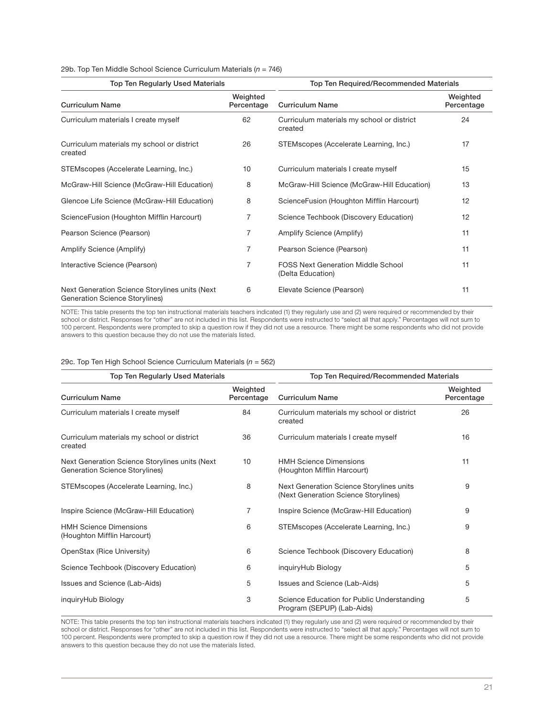### 29b. Top Ten Middle School Science Curriculum Materials ( $n = 746$ )

| <b>Top Ten Regularly Used Materials</b>                                          |                        | Top Ten Required/Recommended Materials                         |                        |  |
|----------------------------------------------------------------------------------|------------------------|----------------------------------------------------------------|------------------------|--|
| <b>Curriculum Name</b>                                                           | Weighted<br>Percentage | <b>Curriculum Name</b>                                         | Weighted<br>Percentage |  |
| Curriculum materials I create myself                                             | 62                     | Curriculum materials my school or district<br>created          | 24                     |  |
| Curriculum materials my school or district<br>created                            | 26                     | STEMscopes (Accelerate Learning, Inc.)                         | 17                     |  |
| STEMscopes (Accelerate Learning, Inc.)                                           | 10                     | Curriculum materials I create myself                           | 15                     |  |
| McGraw-Hill Science (McGraw-Hill Education)                                      | 8                      | McGraw-Hill Science (McGraw-Hill Education)                    | 13                     |  |
| Glencoe Life Science (McGraw-Hill Education)                                     | 8                      | ScienceFusion (Houghton Mifflin Harcourt)                      | 12                     |  |
| ScienceFusion (Houghton Mifflin Harcourt)                                        | 7                      | Science Techbook (Discovery Education)                         | 12                     |  |
| Pearson Science (Pearson)                                                        | 7                      | Amplify Science (Amplify)                                      | 11                     |  |
| Amplify Science (Amplify)                                                        | 7                      | Pearson Science (Pearson)                                      | 11                     |  |
| Interactive Science (Pearson)                                                    | 7                      | <b>FOSS Next Generation Middle School</b><br>(Delta Education) | 11                     |  |
| Next Generation Science Storylines units (Next<br>Generation Science Storylines) | 6                      | Elevate Science (Pearson)                                      | 11                     |  |

NOTE: This table presents the top ten instructional materials teachers indicated (1) they regularly use and (2) were required or recommended by their school or district. Responses for "other" are not included in this list. Respondents were instructed to "select all that apply." Percentages will not sum to 100 percent. Respondents were prompted to skip a question row if they did not use a resource. There might be some respondents who did not provide answers to this question because they do not use the materials listed.

### 29c. Top Ten High School Science Curriculum Materials ( $n = 562$ )

| <b>Top Ten Regularly Used Materials</b>                                                 |                        | Top Ten Required/Recommended Materials                                           |                        |  |
|-----------------------------------------------------------------------------------------|------------------------|----------------------------------------------------------------------------------|------------------------|--|
| <b>Curriculum Name</b>                                                                  | Weighted<br>Percentage | <b>Curriculum Name</b>                                                           | Weighted<br>Percentage |  |
| Curriculum materials I create myself                                                    | 84                     | Curriculum materials my school or district<br>created                            | 26                     |  |
| Curriculum materials my school or district<br>created                                   | 36                     | Curriculum materials I create myself                                             | 16                     |  |
| Next Generation Science Storylines units (Next<br><b>Generation Science Storylines)</b> | 10                     | <b>HMH Science Dimensions</b><br>(Houghton Mifflin Harcourt)                     | 11                     |  |
| STEMscopes (Accelerate Learning, Inc.)                                                  | 8                      | Next Generation Science Storylines units<br>(Next Generation Science Storylines) | 9                      |  |
| Inspire Science (McGraw-Hill Education)                                                 | 7                      | Inspire Science (McGraw-Hill Education)                                          | 9                      |  |
| <b>HMH Science Dimensions</b><br>(Houghton Mifflin Harcourt)                            | 6                      | STEMscopes (Accelerate Learning, Inc.)                                           | 9                      |  |
| OpenStax (Rice University)                                                              | 6                      | Science Techbook (Discovery Education)                                           | 8                      |  |
| Science Techbook (Discovery Education)                                                  | 6                      | inquiryHub Biology                                                               | 5                      |  |
| Issues and Science (Lab-Aids)                                                           | 5                      | Issues and Science (Lab-Aids)                                                    | 5                      |  |
| inguiryHub Biology                                                                      | 3                      | Science Education for Public Understanding<br>Program (SEPUP) (Lab-Aids)         | 5                      |  |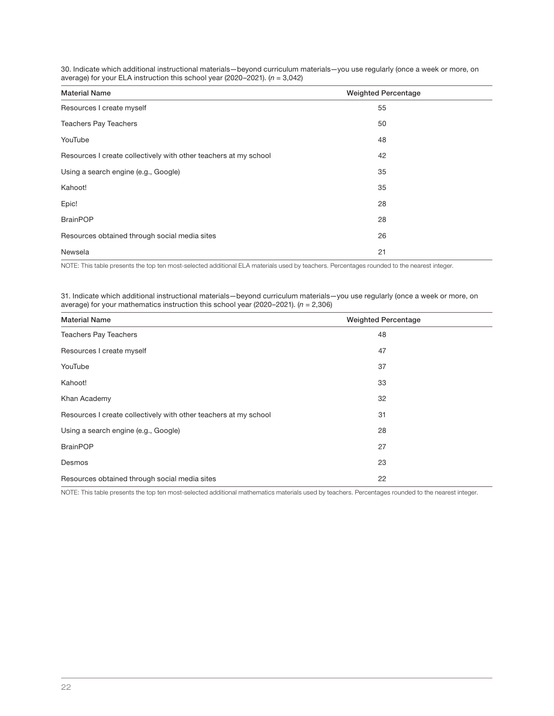30. Indicate which additional instructional materials—beyond curriculum materials—you use regularly (once a week or more, on average) for your ELA instruction this school year (2020–2021).  $(n = 3,042)$ 

| <b>Material Name</b>                                             | <b>Weighted Percentage</b> |
|------------------------------------------------------------------|----------------------------|
| Resources I create myself                                        | 55                         |
| <b>Teachers Pay Teachers</b>                                     | 50                         |
| YouTube                                                          | 48                         |
| Resources I create collectively with other teachers at my school | 42                         |
| Using a search engine (e.g., Google)                             | 35                         |
| Kahoot!                                                          | 35                         |
| Epic!                                                            | 28                         |
| <b>BrainPOP</b>                                                  | 28                         |
| Resources obtained through social media sites                    | 26                         |
| Newsela                                                          | 21                         |

NOTE: This table presents the top ten most-selected additional ELA materials used by teachers. Percentages rounded to the nearest integer.

31. Indicate which additional instructional materials—beyond curriculum materials—you use regularly (once a week or more, on average) for your mathematics instruction this school year (2020–2021).  $(n = 2,306)$ 

| <b>Material Name</b>                                             | <b>Weighted Percentage</b> |
|------------------------------------------------------------------|----------------------------|
| <b>Teachers Pay Teachers</b>                                     | 48                         |
| Resources I create myself                                        | 47                         |
| YouTube                                                          | 37                         |
| Kahoot!                                                          | 33                         |
| Khan Academy                                                     | 32                         |
| Resources I create collectively with other teachers at my school | 31                         |
| Using a search engine (e.g., Google)                             | 28                         |
| <b>BrainPOP</b>                                                  | 27                         |
| Desmos                                                           | 23                         |
| Resources obtained through social media sites                    | 22                         |

NOTE: This table presents the top ten most-selected additional mathematics materials used by teachers. Percentages rounded to the nearest integer.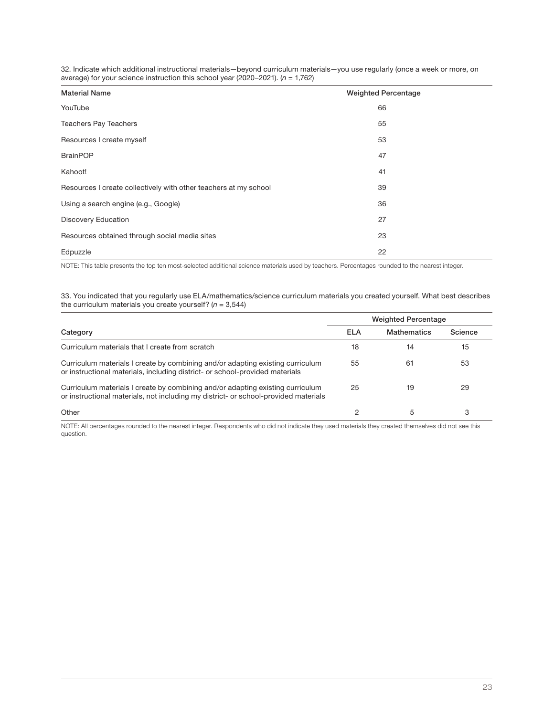|  |                                                                                   |  |  | 32. Indicate which additional instructional materials—beyond curriculum materials—you use regularly (once a week or more, on |  |
|--|-----------------------------------------------------------------------------------|--|--|------------------------------------------------------------------------------------------------------------------------------|--|
|  | average) for your science instruction this school year (2020–2021). $(n = 1.762)$ |  |  |                                                                                                                              |  |

| <b>Material Name</b>                                             | <b>Weighted Percentage</b> |  |
|------------------------------------------------------------------|----------------------------|--|
| YouTube                                                          | 66                         |  |
| <b>Teachers Pay Teachers</b>                                     | 55                         |  |
| Resources I create myself                                        | 53                         |  |
| <b>BrainPOP</b>                                                  | 47                         |  |
| Kahoot!                                                          | 41                         |  |
| Resources I create collectively with other teachers at my school | 39                         |  |
| Using a search engine (e.g., Google)                             | 36                         |  |
| <b>Discovery Education</b>                                       | 27                         |  |
| Resources obtained through social media sites                    | 23                         |  |
| Edpuzzle                                                         | 22                         |  |

NOTE: This table presents the top ten most-selected additional science materials used by teachers. Percentages rounded to the nearest integer.

33. You indicated that you regularly use ELA/mathematics/science curriculum materials you created yourself. What best describes the curriculum materials you create yourself?  $(n = 3,544)$ 

|                                                                                                                                                                       | <b>Weighted Percentage</b> |                    |         |
|-----------------------------------------------------------------------------------------------------------------------------------------------------------------------|----------------------------|--------------------|---------|
| Category                                                                                                                                                              | ELA                        | <b>Mathematics</b> | Science |
| Curriculum materials that I create from scratch                                                                                                                       | 18                         | 14                 | 15      |
| Curriculum materials I create by combining and/or adapting existing curriculum<br>or instructional materials, including district- or school-provided materials        | 55                         | 61                 | 53      |
| Curriculum materials I create by combining and/or adapting existing curriculum<br>or instructional materials, not including my district- or school-provided materials | 25                         | 19                 | 29      |
| Other                                                                                                                                                                 |                            |                    | 3       |

NOTE: All percentages rounded to the nearest integer. Respondents who did not indicate they used materials they created themselves did not see this question.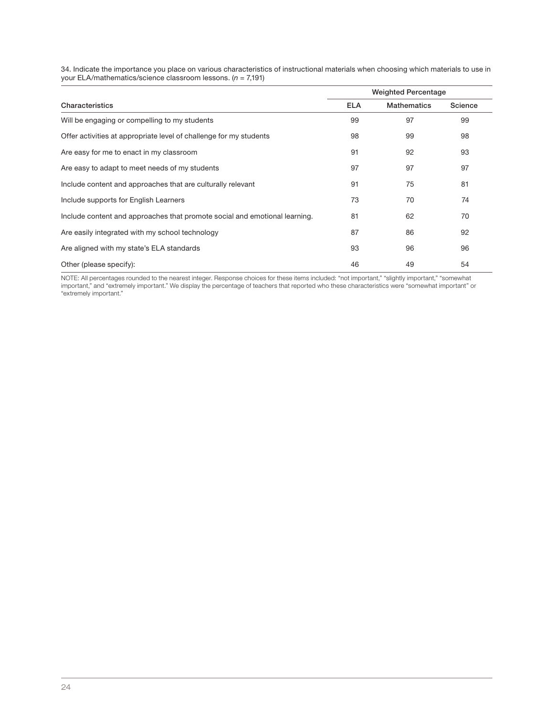34. Indicate the importance you place on various characteristics of instructional materials when choosing which materials to use in<br>your ELA/mathematics/science classroom lessons. (*n =* 7,191)

|                                                                            | <b>Weighted Percentage</b> |                    |         |  |
|----------------------------------------------------------------------------|----------------------------|--------------------|---------|--|
| Characteristics                                                            | <b>ELA</b>                 | <b>Mathematics</b> | Science |  |
| Will be engaging or compelling to my students                              | 99                         | 97                 | 99      |  |
| Offer activities at appropriate level of challenge for my students         | 98                         | 99                 | 98      |  |
| Are easy for me to enact in my classroom                                   | 91                         | 92                 | 93      |  |
| Are easy to adapt to meet needs of my students                             | 97                         | 97                 | 97      |  |
| Include content and approaches that are culturally relevant                | 91                         | 75                 | 81      |  |
| Include supports for English Learners                                      | 73                         | 70                 | 74      |  |
| Include content and approaches that promote social and emotional learning. | 81                         | 62                 | 70      |  |
| Are easily integrated with my school technology                            | 87                         | 86                 | 92      |  |
| Are aligned with my state's ELA standards                                  | 93                         | 96                 | 96      |  |
| Other (please specify):                                                    | 46                         | 49                 | 54      |  |

NOTE: All percentages rounded to the nearest integer. Response choices for these items included: "not important," "slightly important," "somewhat important," and "extremely important." We display the percentage of teachers that reported who these characteristics were "somewhat important" or "extremely important."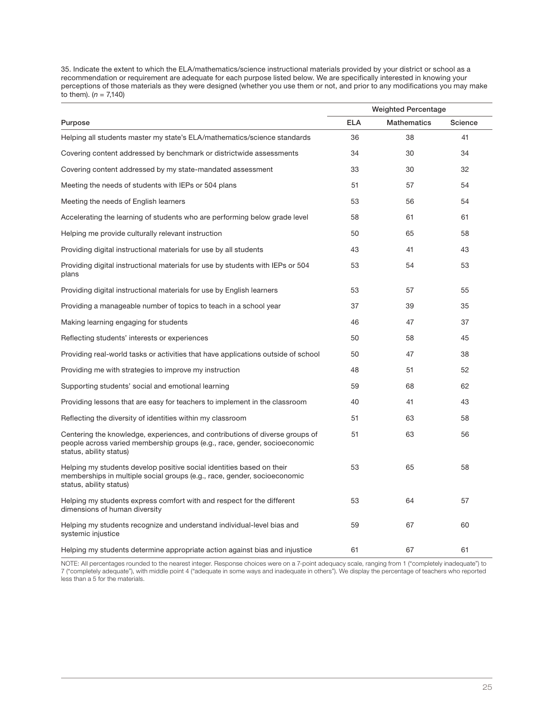35. Indicate the extent to which the ELA/mathematics/science instructional materials provided by your district or school as a recommendation or requirement are adequate for each purpose listed below. We are specifically interested in knowing your perceptions of those materials as they were designed (whether you use them or not, and prior to any modifications you may make to them).  $(n = 7,140)$ 

|                                                                                                                                                                                      | <b>Weighted Percentage</b> |                    |         |  |
|--------------------------------------------------------------------------------------------------------------------------------------------------------------------------------------|----------------------------|--------------------|---------|--|
| Purpose                                                                                                                                                                              | <b>ELA</b>                 | <b>Mathematics</b> | Science |  |
| Helping all students master my state's ELA/mathematics/science standards                                                                                                             | 36                         | 38                 | 41      |  |
| Covering content addressed by benchmark or districtwide assessments                                                                                                                  | 34                         | 30                 | 34      |  |
| Covering content addressed by my state-mandated assessment                                                                                                                           | 33                         | 30                 | 32      |  |
| Meeting the needs of students with IEPs or 504 plans                                                                                                                                 | 51                         | 57                 | 54      |  |
| Meeting the needs of English learners                                                                                                                                                | 53                         | 56                 | 54      |  |
| Accelerating the learning of students who are performing below grade level                                                                                                           | 58                         | 61                 | 61      |  |
| Helping me provide culturally relevant instruction                                                                                                                                   | 50                         | 65                 | 58      |  |
| Providing digital instructional materials for use by all students                                                                                                                    | 43                         | 41                 | 43      |  |
| Providing digital instructional materials for use by students with IEPs or 504<br>plans                                                                                              | 53                         | 54                 | 53      |  |
| Providing digital instructional materials for use by English learners                                                                                                                | 53                         | 57                 | 55      |  |
| Providing a manageable number of topics to teach in a school year                                                                                                                    | 37                         | 39                 | 35      |  |
| Making learning engaging for students                                                                                                                                                | 46                         | 47                 | 37      |  |
| Reflecting students' interests or experiences                                                                                                                                        | 50                         | 58                 | 45      |  |
| Providing real-world tasks or activities that have applications outside of school                                                                                                    | 50                         | 47                 | 38      |  |
| Providing me with strategies to improve my instruction                                                                                                                               | 48                         | 51                 | 52      |  |
| Supporting students' social and emotional learning                                                                                                                                   | 59                         | 68                 | 62      |  |
| Providing lessons that are easy for teachers to implement in the classroom                                                                                                           | 40                         | 41                 | 43      |  |
| Reflecting the diversity of identities within my classroom                                                                                                                           | 51                         | 63                 | 58      |  |
| Centering the knowledge, experiences, and contributions of diverse groups of<br>people across varied membership groups (e.g., race, gender, socioeconomic<br>status, ability status) | 51                         | 63                 | 56      |  |
| Helping my students develop positive social identities based on their<br>memberships in multiple social groups (e.g., race, gender, socioeconomic<br>status, ability status)         | 53                         | 65                 | 58      |  |
| Helping my students express comfort with and respect for the different<br>dimensions of human diversity                                                                              | 53                         | 64                 | 57      |  |
| Helping my students recognize and understand individual-level bias and<br>systemic injustice                                                                                         | 59                         | 67                 | 60      |  |
| Helping my students determine appropriate action against bias and injustice                                                                                                          | 61                         | 67                 | 61      |  |

NOTE: All percentages rounded to the nearest integer. Response choices were on a 7-point adequacy scale, ranging from 1 ("completely inadequate") to 7 ("completely adequate"), with middle point 4 ("adequate in some ways and inadequate in others"). We display the percentage of teachers who reported less than a 5 for the materials.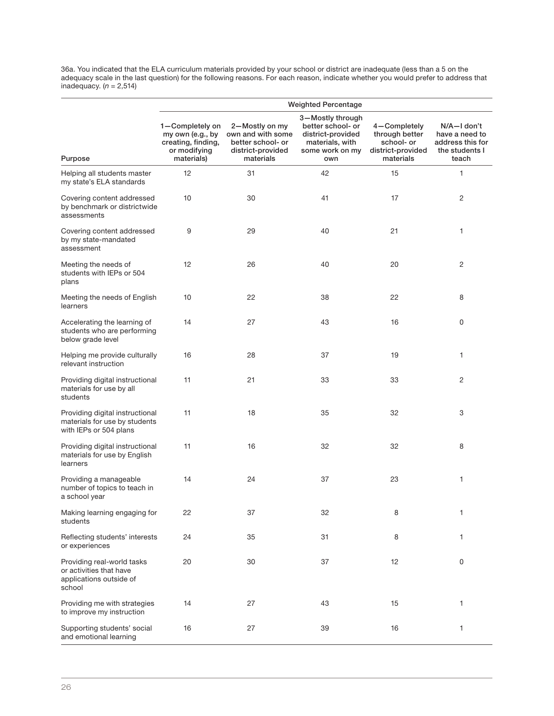36a. You indicated that the ELA curriculum materials provided by your school or district are inadequate (less than a 5 on the adequacy scale in the last question) for the following reasons. For each reason, indicate whether you would prefer to address that inadequacy.  $(n = 2,514)$ 

|                                                                                            |                                                                                         |                                                                                            | <b>Weighted Percentage</b>                                                                              |                                                                                |                                                                              |
|--------------------------------------------------------------------------------------------|-----------------------------------------------------------------------------------------|--------------------------------------------------------------------------------------------|---------------------------------------------------------------------------------------------------------|--------------------------------------------------------------------------------|------------------------------------------------------------------------------|
| Purpose                                                                                    | 1-Completely on<br>my own (e.g., by<br>creating, finding,<br>or modifying<br>materials) | 2-Mostly on my<br>own and with some<br>better school- or<br>district-provided<br>materials | 3-Mostly through<br>better school- or<br>district-provided<br>materials, with<br>some work on my<br>own | 4-Completely<br>through better<br>school- or<br>district-provided<br>materials | N/A—I don't<br>have a need to<br>address this for<br>the students I<br>teach |
| Helping all students master<br>my state's ELA standards                                    | 12                                                                                      | 31                                                                                         | 42                                                                                                      | 15                                                                             | 1                                                                            |
| Covering content addressed<br>by benchmark or districtwide<br>assessments                  | 10                                                                                      | 30                                                                                         | 41                                                                                                      | 17                                                                             | 2                                                                            |
| Covering content addressed<br>by my state-mandated<br>assessment                           | 9                                                                                       | 29                                                                                         | 40                                                                                                      | 21                                                                             | 1                                                                            |
| Meeting the needs of<br>students with IEPs or 504<br>plans                                 | 12                                                                                      | 26                                                                                         | 40                                                                                                      | 20                                                                             | 2                                                                            |
| Meeting the needs of English<br>learners                                                   | 10                                                                                      | 22                                                                                         | 38                                                                                                      | 22                                                                             | 8                                                                            |
| Accelerating the learning of<br>students who are performing<br>below grade level           | 14                                                                                      | 27                                                                                         | 43                                                                                                      | 16                                                                             | 0                                                                            |
| Helping me provide culturally<br>relevant instruction                                      | 16                                                                                      | 28                                                                                         | 37                                                                                                      | 19                                                                             | 1                                                                            |
| Providing digital instructional<br>materials for use by all<br>students                    | 11                                                                                      | 21                                                                                         | 33                                                                                                      | 33                                                                             | 2                                                                            |
| Providing digital instructional<br>materials for use by students<br>with IEPs or 504 plans | 11                                                                                      | 18                                                                                         | 35                                                                                                      | 32                                                                             | 3                                                                            |
| Providing digital instructional<br>materials for use by English<br>learners                | 11                                                                                      | 16                                                                                         | 32                                                                                                      | 32                                                                             | 8                                                                            |
| Providing a manageable<br>number of topics to teach in<br>a school year                    | 14                                                                                      | 24                                                                                         | 37                                                                                                      | 23                                                                             | 1                                                                            |
| Making learning engaging for<br>students                                                   | 22                                                                                      | 37                                                                                         | 32                                                                                                      | 8                                                                              | 1                                                                            |
| Reflecting students' interests<br>or experiences                                           | 24                                                                                      | 35                                                                                         | 31                                                                                                      | 8                                                                              | 1                                                                            |
| Providing real-world tasks<br>or activities that have<br>applications outside of<br>school | 20                                                                                      | 30                                                                                         | 37                                                                                                      | 12                                                                             | 0                                                                            |
| Providing me with strategies<br>to improve my instruction                                  | 14                                                                                      | 27                                                                                         | 43                                                                                                      | 15                                                                             | 1                                                                            |
| Supporting students' social<br>and emotional learning                                      | 16                                                                                      | 27                                                                                         | 39                                                                                                      | 16                                                                             | 1                                                                            |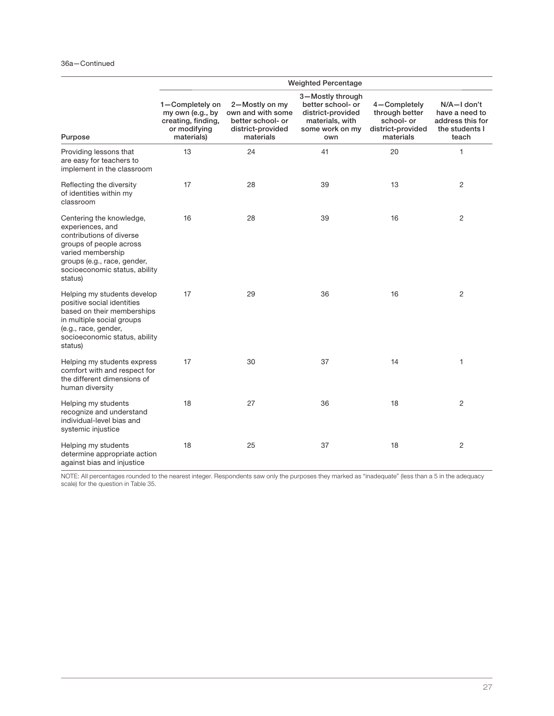### 36a—Continued

|                                                                                                                                                                                                     | <b>Weighted Percentage</b>                                                              |                                                                                            |                                                                                                         |                                                                                |                                                                              |  |
|-----------------------------------------------------------------------------------------------------------------------------------------------------------------------------------------------------|-----------------------------------------------------------------------------------------|--------------------------------------------------------------------------------------------|---------------------------------------------------------------------------------------------------------|--------------------------------------------------------------------------------|------------------------------------------------------------------------------|--|
| Purpose                                                                                                                                                                                             | 1-Completely on<br>my own (e.g., by<br>creating, finding,<br>or modifying<br>materials) | 2-Mostly on my<br>own and with some<br>better school- or<br>district-provided<br>materials | 3-Mostly through<br>better school- or<br>district-provided<br>materials, with<br>some work on my<br>own | 4-Completely<br>through better<br>school- or<br>district-provided<br>materials | N/A-I don't<br>have a need to<br>address this for<br>the students I<br>teach |  |
| Providing lessons that<br>are easy for teachers to<br>implement in the classroom                                                                                                                    | 13                                                                                      | 24                                                                                         | 41                                                                                                      | 20                                                                             | 1                                                                            |  |
| Reflecting the diversity<br>of identities within my<br>classroom                                                                                                                                    | 17                                                                                      | 28                                                                                         | 39                                                                                                      | 13                                                                             | $\overline{2}$                                                               |  |
| Centering the knowledge,<br>experiences, and<br>contributions of diverse<br>groups of people across<br>varied membership<br>groups (e.g., race, gender,<br>socioeconomic status, ability<br>status) | 16                                                                                      | 28                                                                                         | 39                                                                                                      | 16                                                                             | 2                                                                            |  |
| Helping my students develop<br>positive social identities<br>based on their memberships<br>in multiple social groups<br>(e.g., race, gender,<br>socioeconomic status, ability<br>status)            | 17                                                                                      | 29                                                                                         | 36                                                                                                      | 16                                                                             | 2                                                                            |  |
| Helping my students express<br>comfort with and respect for<br>the different dimensions of<br>human diversity                                                                                       | 17                                                                                      | 30                                                                                         | 37                                                                                                      | 14                                                                             | 1                                                                            |  |
| Helping my students<br>recognize and understand<br>individual-level bias and<br>systemic injustice                                                                                                  | 18                                                                                      | 27                                                                                         | 36                                                                                                      | 18                                                                             | 2                                                                            |  |
| Helping my students<br>determine appropriate action<br>against bias and injustice                                                                                                                   | 18                                                                                      | 25                                                                                         | 37                                                                                                      | 18                                                                             | 2                                                                            |  |

NOTE: All percentages rounded to the nearest integer. Respondents saw only the purposes they marked as "inadequate" (less than a 5 in the adequacy scale) for the question in Table 35.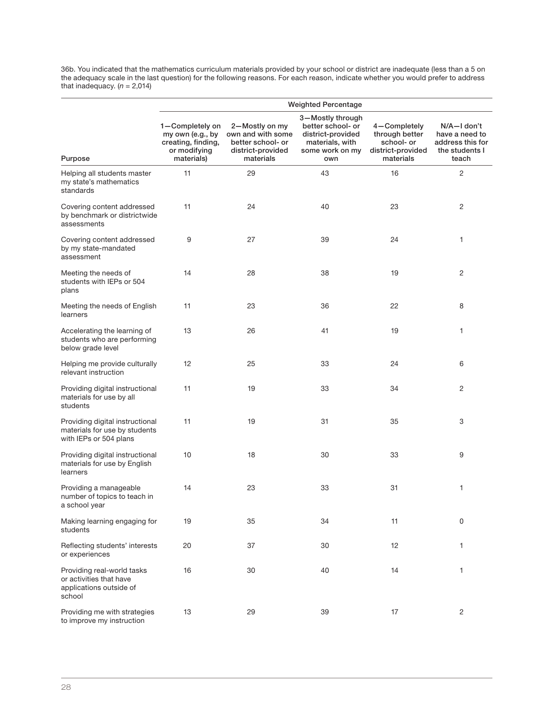36b. You indicated that the mathematics curriculum materials provided by your school or district are inadequate (less than a 5 on the adequacy scale in the last question) for the following reasons. For each reason, indicate whether you would prefer to address that inadequacy.  $(n = 2,014)$ 

|                                                                                            |                                                                                         |                                                                                            | <b>Weighted Percentage</b>                                                                              |                                                                                |                                                                              |
|--------------------------------------------------------------------------------------------|-----------------------------------------------------------------------------------------|--------------------------------------------------------------------------------------------|---------------------------------------------------------------------------------------------------------|--------------------------------------------------------------------------------|------------------------------------------------------------------------------|
| Purpose                                                                                    | 1-Completely on<br>my own (e.g., by<br>creating, finding,<br>or modifying<br>materials) | 2-Mostly on my<br>own and with some<br>better school- or<br>district-provided<br>materials | 3-Mostly through<br>better school- or<br>district-provided<br>materials, with<br>some work on my<br>own | 4-Completely<br>through better<br>school- or<br>district-provided<br>materials | N/A—I don't<br>have a need to<br>address this for<br>the students I<br>teach |
| Helping all students master<br>my state's mathematics<br>standards                         | 11                                                                                      | 29                                                                                         | 43                                                                                                      | 16                                                                             | $\overline{c}$                                                               |
| Covering content addressed<br>by benchmark or districtwide<br>assessments                  | 11                                                                                      | 24                                                                                         | 40                                                                                                      | 23                                                                             | 2                                                                            |
| Covering content addressed<br>by my state-mandated<br>assessment                           | 9                                                                                       | 27                                                                                         | 39                                                                                                      | 24                                                                             | 1                                                                            |
| Meeting the needs of<br>students with IEPs or 504<br>plans                                 | 14                                                                                      | 28                                                                                         | 38                                                                                                      | 19                                                                             | $\overline{c}$                                                               |
| Meeting the needs of English<br>learners                                                   | 11                                                                                      | 23                                                                                         | 36                                                                                                      | 22                                                                             | 8                                                                            |
| Accelerating the learning of<br>students who are performing<br>below grade level           | 13                                                                                      | 26                                                                                         | 41                                                                                                      | 19                                                                             | 1                                                                            |
| Helping me provide culturally<br>relevant instruction                                      | 12                                                                                      | 25                                                                                         | 33                                                                                                      | 24                                                                             | 6                                                                            |
| Providing digital instructional<br>materials for use by all<br>students                    | 11                                                                                      | 19                                                                                         | 33                                                                                                      | 34                                                                             | $\overline{c}$                                                               |
| Providing digital instructional<br>materials for use by students<br>with IEPs or 504 plans | 11                                                                                      | 19                                                                                         | 31                                                                                                      | 35                                                                             | 3                                                                            |
| Providing digital instructional<br>materials for use by English<br>learners                | 10                                                                                      | 18                                                                                         | 30                                                                                                      | 33                                                                             | 9                                                                            |
| Providing a manageable<br>number of topics to teach in<br>a school year                    | 14                                                                                      | 23                                                                                         | 33                                                                                                      | 31                                                                             | 1                                                                            |
| Making learning engaging for<br>students                                                   | 19                                                                                      | 35                                                                                         | 34                                                                                                      | 11                                                                             | $\boldsymbol{0}$                                                             |
| Reflecting students' interests<br>or experiences                                           | 20                                                                                      | 37                                                                                         | 30                                                                                                      | 12                                                                             | 1                                                                            |
| Providing real-world tasks<br>or activities that have<br>applications outside of<br>school | 16                                                                                      | 30                                                                                         | 40                                                                                                      | 14                                                                             | 1                                                                            |
| Providing me with strategies<br>to improve my instruction                                  | 13                                                                                      | 29                                                                                         | 39                                                                                                      | 17                                                                             | $\sqrt{2}$                                                                   |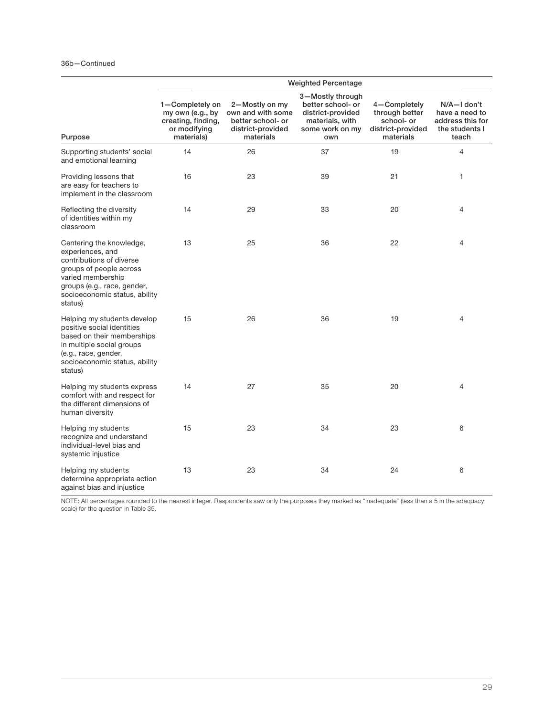|                                                                                                                                                                                                     | <b>Weighted Percentage</b>                                                              |                                                                                            |                                                                                                         |                                                                                |                                                                                  |
|-----------------------------------------------------------------------------------------------------------------------------------------------------------------------------------------------------|-----------------------------------------------------------------------------------------|--------------------------------------------------------------------------------------------|---------------------------------------------------------------------------------------------------------|--------------------------------------------------------------------------------|----------------------------------------------------------------------------------|
| Purpose                                                                                                                                                                                             | 1-Completely on<br>my own (e.g., by<br>creating, finding,<br>or modifying<br>materials) | 2-Mostly on my<br>own and with some<br>better school- or<br>district-provided<br>materials | 3-Mostly through<br>better school- or<br>district-provided<br>materials, with<br>some work on my<br>own | 4-Completely<br>through better<br>school- or<br>district-provided<br>materials | $N/A - I$ don't<br>have a need to<br>address this for<br>the students I<br>teach |
| Supporting students' social<br>and emotional learning                                                                                                                                               | 14                                                                                      | 26                                                                                         | 37                                                                                                      | 19                                                                             | 4                                                                                |
| Providing lessons that<br>are easy for teachers to<br>implement in the classroom                                                                                                                    | 16                                                                                      | 23                                                                                         | 39                                                                                                      | 21                                                                             | 1                                                                                |
| Reflecting the diversity<br>of identities within my<br>classroom                                                                                                                                    | 14                                                                                      | 29                                                                                         | 33                                                                                                      | 20                                                                             | 4                                                                                |
| Centering the knowledge,<br>experiences, and<br>contributions of diverse<br>groups of people across<br>varied membership<br>groups (e.g., race, gender,<br>socioeconomic status, ability<br>status) | 13                                                                                      | 25                                                                                         | 36                                                                                                      | 22                                                                             | $\overline{4}$                                                                   |
| Helping my students develop<br>positive social identities<br>based on their memberships<br>in multiple social groups<br>(e.g., race, gender,<br>socioeconomic status, ability<br>status)            | 15                                                                                      | 26                                                                                         | 36                                                                                                      | 19                                                                             | 4                                                                                |
| Helping my students express<br>comfort with and respect for<br>the different dimensions of<br>human diversity                                                                                       | 14                                                                                      | 27                                                                                         | 35                                                                                                      | 20                                                                             | $\overline{4}$                                                                   |
| Helping my students<br>recognize and understand<br>individual-level bias and<br>systemic injustice                                                                                                  | 15                                                                                      | 23                                                                                         | 34                                                                                                      | 23                                                                             | 6                                                                                |
| Helping my students<br>determine appropriate action<br>against bias and injustice                                                                                                                   | 13                                                                                      | 23                                                                                         | 34                                                                                                      | 24                                                                             | 6                                                                                |

NOTE: All percentages rounded to the nearest integer. Respondents saw only the purposes they marked as "inadequate" (less than a 5 in the adequacy scale) for the question in Table 35.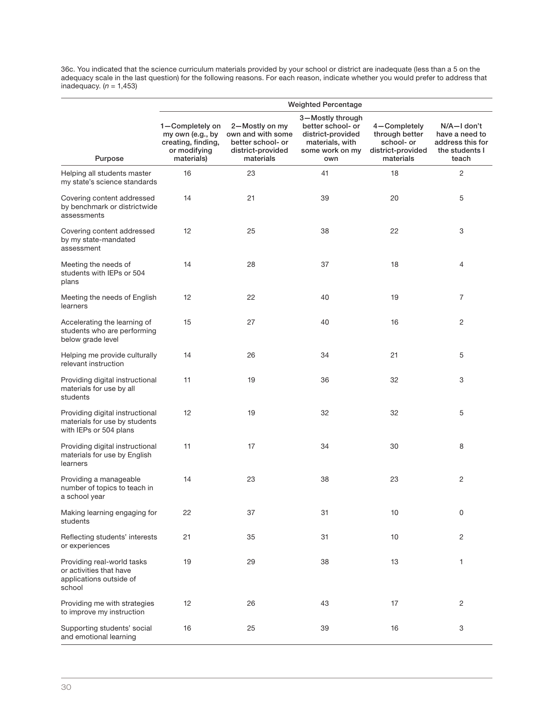36c. You indicated that the science curriculum materials provided by your school or district are inadequate (less than a 5 on the adequacy scale in the last question) for the following reasons. For each reason, indicate whether you would prefer to address that inadequacy.  $(n = 1,453)$ 

|                                                                                            |                                                                                         |                                                                                            | <b>Weighted Percentage</b>                                                                              |                                                                                |                                                                              |
|--------------------------------------------------------------------------------------------|-----------------------------------------------------------------------------------------|--------------------------------------------------------------------------------------------|---------------------------------------------------------------------------------------------------------|--------------------------------------------------------------------------------|------------------------------------------------------------------------------|
| Purpose                                                                                    | 1-Completely on<br>my own (e.g., by<br>creating, finding,<br>or modifying<br>materials) | 2-Mostly on my<br>own and with some<br>better school- or<br>district-provided<br>materials | 3-Mostly through<br>better school- or<br>district-provided<br>materials, with<br>some work on my<br>own | 4-Completely<br>through better<br>school- or<br>district-provided<br>materials | N/A-I don't<br>have a need to<br>address this for<br>the students I<br>teach |
| Helping all students master<br>my state's science standards                                | 16                                                                                      | 23                                                                                         | 41                                                                                                      | 18                                                                             | 2                                                                            |
| Covering content addressed<br>by benchmark or districtwide<br>assessments                  | 14                                                                                      | 21                                                                                         | 39                                                                                                      | 20                                                                             | 5                                                                            |
| Covering content addressed<br>by my state-mandated<br>assessment                           | 12                                                                                      | 25                                                                                         | 38                                                                                                      | 22                                                                             | 3                                                                            |
| Meeting the needs of<br>students with IEPs or 504<br>plans                                 | 14                                                                                      | 28                                                                                         | 37                                                                                                      | 18                                                                             | 4                                                                            |
| Meeting the needs of English<br>learners                                                   | 12                                                                                      | 22                                                                                         | 40                                                                                                      | 19                                                                             | $\overline{7}$                                                               |
| Accelerating the learning of<br>students who are performing<br>below grade level           | 15                                                                                      | 27                                                                                         | 40                                                                                                      | 16                                                                             | 2                                                                            |
| Helping me provide culturally<br>relevant instruction                                      | 14                                                                                      | 26                                                                                         | 34                                                                                                      | 21                                                                             | 5                                                                            |
| Providing digital instructional<br>materials for use by all<br>students                    | 11                                                                                      | 19                                                                                         | 36                                                                                                      | 32                                                                             | 3                                                                            |
| Providing digital instructional<br>materials for use by students<br>with IEPs or 504 plans | 12                                                                                      | 19                                                                                         | 32                                                                                                      | 32                                                                             | 5                                                                            |
| Providing digital instructional<br>materials for use by English<br>learners                | 11                                                                                      | 17                                                                                         | 34                                                                                                      | 30                                                                             | 8                                                                            |
| Providing a manageable<br>number of topics to teach in<br>a school year                    | 14                                                                                      | 23                                                                                         | 38                                                                                                      | 23                                                                             | 2                                                                            |
| Making learning engaging for<br>students                                                   | 22                                                                                      | 37                                                                                         | 31                                                                                                      | 10                                                                             | 0                                                                            |
| Reflecting students' interests<br>or experiences                                           | 21                                                                                      | 35                                                                                         | 31                                                                                                      | 10                                                                             | 2                                                                            |
| Providing real-world tasks<br>or activities that have<br>applications outside of<br>school | 19                                                                                      | 29                                                                                         | 38                                                                                                      | 13                                                                             | 1                                                                            |
| Providing me with strategies<br>to improve my instruction                                  | 12                                                                                      | 26                                                                                         | 43                                                                                                      | 17                                                                             | 2                                                                            |
| Supporting students' social<br>and emotional learning                                      | 16                                                                                      | 25                                                                                         | 39                                                                                                      | 16                                                                             | 3                                                                            |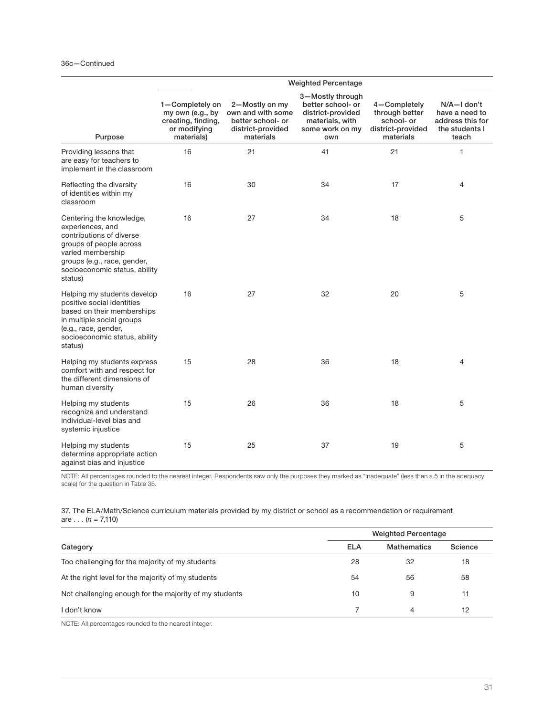|                                                                                                                                                                                                     |                                                                                         | <b>Weighted Percentage</b>                                                                 |                                                                                                         |                                                                                |                                                                              |  |
|-----------------------------------------------------------------------------------------------------------------------------------------------------------------------------------------------------|-----------------------------------------------------------------------------------------|--------------------------------------------------------------------------------------------|---------------------------------------------------------------------------------------------------------|--------------------------------------------------------------------------------|------------------------------------------------------------------------------|--|
| Purpose                                                                                                                                                                                             | 1-Completely on<br>my own (e.g., by<br>creating, finding,<br>or modifying<br>materials) | 2-Mostly on my<br>own and with some<br>better school- or<br>district-provided<br>materials | 3-Mostly through<br>better school- or<br>district-provided<br>materials, with<br>some work on my<br>own | 4-Completely<br>through better<br>school- or<br>district-provided<br>materials | N/A-I don't<br>have a need to<br>address this for<br>the students I<br>teach |  |
| Providing lessons that<br>are easy for teachers to<br>implement in the classroom                                                                                                                    | 16                                                                                      | 21                                                                                         | 41                                                                                                      | 21                                                                             | 1                                                                            |  |
| Reflecting the diversity<br>of identities within my<br>classroom                                                                                                                                    | 16                                                                                      | 30                                                                                         | 34                                                                                                      | 17                                                                             | $\overline{4}$                                                               |  |
| Centering the knowledge,<br>experiences, and<br>contributions of diverse<br>groups of people across<br>varied membership<br>groups (e.g., race, gender,<br>socioeconomic status, ability<br>status) | 16                                                                                      | 27                                                                                         | 34                                                                                                      | 18                                                                             | 5                                                                            |  |
| Helping my students develop<br>positive social identities<br>based on their memberships<br>in multiple social groups<br>(e.g., race, gender,<br>socioeconomic status, ability<br>status)            | 16                                                                                      | 27                                                                                         | 32                                                                                                      | 20                                                                             | 5                                                                            |  |
| Helping my students express<br>comfort with and respect for<br>the different dimensions of<br>human diversity                                                                                       | 15                                                                                      | 28                                                                                         | 36                                                                                                      | 18                                                                             | 4                                                                            |  |
| Helping my students<br>recognize and understand<br>individual-level bias and<br>systemic injustice                                                                                                  | 15                                                                                      | 26                                                                                         | 36                                                                                                      | 18                                                                             | 5                                                                            |  |
| Helping my students<br>determine appropriate action<br>against bias and injustice                                                                                                                   | 15                                                                                      | 25                                                                                         | 37                                                                                                      | 19                                                                             | 5                                                                            |  |

NOTE: All percentages rounded to the nearest integer. Respondents saw only the purposes they marked as "inadequate" (less than a 5 in the adequacy scale) for the question in Table 35.

37. The ELA/Math/Science curriculum materials provided by my district or school as a recommendation or requirement are . . .  $(n = 7,110)$ 

|                                                        |            | <b>Weighted Percentage</b> |         |  |
|--------------------------------------------------------|------------|----------------------------|---------|--|
| Category                                               | <b>ELA</b> | <b>Mathematics</b>         | Science |  |
| Too challenging for the majority of my students        | 28         | 32                         | 18      |  |
| At the right level for the majority of my students     | 54         | 56                         | 58      |  |
| Not challenging enough for the majority of my students | 10         | 9                          | 11      |  |
| l don't know                                           |            | 4                          | 12      |  |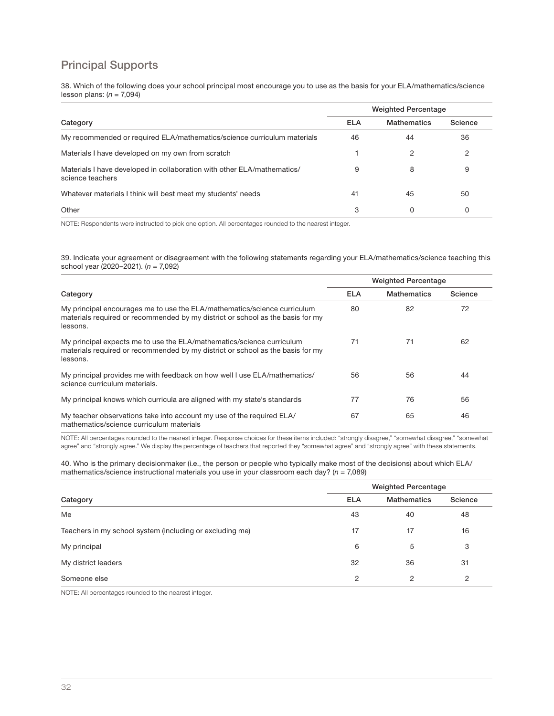## Principal Supports

38. Which of the following does your school principal most encourage you to use as the basis for your ELA/mathematics/science lesson plans:  $(n = 7,094)$ 

|                                                                                             |            | <b>Weighted Percentage</b> |         |  |
|---------------------------------------------------------------------------------------------|------------|----------------------------|---------|--|
| Category                                                                                    | <b>ELA</b> | <b>Mathematics</b>         | Science |  |
| My recommended or required ELA/mathematics/science curriculum materials                     | 46         | 44                         | 36      |  |
| Materials I have developed on my own from scratch                                           |            |                            | 2       |  |
| Materials I have developed in collaboration with other ELA/mathematics/<br>science teachers | 9          | 8                          | 9       |  |
| Whatever materials I think will best meet my students' needs                                | 41         | 45                         | 50      |  |
| Other                                                                                       | 3          | 0                          | 0       |  |

NOTE: Respondents were instructed to pick one option. All percentages rounded to the nearest integer.

39. Indicate your agreement or disagreement with the following statements regarding your ELA/mathematics/science teaching this school year (2020–2021).  $(n = 7,092)$ 

|                                                                                                                                                                        | <b>Weighted Percentage</b> |                    |         |
|------------------------------------------------------------------------------------------------------------------------------------------------------------------------|----------------------------|--------------------|---------|
| Category                                                                                                                                                               | <b>ELA</b>                 | <b>Mathematics</b> | Science |
| My principal encourages me to use the ELA/mathematics/science curriculum<br>materials required or recommended by my district or school as the basis for my<br>lessons. | 80                         | 82                 | 72      |
| My principal expects me to use the ELA/mathematics/science curriculum<br>materials required or recommended by my district or school as the basis for my<br>lessons.    | 71                         | 71                 | 62      |
| My principal provides me with feedback on how well I use ELA/mathematics/<br>science curriculum materials.                                                             | 56                         | 56                 | 44      |
| My principal knows which curricula are aligned with my state's standards                                                                                               | 77                         | 76                 | 56      |
| My teacher observations take into account my use of the required ELA/<br>mathematics/science curriculum materials                                                      | 67                         | 65                 | 46      |

NOTE: All percentages rounded to the nearest integer. Response choices for these items included: "strongly disagree," "somewhat disagree," "somewhat agree" and "strongly agree." We display the percentage of teachers that reported they "somewhat agree" and "strongly agree" with these statements.

40. Who is the primary decisionmaker (i.e., the person or people who typically make most of the decisions) about which ELA/ mathematics/science instructional materials you use in your classroom each day? ( $n = 7,089$ )

|                                                          | <b>Weighted Percentage</b> |                    |         |  |
|----------------------------------------------------------|----------------------------|--------------------|---------|--|
| Category                                                 | <b>ELA</b>                 | <b>Mathematics</b> | Science |  |
| Me                                                       | 43                         | 40                 | 48      |  |
| Teachers in my school system (including or excluding me) | 17                         | 17                 | 16      |  |
| My principal                                             | 6                          | 5                  | 3       |  |
| My district leaders                                      | 32                         | 36                 | 31      |  |
| Someone else                                             | 2                          | 2                  | 2       |  |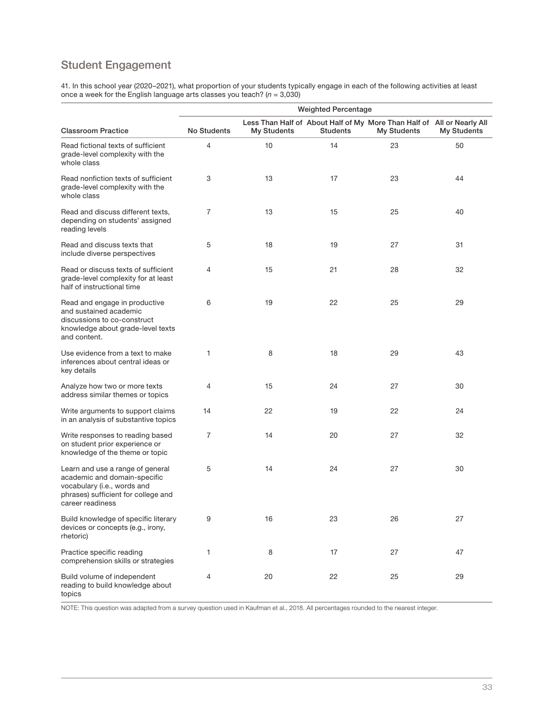## Student Engagement

41. In this school year (2020–2021), what proportion of your students typically engage in each of the following activities at least once a week for the English language arts classes you teach? (n = 3,030)

|                                                                                                                                                            | <b>Weighted Percentage</b> |             |                 |                                                                                              |             |  |  |
|------------------------------------------------------------------------------------------------------------------------------------------------------------|----------------------------|-------------|-----------------|----------------------------------------------------------------------------------------------|-------------|--|--|
| <b>Classroom Practice</b>                                                                                                                                  | No Students                | My Students | <b>Students</b> | Less Than Half of About Half of My More Than Half of All or Nearly All<br><b>My Students</b> | My Students |  |  |
| Read fictional texts of sufficient<br>grade-level complexity with the<br>whole class                                                                       | 4                          | 10          | 14              | 23                                                                                           | 50          |  |  |
| Read nonfiction texts of sufficient<br>grade-level complexity with the<br>whole class                                                                      | 3                          | 13          | 17              | 23                                                                                           | 44          |  |  |
| Read and discuss different texts,<br>depending on students' assigned<br>reading levels                                                                     | $\overline{7}$             | 13          | 15              | 25                                                                                           | 40          |  |  |
| Read and discuss texts that<br>include diverse perspectives                                                                                                | 5                          | 18          | 19              | 27                                                                                           | 31          |  |  |
| Read or discuss texts of sufficient<br>grade-level complexity for at least<br>half of instructional time                                                   | 4                          | 15          | 21              | 28                                                                                           | 32          |  |  |
| Read and engage in productive<br>and sustained academic<br>discussions to co-construct<br>knowledge about grade-level texts<br>and content.                | 6                          | 19          | 22              | 25                                                                                           | 29          |  |  |
| Use evidence from a text to make<br>inferences about central ideas or<br>key details                                                                       | 1                          | 8           | 18              | 29                                                                                           | 43          |  |  |
| Analyze how two or more texts<br>address similar themes or topics                                                                                          | 4                          | 15          | 24              | 27                                                                                           | 30          |  |  |
| Write arguments to support claims<br>in an analysis of substantive topics                                                                                  | 14                         | 22          | 19              | 22                                                                                           | 24          |  |  |
| Write responses to reading based<br>on student prior experience or<br>knowledge of the theme or topic                                                      | 7                          | 14          | 20              | 27                                                                                           | 32          |  |  |
| Learn and use a range of general<br>academic and domain-specific<br>vocabulary (i.e., words and<br>phrases) sufficient for college and<br>career readiness | 5                          | 14          | 24              | 27                                                                                           | 30          |  |  |
| Build knowledge of specific literary<br>devices or concepts (e.g., irony,<br>rhetoric)                                                                     | 9                          | 16          | 23              | 26                                                                                           | 27          |  |  |
| Practice specific reading<br>comprehension skills or strategies                                                                                            | 1                          | 8           | 17              | 27                                                                                           | 47          |  |  |
| Build volume of independent<br>reading to build knowledge about<br>topics                                                                                  | 4                          | 20          | 22              | 25                                                                                           | 29          |  |  |

NOTE: This question was adapted from a survey question used in Kaufman et al., 2018. All percentages rounded to the nearest integer.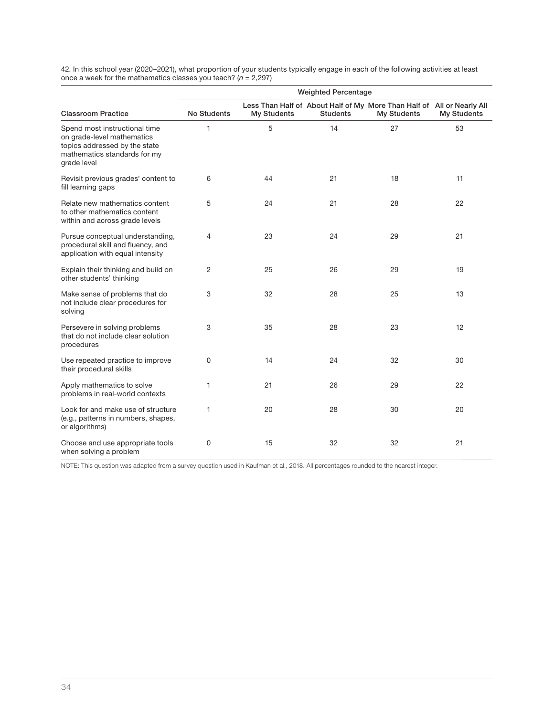42. In this school year (2020–2021), what proportion of your students typically engage in each of the following activities at least<br>once a week for the mathematics classes you teach? (*n* = 2,297)

|                                                                                                                                             | <b>Weighted Percentage</b> |                    |                 |                                                                                              |                    |  |
|---------------------------------------------------------------------------------------------------------------------------------------------|----------------------------|--------------------|-----------------|----------------------------------------------------------------------------------------------|--------------------|--|
| <b>Classroom Practice</b>                                                                                                                   | <b>No Students</b>         | <b>My Students</b> | <b>Students</b> | Less Than Half of About Half of My More Than Half of All or Nearly All<br><b>My Students</b> | <b>My Students</b> |  |
| Spend most instructional time<br>on grade-level mathematics<br>topics addressed by the state<br>mathematics standards for my<br>grade level | 1                          | 5                  | 14              | 27                                                                                           | 53                 |  |
| Revisit previous grades' content to<br>fill learning gaps                                                                                   | 6                          | 44                 | 21              | 18                                                                                           | 11                 |  |
| Relate new mathematics content<br>to other mathematics content<br>within and across grade levels                                            | 5                          | 24                 | 21              | 28                                                                                           | 22                 |  |
| Pursue conceptual understanding,<br>procedural skill and fluency, and<br>application with equal intensity                                   | 4                          | 23                 | 24              | 29                                                                                           | 21                 |  |
| Explain their thinking and build on<br>other students' thinking                                                                             | 2                          | 25                 | 26              | 29                                                                                           | 19                 |  |
| Make sense of problems that do<br>not include clear procedures for<br>solving                                                               | 3                          | 32                 | 28              | 25                                                                                           | 13                 |  |
| Persevere in solving problems<br>that do not include clear solution<br>procedures                                                           | 3                          | 35                 | 28              | 23                                                                                           | 12                 |  |
| Use repeated practice to improve<br>their procedural skills                                                                                 | $\Omega$                   | 14                 | 24              | 32                                                                                           | 30                 |  |
| Apply mathematics to solve<br>problems in real-world contexts                                                                               | 1                          | 21                 | 26              | 29                                                                                           | 22                 |  |
| Look for and make use of structure<br>(e.g., patterns in numbers, shapes,<br>or algorithms)                                                 | $\mathbf{1}$               | 20                 | 28              | 30                                                                                           | 20                 |  |
| Choose and use appropriate tools<br>when solving a problem                                                                                  | 0                          | 15                 | 32              | 32                                                                                           | 21                 |  |

NOTE: This question was adapted from a survey question used in Kaufman et al., 2018. All percentages rounded to the nearest integer.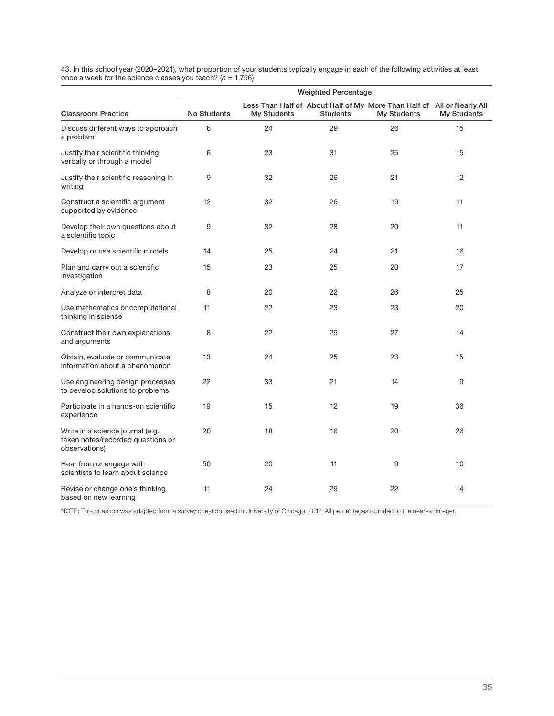43. In this school year (2020–2021), what proportion of your students typically engage in each of the following activities at least once a week for the science classes you teach? (n = 1,756)

|                                                                                         | <b>Weighted Percentage</b> |                    |                 |                                                                                              |             |  |
|-----------------------------------------------------------------------------------------|----------------------------|--------------------|-----------------|----------------------------------------------------------------------------------------------|-------------|--|
| <b>Classroom Practice</b>                                                               | <b>No Students</b>         | <b>My Students</b> | <b>Students</b> | Less Than Half of About Half of My More Than Half of All or Nearly All<br><b>My Students</b> | My Students |  |
| Discuss different ways to approach<br>a problem                                         | 6                          | 24                 | 29              | 26                                                                                           | 15          |  |
| Justify their scientific thinking<br>verbally or through a model                        | 6                          | 23                 | 31              | 25                                                                                           | 15          |  |
| Justify their scientific reasoning in<br>writing                                        | 9                          | 32                 | 26              | 21                                                                                           | 12          |  |
| Construct a scientific argument<br>supported by evidence                                | 12                         | 32                 | 26              | 19                                                                                           | 11          |  |
| Develop their own questions about<br>a scientific topic                                 | 9                          | 32                 | 28              | 20                                                                                           | 11          |  |
| Develop or use scientific models                                                        | 14                         | 25                 | 24              | 21                                                                                           | 16          |  |
| Plan and carry out a scientific<br>investigation                                        | 15                         | 23                 | 25              | 20                                                                                           | 17          |  |
| Analyze or interpret data                                                               | 8                          | 20                 | 22              | 26                                                                                           | 25          |  |
| Use mathematics or computational<br>thinking in science                                 | 11                         | 22                 | 23              | 23                                                                                           | 20          |  |
| Construct their own explanations<br>and arguments                                       | 8                          | 22                 | 29              | 27                                                                                           | 14          |  |
| Obtain, evaluate or communicate<br>information about a phenomenon                       | 13                         | 24                 | 25              | 23                                                                                           | 15          |  |
| Use engineering design processes<br>to develop solutions to problems                    | 22                         | 33                 | 21              | 14                                                                                           | 9           |  |
| Participate in a hands-on scientific<br>experience                                      | 19                         | 15                 | 12              | 19                                                                                           | 36          |  |
| Write in a science journal (e.g.,<br>taken notes/recorded questions or<br>observations) | 20                         | 18                 | 16              | 20                                                                                           | 26          |  |
| Hear from or engage with<br>scientists to learn about science                           | 50                         | 20                 | 11              | 9                                                                                            | 10          |  |
| Revise or change one's thinking<br>based on new learning                                | 11                         | 24                 | 29              | 22                                                                                           | 14          |  |

NOTE: This question was adapted from a survey question used in University of Chicago, 2017. All percentages rounded to the nearest integer.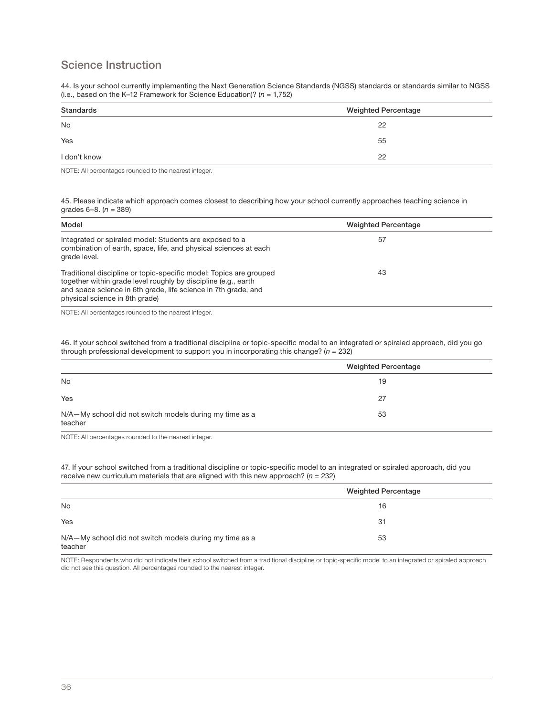## Science Instruction

44. Is your school currently implementing the Next Generation Science Standards (NGSS) standards or standards similar to NGSS (i.e., based on the K-12 Framework for Science Education)?  $(n = 1,752)$ 

| Standards    | <b>Weighted Percentage</b> |  |  |
|--------------|----------------------------|--|--|
| No           | 22                         |  |  |
| Yes          | 55                         |  |  |
| I don't know | 22                         |  |  |

NOTE: All percentages rounded to the nearest integer.

45. Please indicate which approach comes closest to describing how your school currently approaches teaching science in grades  $6-8$ . ( $n = 389$ )

| Model                                                                                                                                                                                                                                    | <b>Weighted Percentage</b> |  |
|------------------------------------------------------------------------------------------------------------------------------------------------------------------------------------------------------------------------------------------|----------------------------|--|
| Integrated or spiraled model: Students are exposed to a<br>combination of earth, space, life, and physical sciences at each<br>grade level.                                                                                              | 57                         |  |
| Traditional discipline or topic-specific model: Topics are grouped<br>together within grade level roughly by discipline (e.g., earth<br>and space science in 6th grade, life science in 7th grade, and<br>physical science in 8th grade) | 43                         |  |

NOTE: All percentages rounded to the nearest integer.

46. If your school switched from a traditional discipline or topic-specific model to an integrated or spiraled approach, did you go through professional development to support you in incorporating this change? ( $n = 232$ )

|                                                                    | <b>Weighted Percentage</b> |
|--------------------------------------------------------------------|----------------------------|
| No                                                                 | 19                         |
| Yes                                                                | 27                         |
| N/A-My school did not switch models during my time as a<br>teacher | 53                         |

NOTE: All percentages rounded to the nearest integer.

47. If your school switched from a traditional discipline or topic-specific model to an integrated or spiraled approach, did you receive new curriculum materials that are aligned with this new approach?  $(n = 232)$ 

|                                                                    | <b>Weighted Percentage</b> |
|--------------------------------------------------------------------|----------------------------|
| No                                                                 | 16                         |
| Yes                                                                | 31                         |
| N/A-My school did not switch models during my time as a<br>teacher | 53                         |

NOTE: Respondents who did not indicate their school switched from a traditional discipline or topic-specific model to an integrated or spiraled approach did not see this question. All percentages rounded to the nearest integer.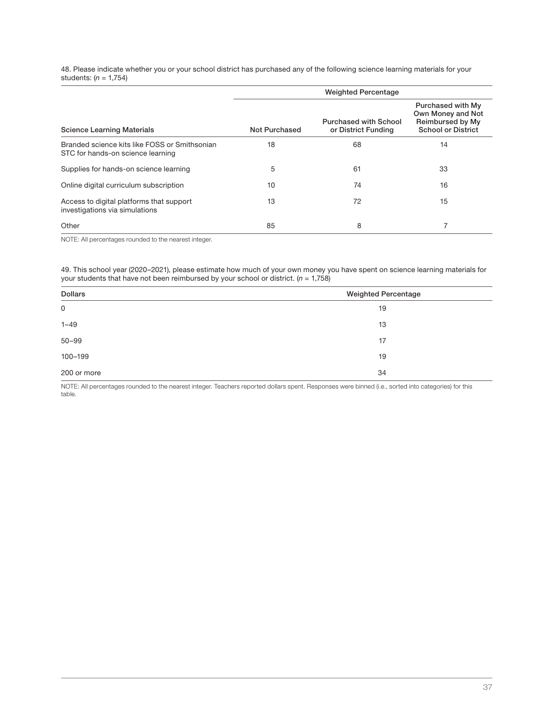48. Please indicate whether you or your school district has purchased any of the following science learning materials for your students:  $(n = 1,754)$ 

|                                                                                    | <b>Weighted Percentage</b> |                                                     |                                                                                         |  |  |
|------------------------------------------------------------------------------------|----------------------------|-----------------------------------------------------|-----------------------------------------------------------------------------------------|--|--|
| <b>Science Learning Materials</b>                                                  | Not Purchased              | <b>Purchased with School</b><br>or District Funding | Purchased with My<br>Own Money and Not<br>Reimbursed by My<br><b>School or District</b> |  |  |
| Branded science kits like FOSS or Smithsonian<br>STC for hands-on science learning | 18                         | 68                                                  | 14                                                                                      |  |  |
| Supplies for hands-on science learning                                             | 5                          | 61                                                  | 33                                                                                      |  |  |
| Online digital curriculum subscription                                             | 10                         | 74                                                  | 16                                                                                      |  |  |
| Access to digital platforms that support<br>investigations via simulations         | 13                         | 72                                                  | 15                                                                                      |  |  |
| Other                                                                              | 85                         | 8                                                   |                                                                                         |  |  |

NOTE: All percentages rounded to the nearest integer.

49. This school year (2020–2021), please estimate how much of your own money you have spent on science learning materials for<br>your students that have not been reimbursed by your school or district. (*n* = 1,758)

| <b>Dollars</b><br><b>Weighted Percentage</b> |    |
|----------------------------------------------|----|
| $\mathsf 0$                                  | 19 |
| $1 - 49$                                     | 13 |
| $50 - 99$                                    | 17 |
| 100-199                                      | 19 |
| 200 or more                                  | 34 |

NOTE: All percentages rounded to the nearest integer. Teachers reported dollars spent. Responses were binned (i.e., sorted into categories) for this table.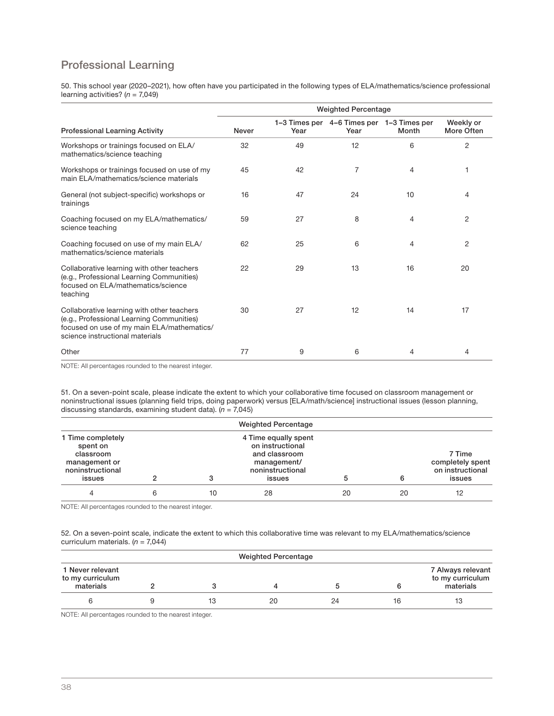## Professional Learning

50. This school year (2020–2021), how often have you participated in the following types of ELA/mathematics/science professional learning activities?  $(n = 7,049)$ 

|                                                                                                                                                                          | <b>Weighted Percentage</b> |      |                                                   |       |                         |  |
|--------------------------------------------------------------------------------------------------------------------------------------------------------------------------|----------------------------|------|---------------------------------------------------|-------|-------------------------|--|
| <b>Professional Learning Activity</b>                                                                                                                                    | <b>Never</b>               | Year | 1-3 Times per 4-6 Times per 1-3 Times per<br>Year | Month | Weekly or<br>More Often |  |
| Workshops or trainings focused on ELA/<br>mathematics/science teaching                                                                                                   | 32                         | 49   | 12                                                | 6     | 2                       |  |
| Workshops or trainings focused on use of my<br>main ELA/mathematics/science materials                                                                                    | 45                         | 42   | 7                                                 | 4     | 1                       |  |
| General (not subject-specific) workshops or<br>trainings                                                                                                                 | 16                         | 47   | 24                                                | 10    | 4                       |  |
| Coaching focused on my ELA/mathematics/<br>science teaching                                                                                                              | 59                         | 27   | 8                                                 | 4     | 2                       |  |
| Coaching focused on use of my main ELA/<br>mathematics/science materials                                                                                                 | 62                         | 25   | 6                                                 | 4     | 2                       |  |
| Collaborative learning with other teachers<br>(e.g., Professional Learning Communities)<br>focused on ELA/mathematics/science<br>teaching                                | 22                         | 29   | 13                                                | 16    | 20                      |  |
| Collaborative learning with other teachers<br>(e.g., Professional Learning Communities)<br>focused on use of my main ELA/mathematics/<br>science instructional materials | 30                         | 27   | 12                                                | 14    | 17                      |  |
| Other                                                                                                                                                                    | 77                         | 9    | 6                                                 | 4     | 4                       |  |

NOTE: All percentages rounded to the nearest integer.

51. On a seven-point scale, please indicate the extent to which your collaborative time focused on classroom management or noninstructional issues (planning field trips, doing paperwork) versus [ELA/math/science] instructional issues (lesson planning, discussing standards, examining student data).  $(n = 7,045)$ 

| <b>Weighted Percentage</b>                                                                |   |    |                                                                                                        |    |    |                                                          |
|-------------------------------------------------------------------------------------------|---|----|--------------------------------------------------------------------------------------------------------|----|----|----------------------------------------------------------|
| 1 Time completely<br>spent on<br>classroom<br>management or<br>noninstructional<br>issues |   |    | 4 Time equally spent<br>on instructional<br>and classroom<br>management/<br>noninstructional<br>issues |    |    | 7 Time<br>completely spent<br>on instructional<br>issues |
|                                                                                           | 6 | 10 | 28                                                                                                     | 20 | 20 | 12                                                       |

NOTE: All percentages rounded to the nearest integer.

52. On a seven-point scale, indicate the extent to which this collaborative time was relevant to my ELA/mathematics/science curriculum materials.  $(n = 7,044)$ 

| <b>Weighted Percentage</b>                        |  |    |    |    |    |                                                    |
|---------------------------------------------------|--|----|----|----|----|----------------------------------------------------|
| 1 Never relevant<br>to my curriculum<br>materials |  |    |    |    |    | 7 Always relevant<br>to my curriculum<br>materials |
|                                                   |  | 13 | 20 | 24 | 16 |                                                    |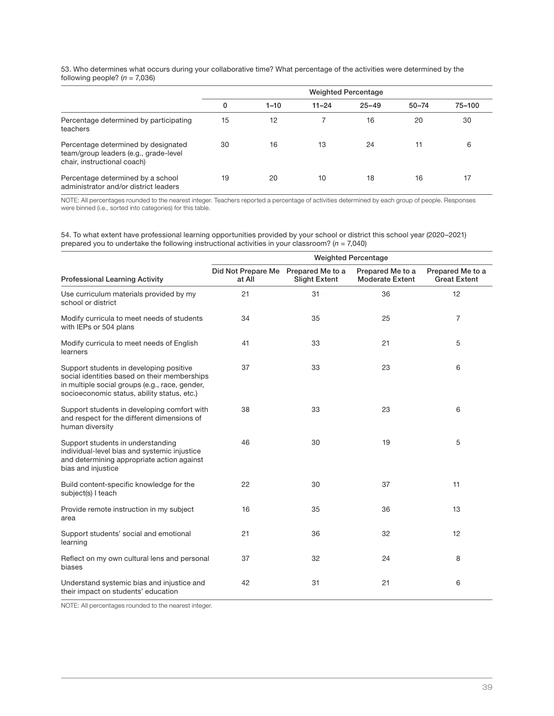| 53. Who determines what occurs during your collaborative time? What percentage of the activities were determined by the |
|-------------------------------------------------------------------------------------------------------------------------|
| following people? $(n = 7,036)$                                                                                         |

|                                                                                                             | <b>Weighted Percentage</b> |          |           |           |           |        |
|-------------------------------------------------------------------------------------------------------------|----------------------------|----------|-----------|-----------|-----------|--------|
|                                                                                                             | 0                          | $1 - 10$ | $11 - 24$ | $25 - 49$ | $50 - 74$ | 75-100 |
| Percentage determined by participating<br>teachers                                                          | 15                         | 12       |           | 16        | 20        | 30     |
| Percentage determined by designated<br>team/group leaders (e.g., grade-level<br>chair, instructional coach) | 30                         | 16       | 13        | 24        | 11        | 6      |
| Percentage determined by a school<br>administrator and/or district leaders                                  | 19                         | 20       | 10        | 18        | 16        | 17     |

NOTE: All percentages rounded to the nearest integer. Teachers reported a percentage of activities determined by each group of people. Responses were binned (i.e., sorted into categories) for this table.

54. To what extent have professional learning opportunities provided by your school or district this school year (2020–2021)<br>prepared you to undertake the following instructional activities in your classroom? (*n =* 7,040)

|                                                                                                                                                                                          |                              | <b>Weighted Percentage</b>               |                                            |                                         |  |  |
|------------------------------------------------------------------------------------------------------------------------------------------------------------------------------------------|------------------------------|------------------------------------------|--------------------------------------------|-----------------------------------------|--|--|
| <b>Professional Learning Activity</b>                                                                                                                                                    | Did Not Prepare Me<br>at All | Prepared Me to a<br><b>Slight Extent</b> | Prepared Me to a<br><b>Moderate Extent</b> | Prepared Me to a<br><b>Great Extent</b> |  |  |
| Use curriculum materials provided by my<br>school or district                                                                                                                            | 21                           | 31                                       | 36                                         | 12                                      |  |  |
| Modify curricula to meet needs of students<br>with IEPs or 504 plans                                                                                                                     | 34                           | 35                                       | 25                                         | 7                                       |  |  |
| Modify curricula to meet needs of English<br>learners                                                                                                                                    | 41                           | 33                                       | 21                                         | 5                                       |  |  |
| Support students in developing positive<br>social identities based on their memberships<br>in multiple social groups (e.g., race, gender,<br>socioeconomic status, ability status, etc.) | 37                           | 33                                       | 23                                         | 6                                       |  |  |
| Support students in developing comfort with<br>and respect for the different dimensions of<br>human diversity                                                                            | 38                           | 33                                       | 23                                         | 6                                       |  |  |
| Support students in understanding<br>individual-level bias and systemic injustice<br>and determining appropriate action against<br>bias and injustice                                    | 46                           | 30                                       | 19                                         | 5                                       |  |  |
| Build content-specific knowledge for the<br>subject(s) I teach                                                                                                                           | 22                           | 30                                       | 37                                         | 11                                      |  |  |
| Provide remote instruction in my subject<br>area                                                                                                                                         | 16                           | 35                                       | 36                                         | 13                                      |  |  |
| Support students' social and emotional<br>learning                                                                                                                                       | 21                           | 36                                       | 32                                         | 12                                      |  |  |
| Reflect on my own cultural lens and personal<br>biases                                                                                                                                   | 37                           | 32                                       | 24                                         | 8                                       |  |  |
| Understand systemic bias and injustice and<br>their impact on students' education                                                                                                        | 42                           | 31                                       | 21                                         | 6                                       |  |  |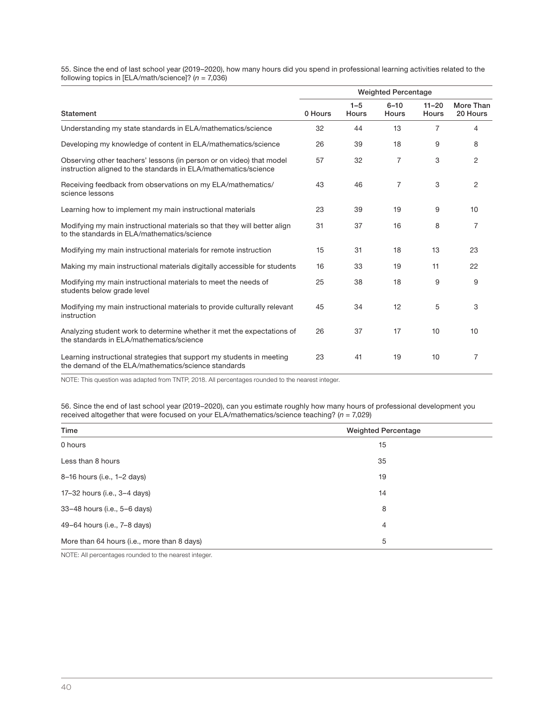55. Since the end of last school year (2019–2020), how many hours did you spend in professional learning activities related to the following topics in [ELA/math/science]? (n = 7,036)

|                                                                                                                                         |         |                         | <b>Weighted Percentage</b> |                           |                       |
|-----------------------------------------------------------------------------------------------------------------------------------------|---------|-------------------------|----------------------------|---------------------------|-----------------------|
| Statement                                                                                                                               | 0 Hours | $1 - 5$<br><b>Hours</b> | $6 - 10$<br>Hours          | $11 - 20$<br><b>Hours</b> | More Than<br>20 Hours |
| Understanding my state standards in ELA/mathematics/science                                                                             | 32      | 44                      | 13                         | $\overline{7}$            | 4                     |
| Developing my knowledge of content in ELA/mathematics/science                                                                           | 26      | 39                      | 18                         | 9                         | 8                     |
| Observing other teachers' lessons (in person or on video) that model<br>instruction aligned to the standards in ELA/mathematics/science | 57      | 32                      | 7                          | 3                         | 2                     |
| Receiving feedback from observations on my ELA/mathematics/<br>science lessons                                                          | 43      | 46                      | $\overline{7}$             | 3                         | $\overline{c}$        |
| Learning how to implement my main instructional materials                                                                               | 23      | 39                      | 19                         | 9                         | 10                    |
| Modifying my main instructional materials so that they will better align<br>to the standards in ELA/mathematics/science                 | 31      | 37                      | 16                         | 8                         | $\overline{7}$        |
| Modifying my main instructional materials for remote instruction                                                                        | 15      | 31                      | 18                         | 13                        | 23                    |
| Making my main instructional materials digitally accessible for students                                                                | 16      | 33                      | 19                         | 11                        | 22                    |
| Modifying my main instructional materials to meet the needs of<br>students below grade level                                            | 25      | 38                      | 18                         | 9                         | 9                     |
| Modifying my main instructional materials to provide culturally relevant<br>instruction                                                 | 45      | 34                      | 12                         | 5                         | 3                     |
| Analyzing student work to determine whether it met the expectations of<br>the standards in ELA/mathematics/science                      | 26      | 37                      | 17                         | 10                        | 10                    |
| Learning instructional strategies that support my students in meeting<br>the demand of the ELA/mathematics/science standards            | 23      | 41                      | 19                         | 10                        | 7                     |

NOTE: This question was adapted from TNTP, 2018. All percentages rounded to the nearest integer.

56. Since the end of last school year (2019–2020), can you estimate roughly how many hours of professional development you<br>received altogether that were focused on your ELA/mathematics/science teaching? (*n =* 7,029)

| Time                                        | <b>Weighted Percentage</b> |
|---------------------------------------------|----------------------------|
| 0 hours                                     | 15                         |
| Less than 8 hours                           | 35                         |
| 8-16 hours (i.e., 1-2 days)                 | 19                         |
| 17-32 hours (i.e., 3-4 days)                | 14                         |
| 33-48 hours (i.e., 5-6 days)                | 8                          |
| 49-64 hours (i.e., 7-8 days)                | $\overline{4}$             |
| More than 64 hours (i.e., more than 8 days) | 5                          |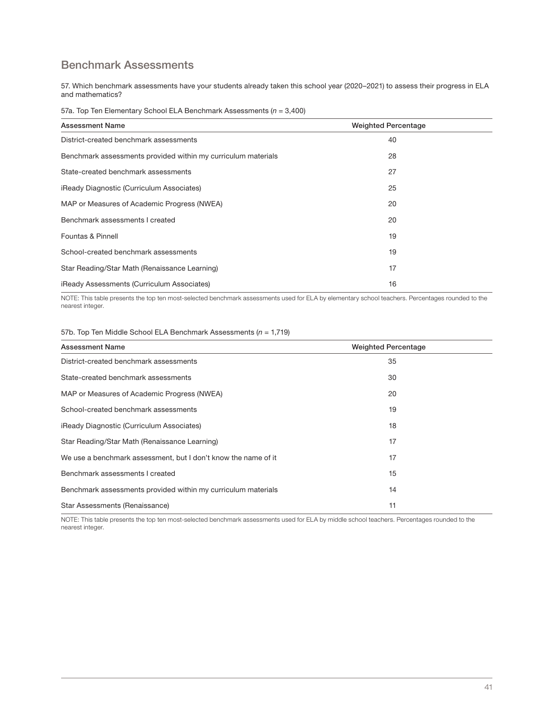## Benchmark Assessments

57. Which benchmark assessments have your students already taken this school year (2020–2021) to assess their progress in ELA and mathematics?

57a. Top Ten Elementary School ELA Benchmark Assessments ( $n = 3,400$ )

| <b>Assessment Name</b>                                        | <b>Weighted Percentage</b> |
|---------------------------------------------------------------|----------------------------|
| District-created benchmark assessments                        | 40                         |
| Benchmark assessments provided within my curriculum materials | 28                         |
| State-created benchmark assessments                           | 27                         |
| iReady Diagnostic (Curriculum Associates)                     | 25                         |
| MAP or Measures of Academic Progress (NWEA)                   | 20                         |
| Benchmark assessments I created                               | 20                         |
| Fountas & Pinnell                                             | 19                         |
| School-created benchmark assessments                          | 19                         |
| Star Reading/Star Math (Renaissance Learning)                 | 17                         |
| iReady Assessments (Curriculum Associates)                    | 16                         |

NOTE: This table presents the top ten most-selected benchmark assessments used for ELA by elementary school teachers. Percentages rounded to the nearest integer.

### 57b. Top Ten Middle School ELA Benchmark Assessments ( $n = 1,719$ )

| <b>Assessment Name</b>                                         | <b>Weighted Percentage</b> |
|----------------------------------------------------------------|----------------------------|
| District-created benchmark assessments                         | 35                         |
| State-created benchmark assessments                            | 30                         |
| MAP or Measures of Academic Progress (NWEA)                    | 20                         |
| School-created benchmark assessments                           | 19                         |
| iReady Diagnostic (Curriculum Associates)                      | 18                         |
| Star Reading/Star Math (Renaissance Learning)                  | 17                         |
| We use a benchmark assessment, but I don't know the name of it | 17                         |
| Benchmark assessments I created                                | 15                         |
| Benchmark assessments provided within my curriculum materials  | 14                         |
| Star Assessments (Renaissance)                                 | 11                         |

NOTE: This table presents the top ten most-selected benchmark assessments used for ELA by middle school teachers. Percentages rounded to the nearest integer.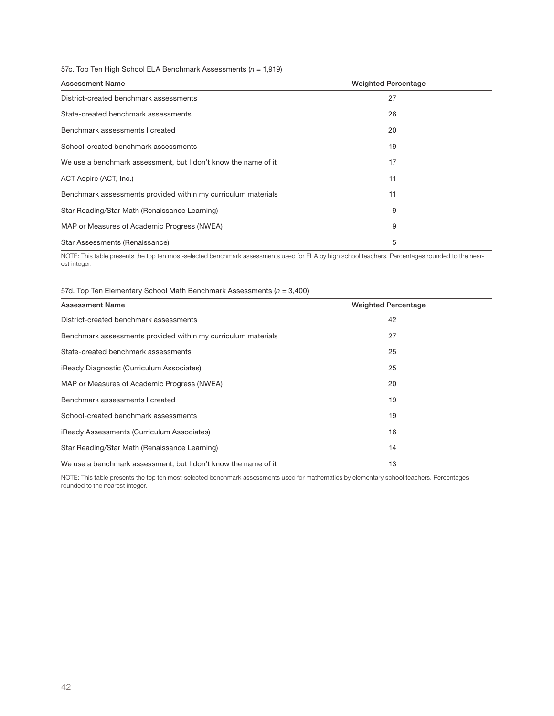### 57c. Top Ten High School ELA Benchmark Assessments ( $n = 1,919$ )

| <b>Assessment Name</b>                                         | <b>Weighted Percentage</b> |
|----------------------------------------------------------------|----------------------------|
| District-created benchmark assessments                         | 27                         |
| State-created benchmark assessments                            | 26                         |
| Benchmark assessments I created                                | 20                         |
| School-created benchmark assessments                           | 19                         |
| We use a benchmark assessment, but I don't know the name of it | 17                         |
| ACT Aspire (ACT, Inc.)                                         | 11                         |
| Benchmark assessments provided within my curriculum materials  | 11                         |
| Star Reading/Star Math (Renaissance Learning)                  | 9                          |
| MAP or Measures of Academic Progress (NWEA)                    | 9                          |
| Star Assessments (Renaissance)                                 | 5                          |

NOTE: This table presents the top ten most-selected benchmark assessments used for ELA by high school teachers. Percentages rounded to the nearest integer.

### 57d. Top Ten Elementary School Math Benchmark Assessments ( $n = 3,400$ )

| <b>Assessment Name</b>                                         | <b>Weighted Percentage</b> |
|----------------------------------------------------------------|----------------------------|
| District-created benchmark assessments                         | 42                         |
| Benchmark assessments provided within my curriculum materials  | 27                         |
| State-created benchmark assessments                            | 25                         |
| iReady Diagnostic (Curriculum Associates)                      | 25                         |
| MAP or Measures of Academic Progress (NWEA)                    | 20                         |
| Benchmark assessments I created                                | 19                         |
| School-created benchmark assessments                           | 19                         |
| <b>iReady Assessments (Curriculum Associates)</b>              | 16                         |
| Star Reading/Star Math (Renaissance Learning)                  | 14                         |
| We use a benchmark assessment, but I don't know the name of it | 13                         |

NOTE: This table presents the top ten most-selected benchmark assessments used for mathematics by elementary school teachers. Percentages rounded to the nearest integer.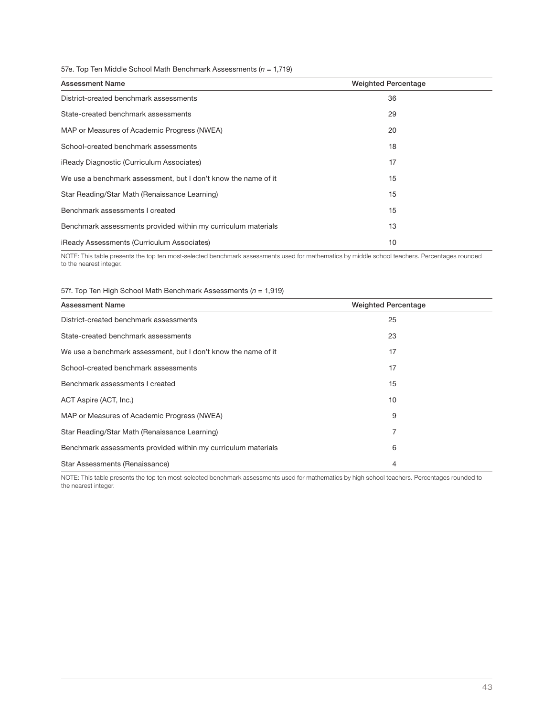### 57e. Top Ten Middle School Math Benchmark Assessments ( $n = 1,719$ )

| <b>Assessment Name</b>                                         | <b>Weighted Percentage</b> |
|----------------------------------------------------------------|----------------------------|
| District-created benchmark assessments                         | 36                         |
| State-created benchmark assessments                            | 29                         |
| MAP or Measures of Academic Progress (NWEA)                    | 20                         |
| School-created benchmark assessments                           | 18                         |
| iReady Diagnostic (Curriculum Associates)                      | 17                         |
| We use a benchmark assessment, but I don't know the name of it | 15                         |
| Star Reading/Star Math (Renaissance Learning)                  | 15                         |
| Benchmark assessments I created                                | 15                         |
| Benchmark assessments provided within my curriculum materials  | 13                         |
| iReady Assessments (Curriculum Associates)                     | 10                         |

NOTE: This table presents the top ten most-selected benchmark assessments used for mathematics by middle school teachers. Percentages rounded to the nearest integer.

### 57f. Top Ten High School Math Benchmark Assessments ( $n = 1,919$ )

| <b>Assessment Name</b>                                         | <b>Weighted Percentage</b> |
|----------------------------------------------------------------|----------------------------|
| District-created benchmark assessments                         | 25                         |
| State-created benchmark assessments                            | 23                         |
| We use a benchmark assessment, but I don't know the name of it | 17                         |
| School-created benchmark assessments                           | 17                         |
| Benchmark assessments I created                                | 15                         |
| ACT Aspire (ACT, Inc.)                                         | 10                         |
| MAP or Measures of Academic Progress (NWEA)                    | 9                          |
| Star Reading/Star Math (Renaissance Learning)                  | 7                          |
| Benchmark assessments provided within my curriculum materials  | 6                          |
| Star Assessments (Renaissance)                                 | 4                          |

NOTE: This table presents the top ten most-selected benchmark assessments used for mathematics by high school teachers. Percentages rounded to the nearest integer.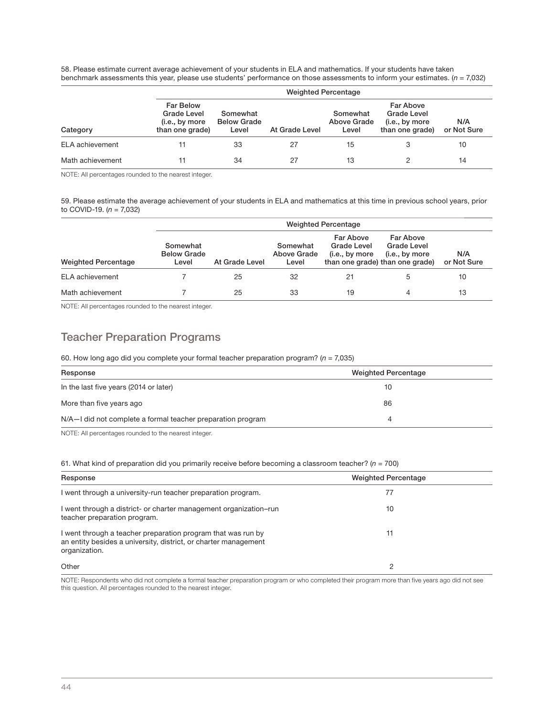58. Please estimate current average achievement of your students in ELA and mathematics. If your students have taken benchmark assessments this year, please use students' performance on those assessments to inform your estimates. ( $n = 7,032$ )

|                  |                                                                             | <b>Weighted Percentage</b>              |                |                                  |                                                                      |                    |  |
|------------------|-----------------------------------------------------------------------------|-----------------------------------------|----------------|----------------------------------|----------------------------------------------------------------------|--------------------|--|
| Category         | <b>Far Below</b><br><b>Grade Level</b><br>(i.e., by more<br>than one grade) | Somewhat<br><b>Below Grade</b><br>Level | At Grade Level | Somewhat<br>Above Grade<br>Level | <b>Far Above</b><br>Grade Level<br>(i.e., by more<br>than one grade) | N/A<br>or Not Sure |  |
| ELA achievement  |                                                                             | 33                                      | 27             | 15                               |                                                                      | 10                 |  |
| Math achievement |                                                                             | 34                                      | 27             | 13                               |                                                                      | 14                 |  |

NOTE: All percentages rounded to the nearest integer.

59. Please estimate the average achievement of your students in ELA and mathematics at this time in previous school years, prior to COVID-19.  $(n = 7,032)$ 

|                            |                                         | <b>Weighted Percentage</b> |                                  |                                                   |                                                                               |                    |
|----------------------------|-----------------------------------------|----------------------------|----------------------------------|---------------------------------------------------|-------------------------------------------------------------------------------|--------------------|
| <b>Weighted Percentage</b> | Somewhat<br><b>Below Grade</b><br>Level | At Grade Level             | Somewhat<br>Above Grade<br>Level | Far Above<br><b>Grade Level</b><br>(i.e., by more | Far Above<br>Grade Level<br>(i.e., by more<br>than one grade) than one grade) | N/A<br>or Not Sure |
| ELA achievement            |                                         | 25                         | 32                               | 21                                                | 5                                                                             | 10                 |
| Math achievement           |                                         | 25                         | 33                               | 19                                                |                                                                               | 13                 |

NOTE: All percentages rounded to the nearest integer.

## Teacher Preparation Programs

### 60. How long ago did you complete your formal teacher preparation program? ( $n = 7,035$ )

| Response                                                    | <b>Weighted Percentage</b> |
|-------------------------------------------------------------|----------------------------|
| In the last five years (2014 or later)                      | 10                         |
| More than five years ago                                    | 86                         |
| N/A-I did not complete a formal teacher preparation program |                            |

NOTE: All percentages rounded to the nearest integer.

### 61. What kind of preparation did you primarily receive before becoming a classroom teacher? ( $n = 700$ )

| Response                                                                                                                                         | <b>Weighted Percentage</b> |  |
|--------------------------------------------------------------------------------------------------------------------------------------------------|----------------------------|--|
| I went through a university-run teacher preparation program.                                                                                     | $\prime\prime$             |  |
| I went through a district- or charter management organization–run<br>teacher preparation program.                                                | 10                         |  |
| I went through a teacher preparation program that was run by<br>an entity besides a university, district, or charter management<br>organization. | 11                         |  |
| Other                                                                                                                                            | റ                          |  |

NOTE: Respondents who did not complete a formal teacher preparation program or who completed their program more than five years ago did not see this question. All percentages rounded to the nearest integer.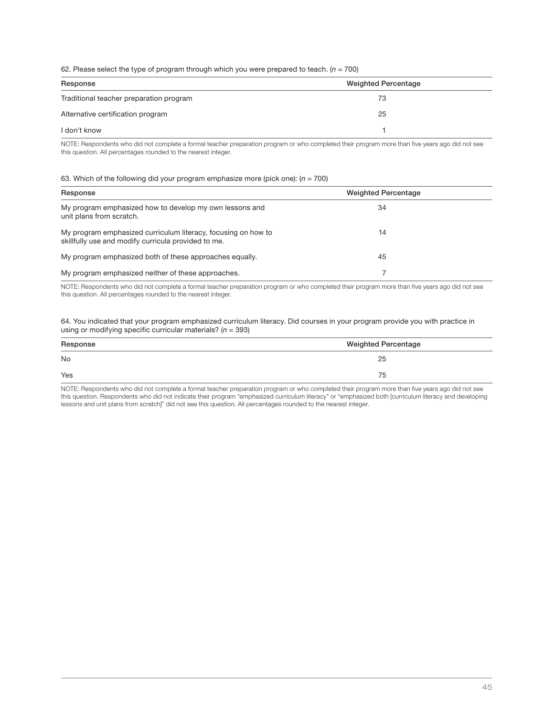### 62. Please select the type of program through which you were prepared to teach. ( $n = 700$ )

| Response                                | Weighted Percentage |
|-----------------------------------------|---------------------|
| Traditional teacher preparation program | 73                  |
| Alternative certification program       | 25                  |
| l don't know                            |                     |

NOTE: Respondents who did not complete a formal teacher preparation program or who completed their program more than five years ago did not see this question. All percentages rounded to the nearest integer.

### 63. Which of the following did your program emphasize more (pick one):  $(n = 700)$

| Response                                                                                                             | <b>Weighted Percentage</b> |  |
|----------------------------------------------------------------------------------------------------------------------|----------------------------|--|
| My program emphasized how to develop my own lessons and<br>unit plans from scratch.                                  | 34                         |  |
| My program emphasized curriculum literacy, focusing on how to<br>skillfully use and modify curricula provided to me. | 14                         |  |
| My program emphasized both of these approaches equally.                                                              | 45                         |  |
| My program emphasized neither of these approaches.                                                                   |                            |  |

NOTE: Respondents who did not complete a formal teacher preparation program or who completed their program more than five years ago did not see this question. All percentages rounded to the nearest integer.

64. You indicated that your program emphasized curriculum literacy. Did courses in your program provide you with practice in using or modifying specific curricular materials?  $(n = 393)$ 

| Response<br>and the contract of the con- | <b>Weighted Percentage</b> |
|------------------------------------------|----------------------------|
| No                                       | 25                         |
| Yes                                      | 75                         |

NOTE: Respondents who did not complete a formal teacher preparation program or who completed their program more than five years ago did not see this question. Respondents who did not indicate their program "emphasized curriculum literacy" or "emphasized both [curriculum literacy and developing lessons and unit plans from scratch]" did not see this question. All percentages rounded to the nearest integer.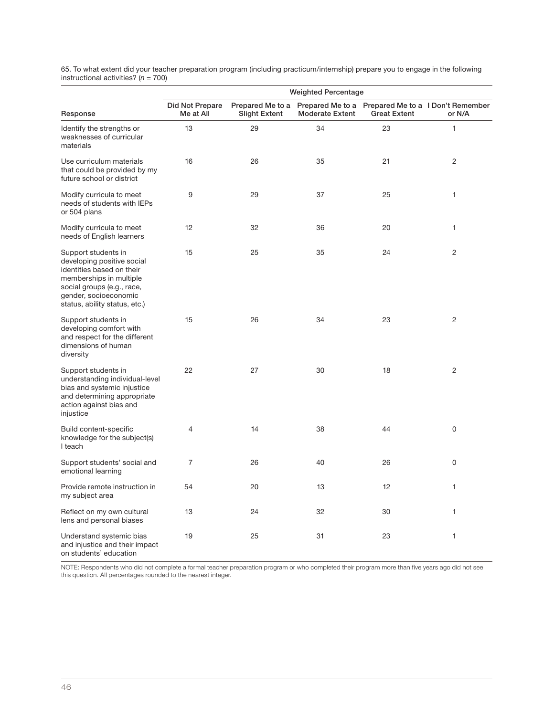65. To what extent did your teacher preparation program (including practicum/internship) prepare you to engage in the following<br>instructional activities? (*n =* 700)

|                                                                                                                                                                                                   | <b>Weighted Percentage</b>   |                                          |                        |                     |                                                              |
|---------------------------------------------------------------------------------------------------------------------------------------------------------------------------------------------------|------------------------------|------------------------------------------|------------------------|---------------------|--------------------------------------------------------------|
| Response                                                                                                                                                                                          | Did Not Prepare<br>Me at All | Prepared Me to a<br><b>Slight Extent</b> | <b>Moderate Extent</b> | <b>Great Extent</b> | Prepared Me to a Prepared Me to a I Don't Remember<br>or N/A |
| Identify the strengths or<br>weaknesses of curricular<br>materials                                                                                                                                | 13                           | 29                                       | 34                     | 23                  | $\mathbf{1}$                                                 |
| Use curriculum materials<br>that could be provided by my<br>future school or district                                                                                                             | 16                           | 26                                       | 35                     | 21                  | $\overline{2}$                                               |
| Modify curricula to meet<br>needs of students with IEPs<br>or 504 plans                                                                                                                           | 9                            | 29                                       | 37                     | 25                  | 1                                                            |
| Modify curricula to meet<br>needs of English learners                                                                                                                                             | 12                           | 32                                       | 36                     | 20                  | 1                                                            |
| Support students in<br>developing positive social<br>identities based on their<br>memberships in multiple<br>social groups (e.g., race,<br>gender, socioeconomic<br>status, ability status, etc.) | 15                           | 25                                       | 35                     | 24                  | $\mathbf{2}$                                                 |
| Support students in<br>developing comfort with<br>and respect for the different<br>dimensions of human<br>diversity                                                                               | 15                           | 26                                       | 34                     | 23                  | $\overline{2}$                                               |
| Support students in<br>understanding individual-level<br>bias and systemic injustice<br>and determining appropriate<br>action against bias and<br>injustice                                       | 22                           | 27                                       | 30                     | 18                  | 2                                                            |
| Build content-specific<br>knowledge for the subject(s)<br>I teach                                                                                                                                 | 4                            | 14                                       | 38                     | 44                  | 0                                                            |
| Support students' social and<br>emotional learning                                                                                                                                                | $\overline{7}$               | 26                                       | 40                     | 26                  | $\Omega$                                                     |
| Provide remote instruction in<br>my subject area                                                                                                                                                  | 54                           | 20                                       | 13                     | 12                  | 1                                                            |
| Reflect on my own cultural<br>lens and personal biases                                                                                                                                            | 13                           | 24                                       | 32                     | 30                  | 1                                                            |
| Understand systemic bias<br>and injustice and their impact<br>on students' education                                                                                                              | 19                           | 25                                       | 31                     | 23                  | 1                                                            |

NOTE: Respondents who did not complete a formal teacher preparation program or who completed their program more than five years ago did not see this question. All percentages rounded to the nearest integer.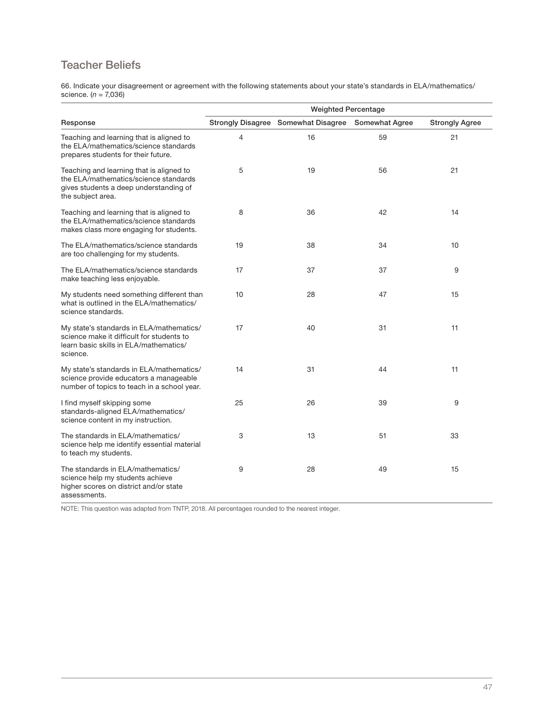## Teacher Beliefs

66. Indicate your disagreement or agreement with the following statements about your state's standards in ELA/mathematics/<br>science. (*n = 7*,036)

|                                                                                                                                                  | <b>Weighted Percentage</b> |                                                    |    |                       |
|--------------------------------------------------------------------------------------------------------------------------------------------------|----------------------------|----------------------------------------------------|----|-----------------------|
| Response                                                                                                                                         |                            | Strongly Disagree Somewhat Disagree Somewhat Agree |    | <b>Strongly Agree</b> |
| Teaching and learning that is aligned to<br>the ELA/mathematics/science standards<br>prepares students for their future.                         | 4                          | 16                                                 | 59 | 21                    |
| Teaching and learning that is aligned to<br>the ELA/mathematics/science standards<br>gives students a deep understanding of<br>the subject area. | 5                          | 19                                                 | 56 | 21                    |
| Teaching and learning that is aligned to<br>the ELA/mathematics/science standards<br>makes class more engaging for students.                     | 8                          | 36                                                 | 42 | 14                    |
| The ELA/mathematics/science standards<br>are too challenging for my students.                                                                    | 19                         | 38                                                 | 34 | 10                    |
| The ELA/mathematics/science standards<br>make teaching less enjoyable.                                                                           | 17                         | 37                                                 | 37 | 9                     |
| My students need something different than<br>what is outlined in the ELA/mathematics/<br>science standards.                                      | 10                         | 28                                                 | 47 | 15                    |
| My state's standards in ELA/mathematics/<br>science make it difficult for students to<br>learn basic skills in ELA/mathematics/<br>science.      | 17                         | 40                                                 | 31 | 11                    |
| My state's standards in ELA/mathematics/<br>science provide educators a manageable<br>number of topics to teach in a school year.                | 14                         | 31                                                 | 44 | 11                    |
| I find myself skipping some<br>standards-aligned ELA/mathematics/<br>science content in my instruction.                                          | 25                         | 26                                                 | 39 | 9                     |
| The standards in ELA/mathematics/<br>science help me identify essential material<br>to teach my students.                                        | 3                          | 13                                                 | 51 | 33                    |
| The standards in ELA/mathematics/<br>science help my students achieve<br>higher scores on district and/or state<br>assessments.                  | 9                          | 28                                                 | 49 | 15                    |

NOTE: This question was adapted from TNTP, 2018. All percentages rounded to the nearest integer.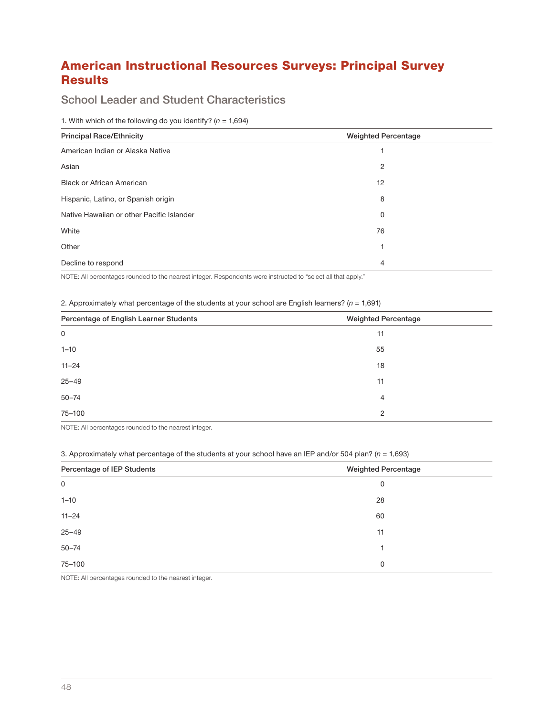## American Instructional Resources Surveys: Principal Survey

### Results School Leader and Student Characteristics

1. With which of the following do you identify? ( $n = 1,694$ )

| <b>Principal Race/Ethnicity</b>           | <b>Weighted Percentage</b> |
|-------------------------------------------|----------------------------|
| American Indian or Alaska Native          |                            |
| Asian                                     | 2                          |
| <b>Black or African American</b>          | 12                         |
| Hispanic, Latino, or Spanish origin       | 8                          |
| Native Hawaiian or other Pacific Islander | 0                          |
| White                                     | 76                         |
| Other                                     | ٠                          |
| Decline to respond                        | 4                          |

NOTE: All percentages rounded to the nearest integer. Respondents were instructed to "select all that apply."

2. Approximately what percentage of the students at your school are English learners? ( $n = 1,691$ )

| Percentage of English Learner Students | <b>Weighted Percentage</b> |
|----------------------------------------|----------------------------|
| 0                                      | 11                         |
| $1 - 10$                               | 55                         |
| $11 - 24$                              | 18                         |
| $25 - 49$                              | 11                         |
| $50 - 74$                              | $\overline{4}$             |
| 75-100                                 | 2                          |

NOTE: All percentages rounded to the nearest integer.

3. Approximately what percentage of the students at your school have an IEP and/or 504 plan? ( $n = 1,693$ )

| Percentage of IEP Students | <b>Weighted Percentage</b> |
|----------------------------|----------------------------|
| 0                          | 0                          |
| $1 - 10$                   | 28                         |
| $11 - 24$                  | 60                         |
| $25 - 49$                  | 11                         |
| $50 - 74$                  | 1.                         |
| 75-100                     | 0                          |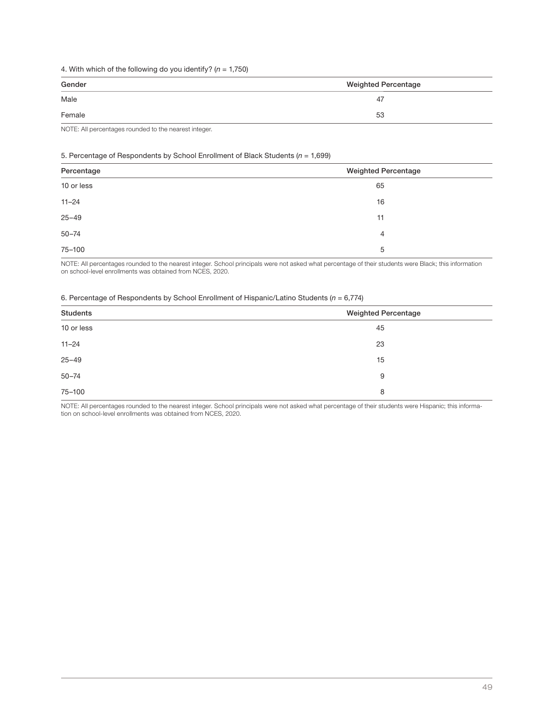### 4. With which of the following do you identify? ( $n = 1,750$ )

| Gender<br>$\frac{1}{2}$ | <b>Weighted Percentage</b> |
|-------------------------|----------------------------|
| Male                    | 47                         |
| Female                  | 53                         |

NOTE: All percentages rounded to the nearest integer.

### 5. Percentage of Respondents by School Enrollment of Black Students ( $n = 1,699$ )

| Percentage | <b>Weighted Percentage</b> |
|------------|----------------------------|
| 10 or less | 65                         |
| $11 - 24$  | 16                         |
| $25 - 49$  | 11                         |
| $50 - 74$  | 4                          |
| 75-100     | 5                          |

NOTE: All percentages rounded to the nearest integer. School principals were not asked what percentage of their students were Black; this information on school-level enrollments was obtained from NCES, 2020.

### 6. Percentage of Respondents by School Enrollment of Hispanic/Latino Students ( $n = 6,774$ )

| <b>Students</b> | <b>Weighted Percentage</b> |
|-----------------|----------------------------|
| 10 or less      | 45                         |
| $11 - 24$       | 23                         |
| $25 - 49$       | 15                         |
| $50 - 74$       | 9                          |
| 75-100          | 8                          |

NOTE: All percentages rounded to the nearest integer. School principals were not asked what percentage of their students were Hispanic; this information on school-level enrollments was obtained from NCES, 2020.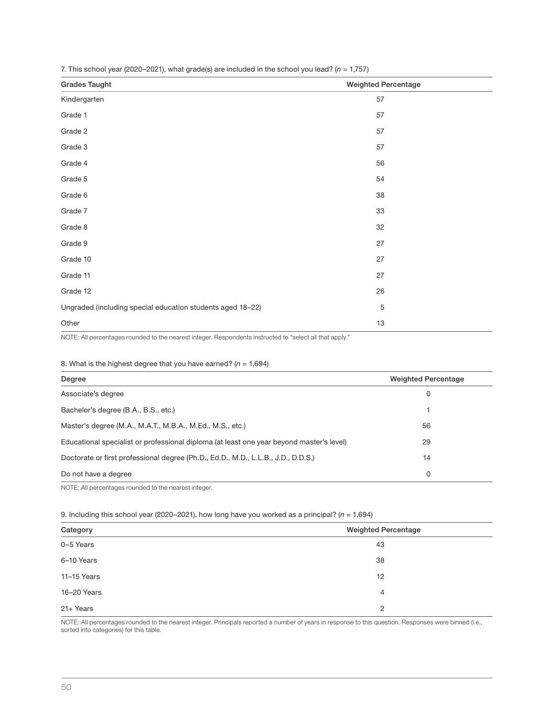| $\cdots$<br>$\sqrt{2}$<br>$\sim$                           |                            |
|------------------------------------------------------------|----------------------------|
| <b>Grades Taught</b>                                       | <b>Weighted Percentage</b> |
| Kindergarten                                               | 57                         |
| Grade 1                                                    | 57                         |
| Grade 2                                                    | 57                         |
| Grade 3                                                    | 57                         |
| Grade 4                                                    | 56                         |
| Grade 5                                                    | 54                         |
| Grade 6                                                    | 38                         |
| Grade 7                                                    | 33                         |
| Grade 8                                                    | 32                         |
| Grade 9                                                    | 27                         |
| Grade 10                                                   | 27                         |
| Grade 11                                                   | 27                         |
| Grade 12                                                   | 26                         |
| Ungraded (including special education students aged 18-22) | $\mathbf 5$                |
| Other                                                      | 13                         |

7. This school year (2020–2021), what grade(s) are included in the school you lead? ( $n = 1,757$ )

NOTE: All percentages rounded to the nearest integer. Respondents instructed to "select all that apply."

### 8. What is the highest degree that you have earned?  $(n = 1,694)$

| Degree                                                                                   | <b>Weighted Percentage</b> |
|------------------------------------------------------------------------------------------|----------------------------|
| Associate's degree                                                                       | 0                          |
| Bachelor's degree (B.A., B.S., etc.)                                                     |                            |
| Master's degree (M.A., M.A.T., M.B.A., M.Ed., M.S., etc.)                                | 56                         |
| Educational specialist or professional diploma (at least one year beyond master's level) | 29                         |
| Doctorate or first professional degree (Ph.D., Ed.D., M.D., L.L.B., J.D., D.D.S.)        | 14                         |
| Do not have a degree                                                                     | 0                          |

NOTE: All percentages rounded to the nearest integer.

9. Including this school year (2020–2021), how long have you worked as a principal? ( $n = 1,694$ )

| Category    | <b>Weighted Percentage</b> |
|-------------|----------------------------|
| 0-5 Years   | 43                         |
| 6-10 Years  | 38                         |
| 11-15 Years | 12                         |
| 16-20 Years | 4                          |
| 21+ Years   | 2                          |

NOTE: All percentages rounded to the nearest integer. Principals reported a number of years in response to this question. Responses were binned (i.e., sorted into categories) for this table.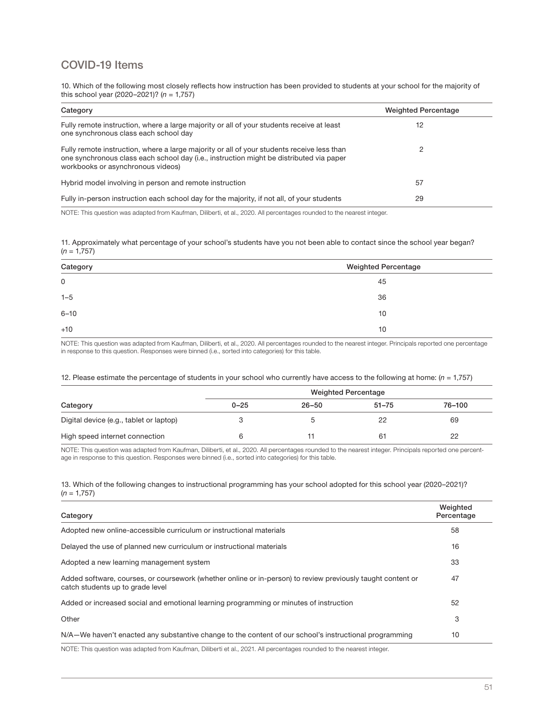## COVID-19 Items

10. Which of the following most closely reflects how instruction has been provided to students at your school for the majority of this school year (2020–2021)? ( $n = 1,757$ )

| Category                                                                                                                                                                                                                   | <b>Weighted Percentage</b> |
|----------------------------------------------------------------------------------------------------------------------------------------------------------------------------------------------------------------------------|----------------------------|
| Fully remote instruction, where a large majority or all of your students receive at least<br>one synchronous class each school day                                                                                         | 12                         |
| Fully remote instruction, where a large majority or all of your students receive less than<br>one synchronous class each school day (i.e., instruction might be distributed via paper<br>workbooks or asynchronous videos) |                            |
| Hybrid model involving in person and remote instruction                                                                                                                                                                    | 57                         |
| Fully in-person instruction each school day for the majority, if not all, of your students                                                                                                                                 | 29                         |

NOTE: This question was adapted from Kaufman, Diliberti, et al., 2020. All percentages rounded to the nearest integer.

11. Approximately what percentage of your school's students have you not been able to contact since the school year began?  $(n = 1.757)$ 

| Category | <b>Weighted Percentage</b> |
|----------|----------------------------|
| 0        | 45                         |
| $1 - 5$  | 36                         |
| $6 - 10$ | 10                         |
| $+10$    | 10                         |

NOTE: This question was adapted from Kaufman, Diliberti, et al., 2020. All percentages rounded to the nearest integer. Principals reported one percentage in response to this question. Responses were binned (i.e., sorted into categories) for this table.

### 12. Please estimate the percentage of students in your school who currently have access to the following at home:  $(n = 1,757)$

|                                         | <b>Weighted Percentage</b> |           |           |        |
|-----------------------------------------|----------------------------|-----------|-----------|--------|
| Category                                | $0 - 25$                   | $26 - 50$ | $51 - 75$ | 76-100 |
| Digital device (e.g., tablet or laptop) |                            |           | 22        | 69     |
| High speed internet connection          |                            |           | 61        | 22     |

NOTE: This question was adapted from Kaufman, Diliberti, et al., 2020. All percentages rounded to the nearest integer. Principals reported one percentage in response to this question. Responses were binned (i.e., sorted into categories) for this table.

13. Which of the following changes to instructional programming has your school adopted for this school year (2020–2021)?  $(n = 1,757)$ 

| Category                                                                                                                                        | Weighted<br>Percentage |
|-------------------------------------------------------------------------------------------------------------------------------------------------|------------------------|
| Adopted new online-accessible curriculum or instructional materials                                                                             | 58                     |
| Delayed the use of planned new curriculum or instructional materials                                                                            | 16                     |
| Adopted a new learning management system                                                                                                        | 33                     |
| Added software, courses, or coursework (whether online or in-person) to review previously taught content or<br>catch students up to grade level | 47                     |
| Added or increased social and emotional learning programming or minutes of instruction                                                          | 52                     |
| Other                                                                                                                                           | 3                      |
| N/A-We haven't enacted any substantive change to the content of our school's instructional programming                                          | 10                     |
| NOTE: This question was adapted from Kaufman, Diliberti et al. 2021. All nercentages rounded to the nearest integer                             |                        |

NOTE: This question was adapted from Kaufman, Diliberti et al., 2021. All percentages rounded to the nearest integer.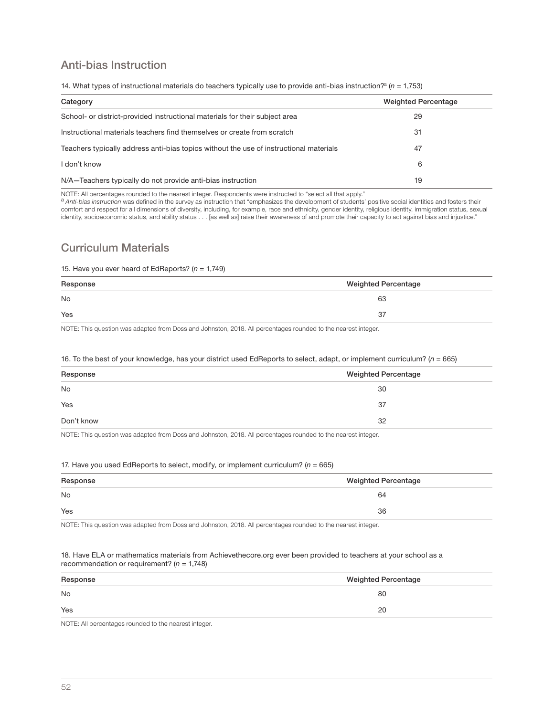## Anti-bias Instruction

|  |  | 14. What types of instructional materials do teachers typically use to provide anti-bias instruction? <sup>2</sup> ( $n = 1.753$ ) |
|--|--|------------------------------------------------------------------------------------------------------------------------------------|
|--|--|------------------------------------------------------------------------------------------------------------------------------------|

| Category                                                                               | <b>Weighted Percentage</b> |
|----------------------------------------------------------------------------------------|----------------------------|
| School- or district-provided instructional materials for their subject area            | 29                         |
| Instructional materials teachers find themselves or create from scratch                | 31                         |
| Teachers typically address anti-bias topics without the use of instructional materials | 47                         |
| I don't know                                                                           | 6                          |
| N/A-Teachers typically do not provide anti-bias instruction                            | 19                         |

NOTE: All percentages rounded to the nearest integer. Respondents were instructed to "select all that apply."

a Anti-bias instruction was defined in the survey as instruction that "emphasizes the development of students' positive social identities and fosters their comfort and respect for all dimensions of diversity, including, for example, race and ethnicity, gender identity, religious identity, immigration status, sexual identity, socioeconomic status, and ability status . . . [as well as] raise their awareness of and promote their capacity to act against bias and injustice."

## Curriculum Materials

### 15. Have you ever heard of EdReports? ( $n = 1,749$ )

| Response<br>the control of the control of the control of | <b>Weighted Percentage</b> |
|----------------------------------------------------------|----------------------------|
| No                                                       | 63                         |
| Yes                                                      | 37                         |

NOTE: This question was adapted from Doss and Johnston, 2018. All percentages rounded to the nearest integer.

### 16. To the best of your knowledge, has your district used EdReports to select, adapt, or implement curriculum? ( $n = 665$ )

| Response   | <b>Weighted Percentage</b> |
|------------|----------------------------|
| <b>No</b>  | 30                         |
| Yes        | 37                         |
| Don't know | 32                         |

NOTE: This question was adapted from Doss and Johnston, 2018. All percentages rounded to the nearest integer.

### 17. Have you used EdReports to select, modify, or implement curriculum? ( $n = 665$ )

| Response | <b>Weighted Percentage</b> |
|----------|----------------------------|
| No       | 64                         |
| Yes      | 36                         |

NOTE: This question was adapted from Doss and Johnston, 2018. All percentages rounded to the nearest integer.

#### 18. Have ELA or mathematics materials from Achievethecore.org ever been provided to teachers at your school as a recommendation or requirement? ( $n = 1,748$ )

| Response<br>$\frac{1}{2} \left( \frac{1}{2} \right) \left( \frac{1}{2} \right) \left( \frac{1}{2} \right) \left( \frac{1}{2} \right) \left( \frac{1}{2} \right) \left( \frac{1}{2} \right) \left( \frac{1}{2} \right) \left( \frac{1}{2} \right) \left( \frac{1}{2} \right) \left( \frac{1}{2} \right) \left( \frac{1}{2} \right) \left( \frac{1}{2} \right) \left( \frac{1}{2} \right) \left( \frac{1}{2} \right) \left( \frac{1}{2} \right) \left( \frac{1}{2} \right) \left( \frac$ | <b>Weighted Percentage</b> |
|----------------------------------------------------------------------------------------------------------------------------------------------------------------------------------------------------------------------------------------------------------------------------------------------------------------------------------------------------------------------------------------------------------------------------------------------------------------------------------------|----------------------------|
| <b>No</b>                                                                                                                                                                                                                                                                                                                                                                                                                                                                              | 80                         |
| Yes                                                                                                                                                                                                                                                                                                                                                                                                                                                                                    | 20                         |
| $\cdots$<br>.                                                                                                                                                                                                                                                                                                                                                                                                                                                                          |                            |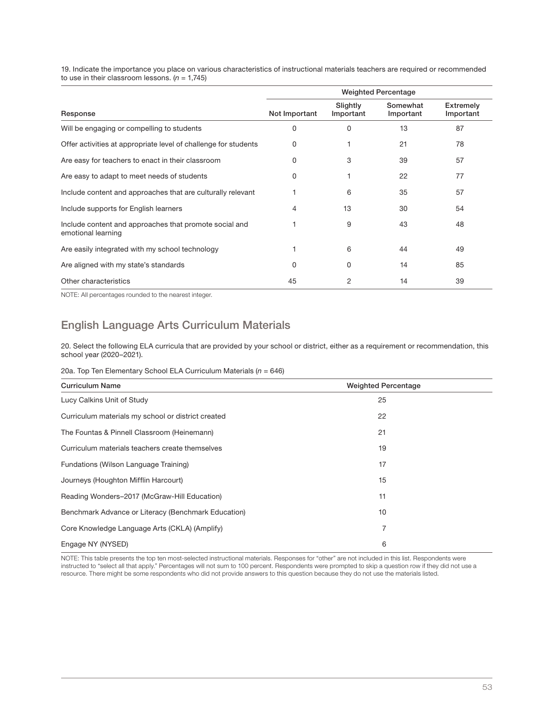19. Indicate the importance you place on various characteristics of instructional materials teachers are required or recommended to use in their classroom lessons.  $(n = 1,745)$ 

|                                                                              | <b>Weighted Percentage</b> |                       |                       |                        |
|------------------------------------------------------------------------------|----------------------------|-----------------------|-----------------------|------------------------|
| Response                                                                     | Not Important              | Slightly<br>Important | Somewhat<br>Important | Extremely<br>Important |
| Will be engaging or compelling to students                                   | 0                          | 0                     | 13                    | 87                     |
| Offer activities at appropriate level of challenge for students              | 0                          |                       | 21                    | 78                     |
| Are easy for teachers to enact in their classroom                            | 0                          | 3                     | 39                    | 57                     |
| Are easy to adapt to meet needs of students                                  | 0                          |                       | 22                    | 77                     |
| Include content and approaches that are culturally relevant                  |                            | 6                     | 35                    | 57                     |
| Include supports for English learners                                        | 4                          | 13                    | 30                    | 54                     |
| Include content and approaches that promote social and<br>emotional learning |                            | 9                     | 43                    | 48                     |
| Are easily integrated with my school technology                              |                            | 6                     | 44                    | 49                     |
| Are aligned with my state's standards                                        | 0                          | 0                     | 14                    | 85                     |
| Other characteristics                                                        | 45                         | 2                     | 14                    | 39                     |

NOTE: All percentages rounded to the nearest integer.

## English Language Arts Curriculum Materials

20. Select the following ELA curricula that are provided by your school or district, either as a requirement or recommendation, this school year (2020–2021).

### 20a. Top Ten Elementary School ELA Curriculum Materials ( $n = 646$ )

| <b>Curriculum Name</b>                              | <b>Weighted Percentage</b> |  |
|-----------------------------------------------------|----------------------------|--|
| Lucy Calkins Unit of Study                          | 25                         |  |
| Curriculum materials my school or district created  | 22                         |  |
| The Fountas & Pinnell Classroom (Heinemann)         | 21                         |  |
| Curriculum materials teachers create themselves     | 19                         |  |
| Fundations (Wilson Language Training)               | 17                         |  |
| Journeys (Houghton Mifflin Harcourt)                | 15                         |  |
| Reading Wonders-2017 (McGraw-Hill Education)        | 11                         |  |
| Benchmark Advance or Literacy (Benchmark Education) | 10                         |  |
| Core Knowledge Language Arts (CKLA) (Amplify)       | 7                          |  |
| Engage NY (NYSED)                                   | 6                          |  |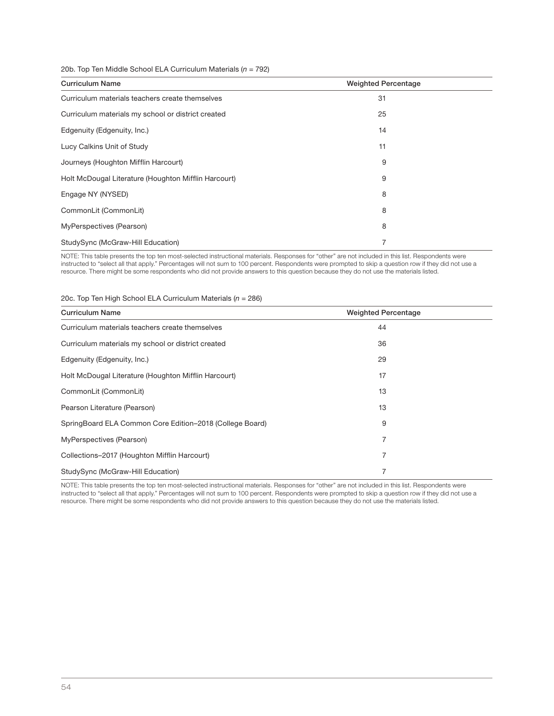### 20b. Top Ten Middle School ELA Curriculum Materials ( $n = 792$ )

| <b>Curriculum Name</b>                               | <b>Weighted Percentage</b> |  |
|------------------------------------------------------|----------------------------|--|
| Curriculum materials teachers create themselves      | 31                         |  |
| Curriculum materials my school or district created   | 25                         |  |
| Edgenuity (Edgenuity, Inc.)                          | 14                         |  |
| Lucy Calkins Unit of Study                           | 11                         |  |
| Journeys (Houghton Mifflin Harcourt)                 | 9                          |  |
| Holt McDougal Literature (Houghton Mifflin Harcourt) | 9                          |  |
| Engage NY (NYSED)                                    | 8                          |  |
| CommonLit (CommonLit)                                | 8                          |  |
| MyPerspectives (Pearson)                             | 8                          |  |
| StudySync (McGraw-Hill Education)                    | 7                          |  |

NOTE: This table presents the top ten most-selected instructional materials. Responses for "other" are not included in this list. Respondents were instructed to "select all that apply." Percentages will not sum to 100 percent. Respondents were prompted to skip a question row if they did not use a resource. There might be some respondents who did not provide answers to this question because they do not use the materials listed.

### 20c. Top Ten High School ELA Curriculum Materials ( $n = 286$ )

| <b>Curriculum Name</b>                                   | <b>Weighted Percentage</b> |
|----------------------------------------------------------|----------------------------|
| Curriculum materials teachers create themselves          | 44                         |
| Curriculum materials my school or district created       | 36                         |
| Edgenuity (Edgenuity, Inc.)                              | 29                         |
| Holt McDougal Literature (Houghton Mifflin Harcourt)     | 17                         |
| CommonLit (CommonLit)                                    | 13                         |
| Pearson Literature (Pearson)                             | 13                         |
| SpringBoard ELA Common Core Edition-2018 (College Board) | 9                          |
| MyPerspectives (Pearson)                                 | 7                          |
| Collections-2017 (Houghton Mifflin Harcourt)             | 7                          |
| StudySync (McGraw-Hill Education)                        | 7                          |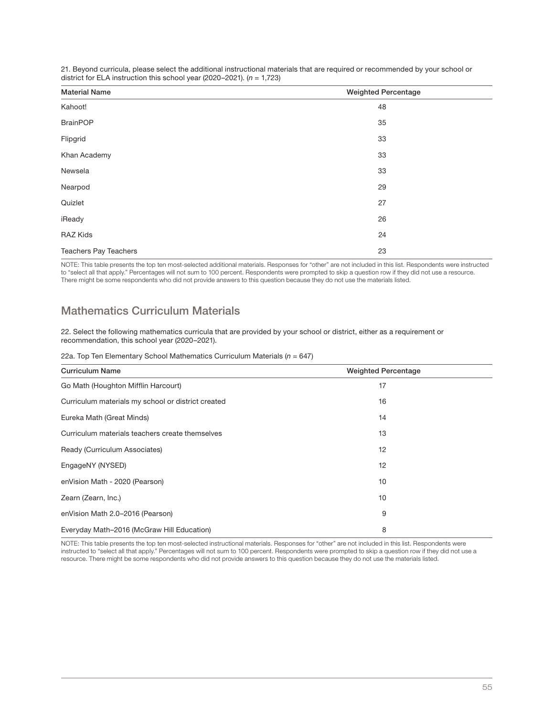| <b>Material Name</b>         | <b>Weighted Percentage</b> |
|------------------------------|----------------------------|
| Kahoot!                      | 48                         |
| <b>BrainPOP</b>              | 35                         |
| Flipgrid                     | 33                         |
| Khan Academy                 | 33                         |
| Newsela                      | 33                         |
| Nearpod                      | 29                         |
| Quizlet                      | 27                         |
| iReady                       | 26                         |
| <b>RAZ Kids</b>              | 24                         |
| <b>Teachers Pay Teachers</b> | 23                         |

21. Beyond curricula, please select the additional instructional materials that are required or recommended by your school or district for ELA instruction this school year (2020–2021).  $(n = 1,723)$ 

NOTE: This table presents the top ten most-selected additional materials. Responses for "other" are not included in this list. Respondents were instructed to "select all that apply." Percentages will not sum to 100 percent. Respondents were prompted to skip a question row if they did not use a resource. There might be some respondents who did not provide answers to this question because they do not use the materials listed.

## Mathematics Curriculum Materials

22. Select the following mathematics curricula that are provided by your school or district, either as a requirement or recommendation, this school year (2020–2021).

|  |  | 22a. Top Ten Elementary School Mathematics Curriculum Materials ( $n = 647$ ) |  |  |
|--|--|-------------------------------------------------------------------------------|--|--|
|  |  |                                                                               |  |  |

| <b>Curriculum Name</b>                             | <b>Weighted Percentage</b> |
|----------------------------------------------------|----------------------------|
| Go Math (Houghton Mifflin Harcourt)                | 17                         |
| Curriculum materials my school or district created | 16                         |
| Eureka Math (Great Minds)                          | 14                         |
| Curriculum materials teachers create themselves    | 13                         |
| Ready (Curriculum Associates)                      | 12                         |
| EngageNY (NYSED)                                   | 12                         |
| enVision Math - 2020 (Pearson)                     | 10                         |
| Zearn (Zearn, Inc.)                                | 10                         |
| enVision Math 2.0-2016 (Pearson)                   | 9                          |
| Everyday Math-2016 (McGraw Hill Education)         | 8                          |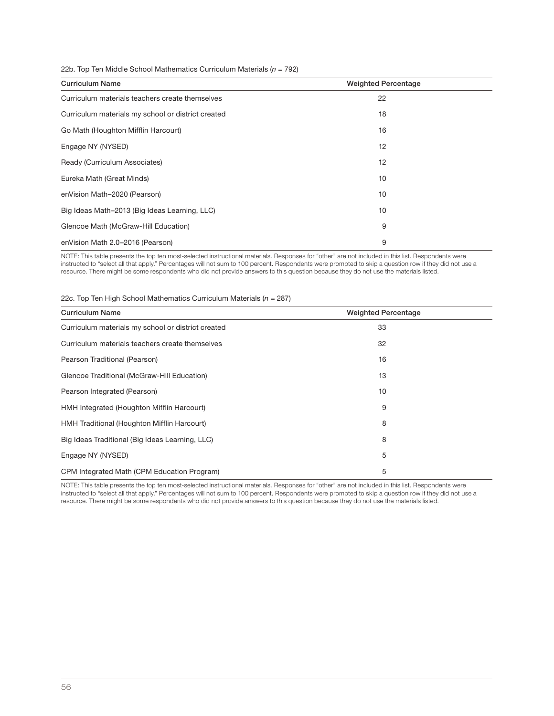### 22b. Top Ten Middle School Mathematics Curriculum Materials ( $n = 792$ )

| <b>Curriculum Name</b>                             | <b>Weighted Percentage</b> |
|----------------------------------------------------|----------------------------|
| Curriculum materials teachers create themselves    | 22                         |
| Curriculum materials my school or district created | 18                         |
| Go Math (Houghton Mifflin Harcourt)                | 16                         |
| Engage NY (NYSED)                                  | 12                         |
| Ready (Curriculum Associates)                      | 12                         |
| Eureka Math (Great Minds)                          | 10                         |
| enVision Math-2020 (Pearson)                       | 10                         |
| Big Ideas Math-2013 (Big Ideas Learning, LLC)      | 10                         |
| Glencoe Math (McGraw-Hill Education)               | 9                          |
| enVision Math 2.0-2016 (Pearson)                   | 9                          |

NOTE: This table presents the top ten most-selected instructional materials. Responses for "other" are not included in this list. Respondents were instructed to "select all that apply." Percentages will not sum to 100 percent. Respondents were prompted to skip a question row if they did not use a resource. There might be some respondents who did not provide answers to this question because they do not use the materials listed.

### 22c. Top Ten High School Mathematics Curriculum Materials ( $n = 287$ )

| <b>Curriculum Name</b>                             | <b>Weighted Percentage</b> |
|----------------------------------------------------|----------------------------|
| Curriculum materials my school or district created | 33                         |
| Curriculum materials teachers create themselves    | 32                         |
| Pearson Traditional (Pearson)                      | 16                         |
| Glencoe Traditional (McGraw-Hill Education)        | 13                         |
| Pearson Integrated (Pearson)                       | 10                         |
| HMH Integrated (Houghton Mifflin Harcourt)         | 9                          |
| HMH Traditional (Houghton Mifflin Harcourt)        | 8                          |
| Big Ideas Traditional (Big Ideas Learning, LLC)    | 8                          |
| Engage NY (NYSED)                                  | 5                          |
| CPM Integrated Math (CPM Education Program)        | 5                          |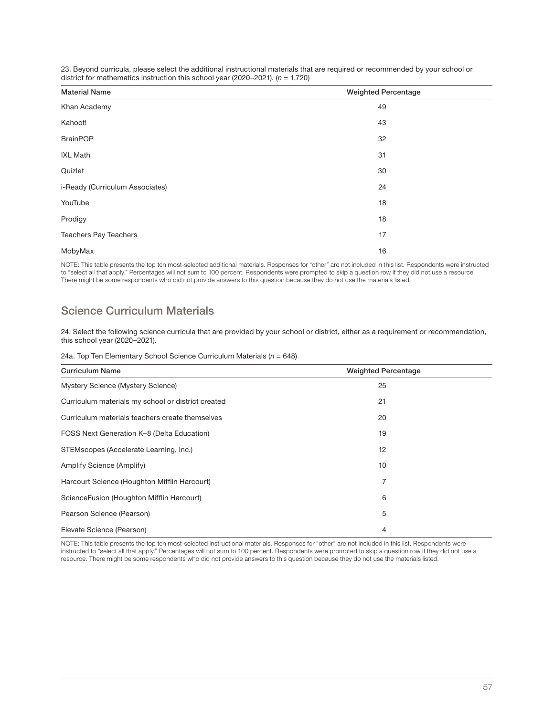| <b>Material Name</b>            | <b>Weighted Percentage</b> |  |
|---------------------------------|----------------------------|--|
| Khan Academy                    | 49                         |  |
| Kahoot!                         | 43                         |  |
| <b>BrainPOP</b>                 | 32                         |  |
| <b>IXL Math</b>                 | 31                         |  |
| Quizlet                         | 30                         |  |
| i-Ready (Curriculum Associates) | 24                         |  |
| YouTube                         | 18                         |  |
| Prodigy                         | 18                         |  |
| Teachers Pay Teachers           | 17                         |  |

23. Beyond curricula, please select the additional instructional materials that are required or recommended by your school or district for mathematics instruction this school year (2020–2021).  $(n = 1,720)$ 

NOTE: This table presents the top ten most-selected additional materials. Responses for "other" are not included in this list. Respondents were instructed to "select all that apply." Percentages will not sum to 100 percent. Respondents were prompted to skip a question row if they did not use a resource. There might be some respondents who did not provide answers to this question because they do not use the materials listed.

MobyMax 16

## Science Curriculum Materials

24. Select the following science curricula that are provided by your school or district, either as a requirement or recommendation, this school year (2020–2021).

|  |  |  | 24a. Top Ten Elementary School Science Curriculum Materials ( $n = 648$ ) |  |
|--|--|--|---------------------------------------------------------------------------|--|

| <b>Curriculum Name</b>                             | <b>Weighted Percentage</b> |
|----------------------------------------------------|----------------------------|
| Mystery Science (Mystery Science)                  | 25                         |
| Curriculum materials my school or district created | 21                         |
| Curriculum materials teachers create themselves    | 20                         |
| FOSS Next Generation K-8 (Delta Education)         | 19                         |
| STEMscopes (Accelerate Learning, Inc.)             | 12                         |
| Amplify Science (Amplify)                          | 10                         |
| Harcourt Science (Houghton Mifflin Harcourt)       | 7                          |
| ScienceFusion (Houghton Mifflin Harcourt)          | 6                          |
| Pearson Science (Pearson)                          | 5                          |
| Elevate Science (Pearson)                          | 4                          |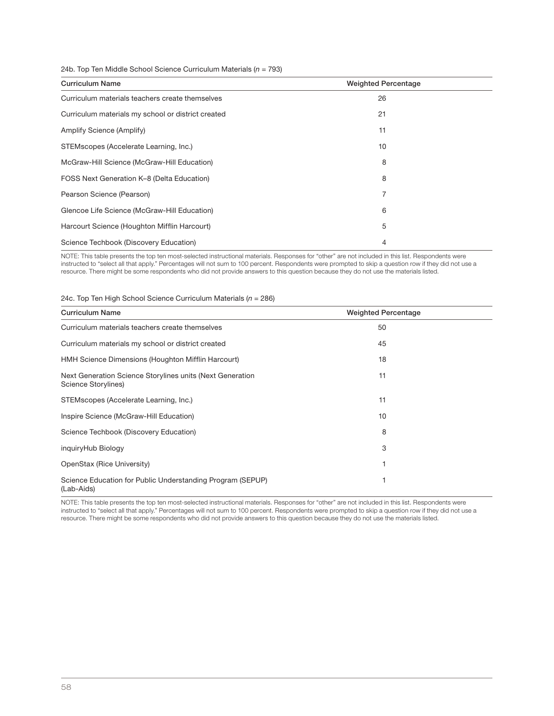### 24b. Top Ten Middle School Science Curriculum Materials ( $n = 793$ )

| <b>Curriculum Name</b>                             | <b>Weighted Percentage</b> |
|----------------------------------------------------|----------------------------|
| Curriculum materials teachers create themselves    | 26                         |
| Curriculum materials my school or district created | 21                         |
| Amplify Science (Amplify)                          | 11                         |
| STEMscopes (Accelerate Learning, Inc.)             | 10                         |
| McGraw-Hill Science (McGraw-Hill Education)        | 8                          |
| FOSS Next Generation K-8 (Delta Education)         | 8                          |
| Pearson Science (Pearson)                          | 7                          |
| Glencoe Life Science (McGraw-Hill Education)       | 6                          |
| Harcourt Science (Houghton Mifflin Harcourt)       | 5                          |
| Science Techbook (Discovery Education)             | 4                          |

NOTE: This table presents the top ten most-selected instructional materials. Responses for "other" are not included in this list. Respondents were instructed to "select all that apply." Percentages will not sum to 100 percent. Respondents were prompted to skip a question row if they did not use a resource. There might be some respondents who did not provide answers to this question because they do not use the materials listed.

### 24c. Top Ten High School Science Curriculum Materials ( $n = 286$ )

| <b>Curriculum Name</b>                                                           | <b>Weighted Percentage</b> |  |
|----------------------------------------------------------------------------------|----------------------------|--|
| Curriculum materials teachers create themselves                                  | 50                         |  |
| Curriculum materials my school or district created                               | 45                         |  |
| HMH Science Dimensions (Houghton Mifflin Harcourt)                               | 18                         |  |
| Next Generation Science Storylines units (Next Generation<br>Science Storylines) | 11                         |  |
| STEMscopes (Accelerate Learning, Inc.)                                           | 11                         |  |
| Inspire Science (McGraw-Hill Education)                                          | 10                         |  |
| Science Techbook (Discovery Education)                                           | 8                          |  |
| inguiryHub Biology                                                               | 3                          |  |
| OpenStax (Rice University)                                                       |                            |  |
| Science Education for Public Understanding Program (SEPUP)<br>(Lab-Aids)         |                            |  |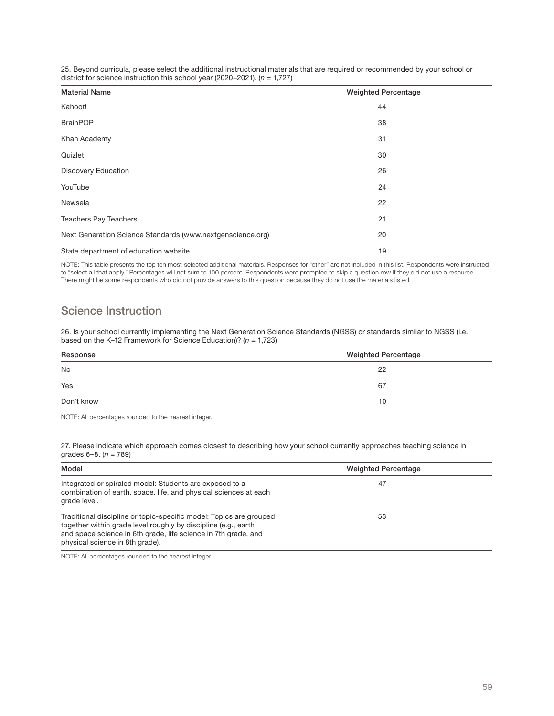| <b>Material Name</b>                                       | <b>Weighted Percentage</b> |
|------------------------------------------------------------|----------------------------|
| Kahoot!                                                    | 44                         |
| <b>BrainPOP</b>                                            | 38                         |
| Khan Academy                                               | 31                         |
| Quizlet                                                    | 30                         |
| <b>Discovery Education</b>                                 | 26                         |
| YouTube                                                    | 24                         |
| Newsela                                                    | 22                         |
| <b>Teachers Pay Teachers</b>                               | 21                         |
| Next Generation Science Standards (www.nextgenscience.org) | 20                         |
| State department of education website                      | 19                         |
|                                                            |                            |

25. Beyond curricula, please select the additional instructional materials that are required or recommended by your school or district for science instruction this school year (2020–2021). ( $n = 1,727$ )

NOTE: This table presents the top ten most-selected additional materials. Responses for "other" are not included in this list. Respondents were instructed to "select all that apply." Percentages will not sum to 100 percent. Respondents were prompted to skip a question row if they did not use a resource. There might be some respondents who did not provide answers to this question because they do not use the materials listed.

## Science Instruction

26. Is your school currently implementing the Next Generation Science Standards (NGSS) or standards similar to NGSS (i.e., based on the K–12 Framework for Science Education)? ( $n = 1,723$ )

| Response   | <b>Weighted Percentage</b> |
|------------|----------------------------|
| <b>No</b>  | 22                         |
| Yes        | 67                         |
| Don't know | 10                         |

NOTE: All percentages rounded to the nearest integer.

27. Please indicate which approach comes closest to describing how your school currently approaches teaching science in grades  $6-8$ . ( $n = 789$ )

| Model                                                                                                                                                                                                                                     | <b>Weighted Percentage</b> |  |
|-------------------------------------------------------------------------------------------------------------------------------------------------------------------------------------------------------------------------------------------|----------------------------|--|
| Integrated or spiraled model: Students are exposed to a<br>combination of earth, space, life, and physical sciences at each<br>grade level.                                                                                               | 47                         |  |
| Traditional discipline or topic-specific model: Topics are grouped<br>together within grade level roughly by discipline (e.g., earth<br>and space science in 6th grade, life science in 7th grade, and<br>physical science in 8th grade). | 53                         |  |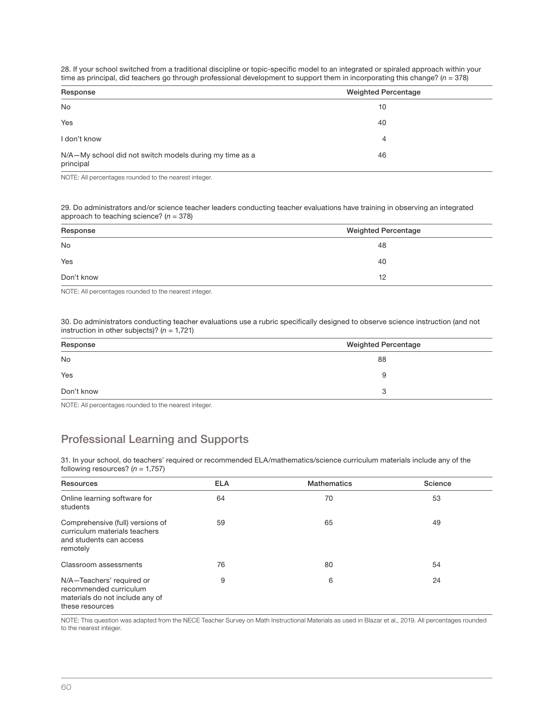28. If your school switched from a traditional discipline or topic-specific model to an integrated or spiraled approach within your time as principal, did teachers go through professional development to support them in incorporating this change?  $(n = 378)$ 

| Response                                                             | <b>Weighted Percentage</b> |
|----------------------------------------------------------------------|----------------------------|
| <b>No</b>                                                            | 10                         |
| Yes                                                                  | 40                         |
| I don't know                                                         | 4                          |
| N/A-My school did not switch models during my time as a<br>principal | 46                         |

NOTE: All percentages rounded to the nearest integer.

29. Do administrators and/or science teacher leaders conducting teacher evaluations have training in observing an integrated approach to teaching science?  $(n = 378)$ 

| Response   | <b>Weighted Percentage</b> |
|------------|----------------------------|
| <b>No</b>  | 48                         |
| Yes        | 40                         |
| Don't know | 12                         |

NOTE: All percentages rounded to the nearest integer.

30. Do administrators conducting teacher evaluations use a rubric specifically designed to observe science instruction (and not instruction in other subjects)? ( $n = 1,721$ )

| Response   | <b>Weighted Percentage</b> |
|------------|----------------------------|
| <b>No</b>  | 88                         |
| Yes        | 9                          |
| Don't know | 3                          |

NOTE: All percentages rounded to the nearest integer.

## Professional Learning and Supports

31. In your school, do teachers' required or recommended ELA/mathematics/science curriculum materials include any of the following resources?  $(n = 1,757)$ 

| Resources                                                                                                 | <b>ELA</b> | <b>Mathematics</b> | Science |
|-----------------------------------------------------------------------------------------------------------|------------|--------------------|---------|
| Online learning software for<br>students                                                                  | 64         | 70                 | 53      |
| Comprehensive (full) versions of<br>curriculum materials teachers<br>and students can access<br>remotely  | 59         | 65                 | 49      |
| Classroom assessments                                                                                     | 76         | 80                 | 54      |
| N/A-Teachers' required or<br>recommended curriculum<br>materials do not include any of<br>these resources | 9          | 6                  | 24      |

NOTE: This question was adapted from the NECE Teacher Survey on Math Instructional Materials as used in Blazar et al., 2019. All percentages rounded to the nearest integer.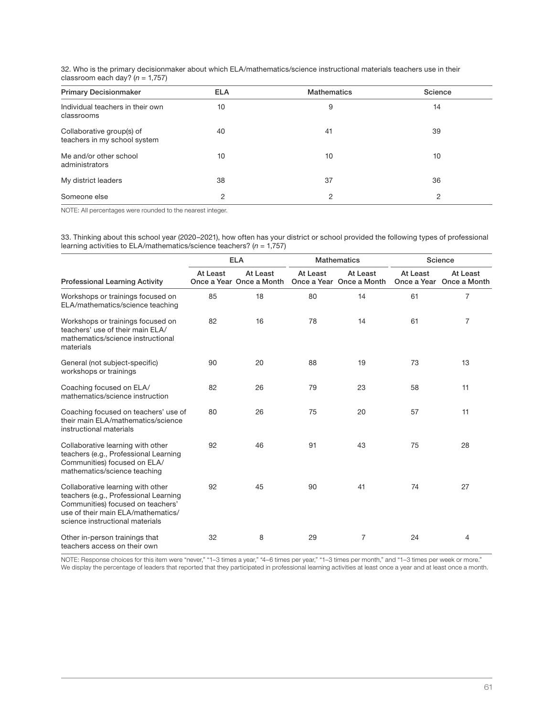32. Who is the primary decisionmaker about which ELA/mathematics/science instructional materials teachers use in their classroom each day?  $(n = 1,757)$ 

| <b>Primary Decisionmaker</b>                              | <b>ELA</b> | <b>Mathematics</b> | Science |
|-----------------------------------------------------------|------------|--------------------|---------|
| Individual teachers in their own<br>classrooms            | 10         | 9                  | 14      |
| Collaborative group(s) of<br>teachers in my school system | 40         | 41                 | 39      |
| Me and/or other school<br>administrators                  | 10         | 10                 | 10      |
| My district leaders                                       | 38         | 37                 | 36      |
| Someone else                                              | 2          | 2                  | 2       |

NOTE: All percentages were rounded to the nearest integer.

33. Thinking about this school year (2020–2021), how often has your district or school provided the following types of professional learning activities to ELA/mathematics/science teachers?  $(n = 1,757)$ 

|                                                                                                                                                                                          | <b>ELA</b> |                                      |          | <b>Mathematics</b>                   | Science                 |                          |
|------------------------------------------------------------------------------------------------------------------------------------------------------------------------------------------|------------|--------------------------------------|----------|--------------------------------------|-------------------------|--------------------------|
| <b>Professional Learning Activity</b>                                                                                                                                                    | At Least   | At Least<br>Once a Year Once a Month | At Least | At Least<br>Once a Year Once a Month | At Least<br>Once a Year | At Least<br>Once a Month |
| Workshops or trainings focused on<br>ELA/mathematics/science teaching                                                                                                                    | 85         | 18                                   | 80       | 14                                   | 61                      | 7                        |
| Workshops or trainings focused on<br>teachers' use of their main ELA/<br>mathematics/science instructional<br>materials                                                                  | 82         | 16                                   | 78       | 14                                   | 61                      | 7                        |
| General (not subject-specific)<br>workshops or trainings                                                                                                                                 | 90         | 20                                   | 88       | 19                                   | 73                      | 13                       |
| Coaching focused on ELA/<br>mathematics/science instruction                                                                                                                              | 82         | 26                                   | 79       | 23                                   | 58                      | 11                       |
| Coaching focused on teachers' use of<br>their main ELA/mathematics/science<br>instructional materials                                                                                    | 80         | 26                                   | 75       | 20                                   | 57                      | 11                       |
| Collaborative learning with other<br>teachers (e.g., Professional Learning<br>Communities) focused on ELA/<br>mathematics/science teaching                                               | 92         | 46                                   | 91       | 43                                   | 75                      | 28                       |
| Collaborative learning with other<br>teachers (e.g., Professional Learning<br>Communities) focused on teachers'<br>use of their main ELA/mathematics/<br>science instructional materials | 92         | 45                                   | 90       | 41                                   | 74                      | 27                       |
| Other in-person trainings that<br>teachers access on their own                                                                                                                           | 32         | 8                                    | 29       | 7                                    | 24                      | 4                        |

NOTE: Response choices for this item were "never," "1–3 times a year," "4–6 times per year," "1–3 times per month," and "1–3 times per week or more." We display the percentage of leaders that reported that they participated in professional learning activities at least once a year and at least once a month.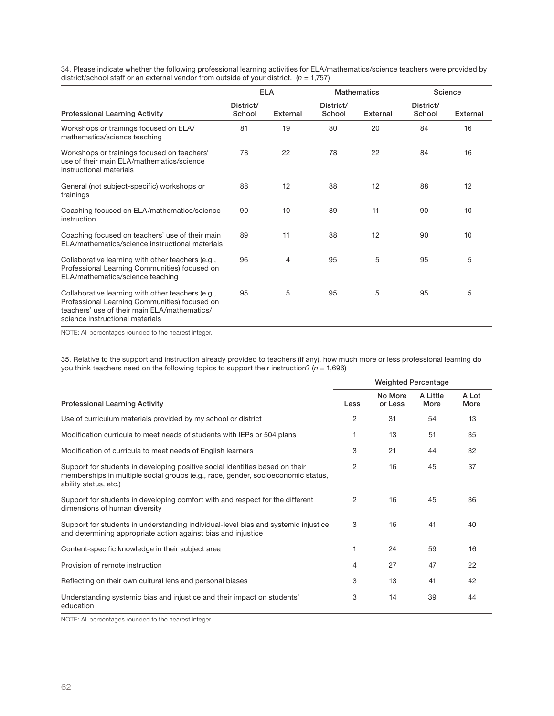34. Please indicate whether the following professional learning activities for ELA/mathematics/science teachers were provided by<br>district/school staff or an external vendor from outside of your district. (n = 1,757)

|                                                                                                                                                                                       | <b>ELA</b>          |          | <b>Mathematics</b>  |          | Science             |                 |
|---------------------------------------------------------------------------------------------------------------------------------------------------------------------------------------|---------------------|----------|---------------------|----------|---------------------|-----------------|
| <b>Professional Learning Activity</b>                                                                                                                                                 | District/<br>School | External | District/<br>School | External | District/<br>School | <b>External</b> |
| Workshops or trainings focused on ELA/<br>mathematics/science teaching                                                                                                                | 81                  | 19       | 80                  | 20       | 84                  | 16              |
| Workshops or trainings focused on teachers'<br>use of their main ELA/mathematics/science<br>instructional materials                                                                   | 78                  | 22       | 78                  | 22       | 84                  | 16              |
| General (not subject-specific) workshops or<br>trainings                                                                                                                              | 88                  | 12       | 88                  | 12       | 88                  | 12              |
| Coaching focused on ELA/mathematics/science<br>instruction                                                                                                                            | 90                  | 10       | 89                  | 11       | 90                  | 10              |
| Coaching focused on teachers' use of their main<br>ELA/mathematics/science instructional materials                                                                                    | 89                  | 11       | 88                  | 12       | 90                  | 10              |
| Collaborative learning with other teachers (e.g.,<br>Professional Learning Communities) focused on<br>ELA/mathematics/science teaching                                                | 96                  | 4        | 95                  | 5        | 95                  | 5               |
| Collaborative learning with other teachers (e.g.,<br>Professional Learning Communities) focused on<br>teachers' use of their main ELA/mathematics/<br>science instructional materials | 95                  | 5        | 95                  | 5        | 95                  | 5               |

NOTE: All percentages rounded to the nearest integer.

35. Relative to the support and instruction already provided to teachers (if any), how much more or less professional learning do you think teachers need on the following topics to support their instruction? ( $n = 1,696$ )

|                                                                                                                                                                                           | <b>Weighted Percentage</b> |                    |                  |               |  |
|-------------------------------------------------------------------------------------------------------------------------------------------------------------------------------------------|----------------------------|--------------------|------------------|---------------|--|
| <b>Professional Learning Activity</b>                                                                                                                                                     | Less                       | No More<br>or Less | A Little<br>More | A Lot<br>More |  |
| Use of curriculum materials provided by my school or district                                                                                                                             | 2                          | 31                 | 54               | 13            |  |
| Modification curricula to meet needs of students with IEPs or 504 plans                                                                                                                   |                            | 13                 | 51               | 35            |  |
| Modification of curricula to meet needs of English learners                                                                                                                               | 3                          | 21                 | 44               | 32            |  |
| Support for students in developing positive social identities based on their<br>memberships in multiple social groups (e.g., race, gender, socioeconomic status,<br>ability status, etc.) | 2                          | 16                 | 45               | 37            |  |
| Support for students in developing comfort with and respect for the different<br>dimensions of human diversity                                                                            | 2                          | 16                 | 45               | 36            |  |
| Support for students in understanding individual-level bias and systemic injustice<br>and determining appropriate action against bias and injustice                                       | 3                          | 16                 | 41               | 40            |  |
| Content-specific knowledge in their subject area                                                                                                                                          |                            | 24                 | 59               | 16            |  |
| Provision of remote instruction                                                                                                                                                           | 4                          | 27                 | 47               | 22            |  |
| Reflecting on their own cultural lens and personal biases                                                                                                                                 | 3                          | 13                 | 41               | 42            |  |
| Understanding systemic bias and injustice and their impact on students'<br>education                                                                                                      | 3                          | 14                 | 39               | 44            |  |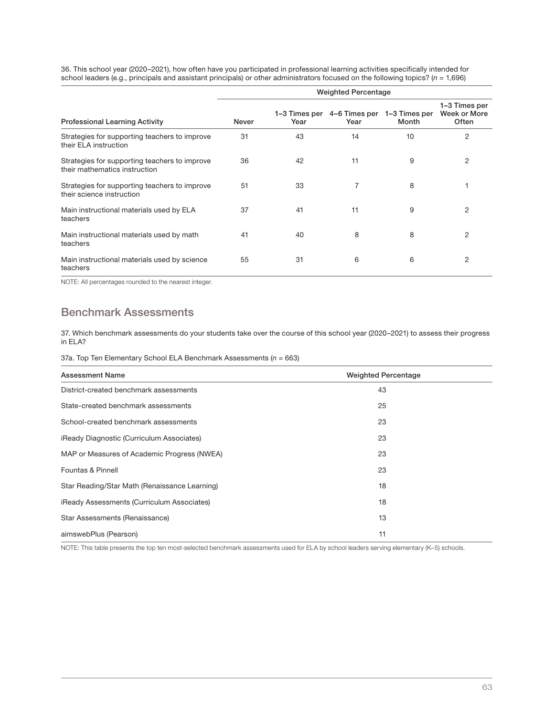36. This school year (2020–2021), how often have you participated in professional learning activities specifically intended for<br>school leaders (e.g., principals and assistant principals) or other administrators focused on

|                                                                                | <b>Weighted Percentage</b> |                       |                       |                        |                                        |  |
|--------------------------------------------------------------------------------|----------------------------|-----------------------|-----------------------|------------------------|----------------------------------------|--|
| <b>Professional Learning Activity</b>                                          | <b>Never</b>               | 1–3 Times per<br>Year | 4–6 Times per<br>Year | 1-3 Times per<br>Month | 1-3 Times per<br>Week or More<br>Often |  |
| Strategies for supporting teachers to improve<br>their ELA instruction         | 31                         | 43                    | 14                    | 10                     | 2                                      |  |
| Strategies for supporting teachers to improve<br>their mathematics instruction | 36                         | 42                    | 11                    | 9                      | 2                                      |  |
| Strategies for supporting teachers to improve<br>their science instruction     | 51                         | 33                    |                       | 8                      |                                        |  |
| Main instructional materials used by ELA<br>teachers                           | 37                         | 41                    | 11                    | 9                      | 2                                      |  |
| Main instructional materials used by math<br>teachers                          | 41                         | 40                    | 8                     | 8                      | 2                                      |  |
| Main instructional materials used by science<br>teachers                       | 55                         | 31                    | 6                     | 6                      | 2                                      |  |

NOTE: All percentages rounded to the nearest integer.

## Benchmark Assessments

37. Which benchmark assessments do your students take over the course of this school year (2020–2021) to assess their progress in ELA?

37a. Top Ten Elementary School ELA Benchmark Assessments ( $n = 663$ )

| <b>Assessment Name</b>                        | <b>Weighted Percentage</b> |
|-----------------------------------------------|----------------------------|
| District-created benchmark assessments        | 43                         |
| State-created benchmark assessments           | 25                         |
| School-created benchmark assessments          | 23                         |
| iReady Diagnostic (Curriculum Associates)     | 23                         |
| MAP or Measures of Academic Progress (NWEA)   | 23                         |
| Fountas & Pinnell                             | 23                         |
| Star Reading/Star Math (Renaissance Learning) | 18                         |
| iReady Assessments (Curriculum Associates)    | 18                         |
| Star Assessments (Renaissance)                | 13                         |
| aimswebPlus (Pearson)                         | 11                         |

NOTE: This table presents the top ten most-selected benchmark assessments used for ELA by school leaders serving elementary (K–5) schools.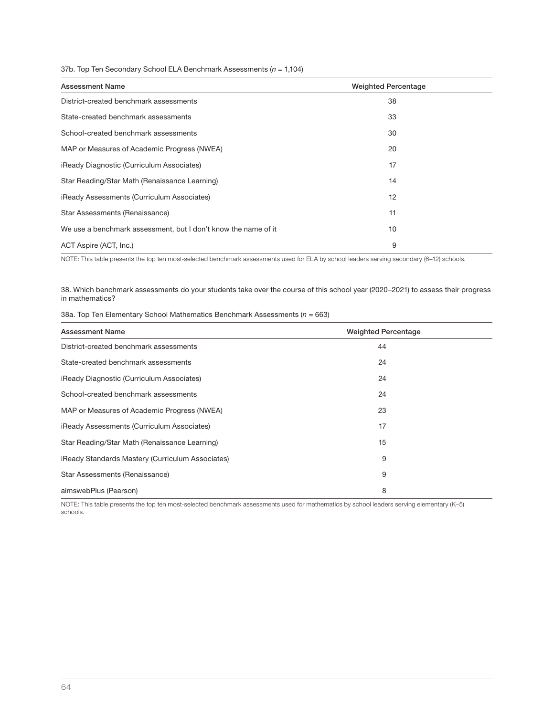### 37b. Top Ten Secondary School ELA Benchmark Assessments ( $n = 1,104$ )

| <b>Assessment Name</b>                                         | <b>Weighted Percentage</b> |
|----------------------------------------------------------------|----------------------------|
| District-created benchmark assessments                         | 38                         |
| State-created benchmark assessments                            | 33                         |
| School-created benchmark assessments                           | 30                         |
| MAP or Measures of Academic Progress (NWEA)                    | 20                         |
| iReady Diagnostic (Curriculum Associates)                      | 17                         |
| Star Reading/Star Math (Renaissance Learning)                  | 14                         |
| iReady Assessments (Curriculum Associates)                     | 12                         |
| Star Assessments (Renaissance)                                 | 11                         |
| We use a benchmark assessment, but I don't know the name of it | 10                         |
| ACT Aspire (ACT, Inc.)                                         | 9                          |

NOTE: This table presents the top ten most-selected benchmark assessments used for ELA by school leaders serving secondary (6-12) schools.

38. Which benchmark assessments do your students take over the course of this school year (2020–2021) to assess their progress in mathematics?

38a. Top Ten Elementary School Mathematics Benchmark Assessments ( $n = 663$ )

| <b>Assessment Name</b>                           | <b>Weighted Percentage</b> |  |
|--------------------------------------------------|----------------------------|--|
| District-created benchmark assessments           | 44                         |  |
| State-created benchmark assessments              | 24                         |  |
| iReady Diagnostic (Curriculum Associates)        | 24                         |  |
| School-created benchmark assessments             | 24                         |  |
| MAP or Measures of Academic Progress (NWEA)      | 23                         |  |
| iReady Assessments (Curriculum Associates)       | 17                         |  |
| Star Reading/Star Math (Renaissance Learning)    | 15                         |  |
| iReady Standards Mastery (Curriculum Associates) | 9                          |  |
| Star Assessments (Renaissance)                   | 9                          |  |
| aimswebPlus (Pearson)                            | 8                          |  |

NOTE: This table presents the top ten most-selected benchmark assessments used for mathematics by school leaders serving elementary (K-5) schools.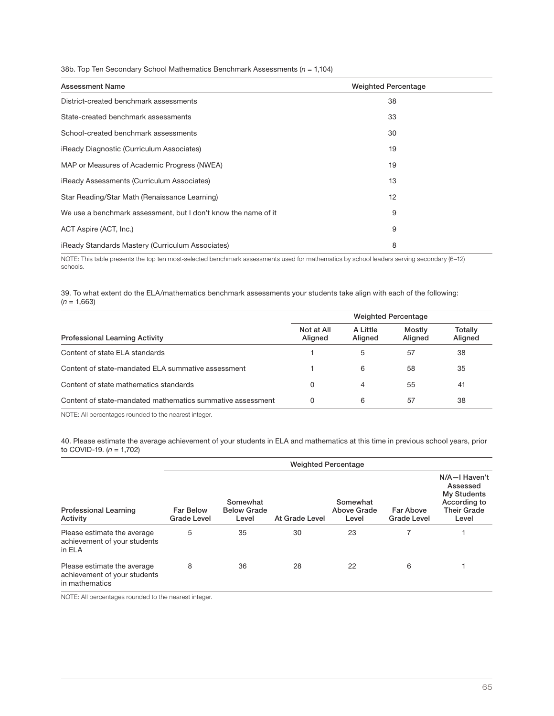38b. Top Ten Secondary School Mathematics Benchmark Assessments ( $n = 1,104$ )

| <b>Assessment Name</b>                                         | <b>Weighted Percentage</b> |
|----------------------------------------------------------------|----------------------------|
| District-created benchmark assessments                         | 38                         |
| State-created benchmark assessments                            | 33                         |
| School-created benchmark assessments                           | 30                         |
| iReady Diagnostic (Curriculum Associates)                      | 19                         |
| MAP or Measures of Academic Progress (NWEA)                    | 19                         |
| <b>iReady Assessments (Curriculum Associates)</b>              | 13                         |
| Star Reading/Star Math (Renaissance Learning)                  | 12                         |
| We use a benchmark assessment, but I don't know the name of it | 9                          |
| ACT Aspire (ACT, Inc.)                                         | 9                          |
| iReady Standards Mastery (Curriculum Associates)               | 8                          |

NOTE: This table presents the top ten most-selected benchmark assessments used for mathematics by school leaders serving secondary (6–12) schools.

39. To what extent do the ELA/mathematics benchmark assessments your students take align with each of the following:  $(n = 1,663)$ 

|                                                            | <b>Weighted Percentage</b> |                     |                   |                    |  |
|------------------------------------------------------------|----------------------------|---------------------|-------------------|--------------------|--|
| <b>Professional Learning Activity</b>                      | Not at All<br>Aligned      | A Little<br>Aligned | Mostly<br>Aligned | Totally<br>Aligned |  |
| Content of state ELA standards                             |                            | 5                   | 57                | 38                 |  |
| Content of state-mandated ELA summative assessment         |                            | 6                   | 58                | 35                 |  |
| Content of state mathematics standards                     | 0                          | 4                   | 55                | 41                 |  |
| Content of state-mandated mathematics summative assessment | 0                          | 6                   | 57                | 38                 |  |

NOTE: All percentages rounded to the nearest integer.

40. Please estimate the average achievement of your students in ELA and mathematics at this time in previous school years, prior to COVID-19.  $(n = 1,702)$ 

|                                                                               | <b>Weighted Percentage</b>             |                                         |                |                                  |                                 |                                                                                                |  |
|-------------------------------------------------------------------------------|----------------------------------------|-----------------------------------------|----------------|----------------------------------|---------------------------------|------------------------------------------------------------------------------------------------|--|
| <b>Professional Learning</b><br>Activity                                      | <b>Far Below</b><br><b>Grade Level</b> | Somewhat<br><b>Below Grade</b><br>Level | At Grade Level | Somewhat<br>Above Grade<br>Level | Far Above<br><b>Grade Level</b> | N/A-I Haven't<br>Assessed<br><b>My Students</b><br>According to<br><b>Their Grade</b><br>Level |  |
| Please estimate the average<br>achievement of your students<br>in ELA         | 5                                      | 35                                      | 30             | 23                               |                                 |                                                                                                |  |
| Please estimate the average<br>achievement of your students<br>in mathematics | 8                                      | 36                                      | 28             | 22                               | 6                               |                                                                                                |  |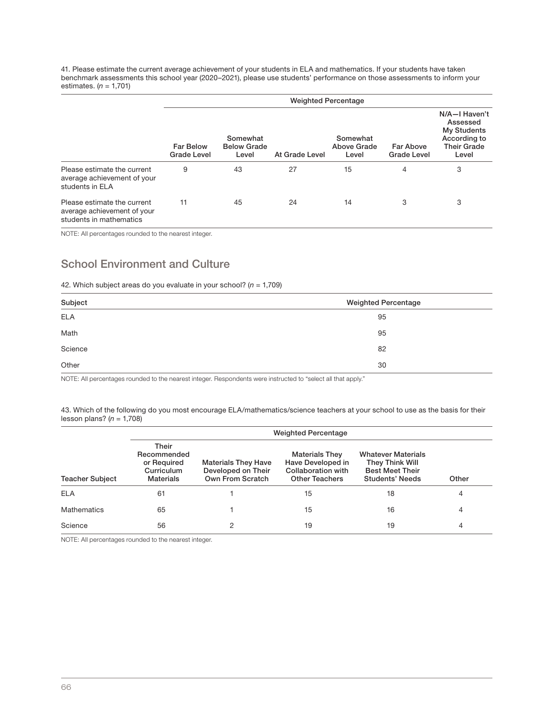41. Please estimate the current average achievement of your students in ELA and mathematics. If your students have taken benchmark assessments this school year (2020–2021), please use students' performance on those assessments to inform your estimates.  $(n = 1,701)$ 

|                                                                                       | <b>Weighted Percentage</b>             |                                         |                |                                  |                                 |                                                                                                |
|---------------------------------------------------------------------------------------|----------------------------------------|-----------------------------------------|----------------|----------------------------------|---------------------------------|------------------------------------------------------------------------------------------------|
|                                                                                       | <b>Far Below</b><br><b>Grade Level</b> | Somewhat<br><b>Below Grade</b><br>Level | At Grade Level | Somewhat<br>Above Grade<br>Level | Far Above<br><b>Grade Level</b> | N/A-I Haven't<br>Assessed<br><b>My Students</b><br>According to<br><b>Their Grade</b><br>Level |
| Please estimate the current<br>average achievement of your<br>students in ELA         | 9                                      | 43                                      | 27             | 15                               | 4                               | 3                                                                                              |
| Please estimate the current<br>average achievement of your<br>students in mathematics | 11                                     | 45                                      | 24             | 14                               | 3                               | 3                                                                                              |

NOTE: All percentages rounded to the nearest integer.

## School Environment and Culture

42. Which subject areas do you evaluate in your school? ( $n = 1,709$ )

| Subject    | <b>Weighted Percentage</b> |
|------------|----------------------------|
| <b>ELA</b> | 95                         |
| Math       | 95                         |
| Science    | 82                         |
| Other      | 30                         |

NOTE: All percentages rounded to the nearest integer. Respondents were instructed to "select all that apply."

43. Which of the following do you most encourage ELA/mathematics/science teachers at your school to use as the basis for their lesson plans?  $(n = 1,708)$ 

|                        | <b>Weighted Percentage</b>                                                                                                                    |   |                                                                                           |                                                                                                  |       |  |  |
|------------------------|-----------------------------------------------------------------------------------------------------------------------------------------------|---|-------------------------------------------------------------------------------------------|--------------------------------------------------------------------------------------------------|-------|--|--|
| <b>Teacher Subject</b> | Their<br>Recommended<br>or Required<br><b>Materials They Have</b><br>Developed on Their<br>Curriculum<br>Own From Scratch<br><b>Materials</b> |   | <b>Materials They</b><br>Have Developed in<br>Collaboration with<br><b>Other Teachers</b> | <b>Whatever Materials</b><br>They Think Will<br><b>Best Meet Their</b><br><b>Students' Needs</b> | Other |  |  |
| <b>ELA</b>             | 61                                                                                                                                            |   | 15                                                                                        | 18                                                                                               | 4     |  |  |
| <b>Mathematics</b>     | 65                                                                                                                                            |   | 15                                                                                        | 16                                                                                               | 4     |  |  |
| Science                | 56                                                                                                                                            | 2 | 19                                                                                        | 19                                                                                               | 4     |  |  |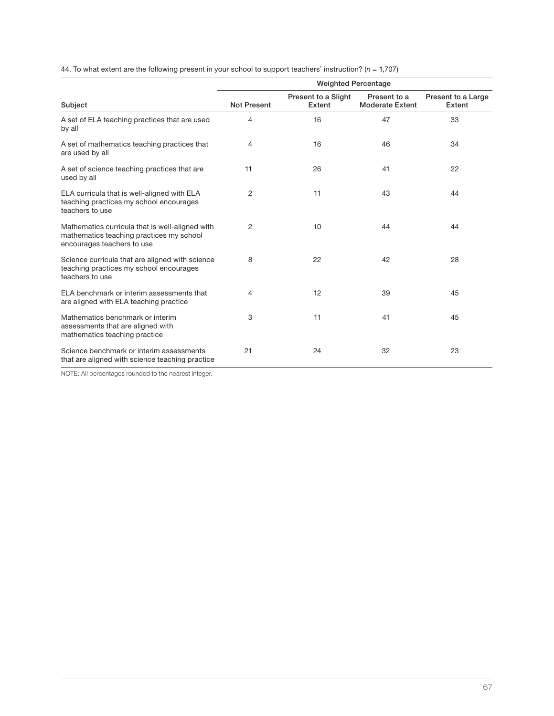|                                                                                                                           | <b>Weighted Percentage</b> |                               |                                        |                              |  |  |
|---------------------------------------------------------------------------------------------------------------------------|----------------------------|-------------------------------|----------------------------------------|------------------------------|--|--|
| Subject                                                                                                                   | <b>Not Present</b>         | Present to a Slight<br>Extent | Present to a<br><b>Moderate Extent</b> | Present to a Large<br>Extent |  |  |
| A set of ELA teaching practices that are used<br>by all                                                                   | 4                          | 16                            | 47                                     | 33                           |  |  |
| A set of mathematics teaching practices that<br>are used by all                                                           | 4                          | 16                            | 46                                     | 34                           |  |  |
| A set of science teaching practices that are<br>used by all                                                               | 11                         | 26                            | 41                                     | 22                           |  |  |
| ELA curricula that is well-aligned with ELA<br>teaching practices my school encourages<br>teachers to use                 | 2                          | 11                            | 43                                     | 44                           |  |  |
| Mathematics curricula that is well-aligned with<br>mathematics teaching practices my school<br>encourages teachers to use | 2                          | 10                            | 44                                     | 44                           |  |  |
| Science curricula that are aligned with science<br>teaching practices my school encourages<br>teachers to use             | 8                          | 22                            | 42                                     | 28                           |  |  |
| ELA benchmark or interim assessments that<br>are aligned with ELA teaching practice                                       | 4                          | 12                            | 39                                     | 45                           |  |  |
| Mathematics benchmark or interim<br>assessments that are aligned with<br>mathematics teaching practice                    | 3                          | 11                            | 41                                     | 45                           |  |  |
| Science benchmark or interim assessments<br>that are aligned with science teaching practice                               | 21                         | 24                            | 32                                     | 23                           |  |  |

44. To what extent are the following present in your school to support teachers' instruction? ( $n = 1,707$ )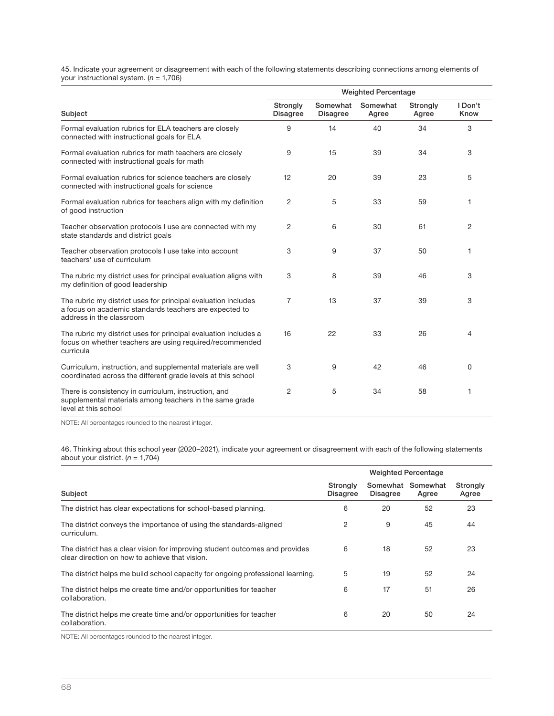45. Indicate your agreement or disagreement with each of the following statements describing connections among elements of<br>your instructional system. (*n =* 1,706)

|                                                                                                                                                     | <b>Weighted Percentage</b>  |                             |                   |                   |                 |  |
|-----------------------------------------------------------------------------------------------------------------------------------------------------|-----------------------------|-----------------------------|-------------------|-------------------|-----------------|--|
| Subject                                                                                                                                             | Strongly<br><b>Disagree</b> | Somewhat<br><b>Disagree</b> | Somewhat<br>Agree | Strongly<br>Agree | I Don't<br>Know |  |
| Formal evaluation rubrics for ELA teachers are closely<br>connected with instructional goals for ELA                                                | 9                           | 14                          | 40                | 34                | 3               |  |
| Formal evaluation rubrics for math teachers are closely<br>connected with instructional goals for math                                              | 9                           | 15                          | 39                | 34                | 3               |  |
| Formal evaluation rubrics for science teachers are closely<br>connected with instructional goals for science                                        | 12                          | 20                          | 39                | 23                | 5               |  |
| Formal evaluation rubrics for teachers align with my definition<br>of good instruction                                                              | 2                           | 5                           | 33                | 59                | 1               |  |
| Teacher observation protocols I use are connected with my<br>state standards and district goals                                                     | $\overline{c}$              | 6                           | 30                | 61                | 2               |  |
| Teacher observation protocols I use take into account<br>teachers' use of curriculum                                                                | 3                           | 9                           | 37                | 50                | 1               |  |
| The rubric my district uses for principal evaluation aligns with<br>my definition of good leadership                                                | 3                           | 8                           | 39                | 46                | 3               |  |
| The rubric my district uses for principal evaluation includes<br>a focus on academic standards teachers are expected to<br>address in the classroom | 7                           | 13                          | 37                | 39                | 3               |  |
| The rubric my district uses for principal evaluation includes a<br>focus on whether teachers are using required/recommended<br>curricula            | 16                          | 22                          | 33                | 26                | $\overline{4}$  |  |
| Curriculum, instruction, and supplemental materials are well<br>coordinated across the different grade levels at this school                        | 3                           | 9                           | 42                | 46                | $\Omega$        |  |
| There is consistency in curriculum, instruction, and<br>supplemental materials among teachers in the same grade<br>level at this school             | $\overline{c}$              | 5                           | 34                | 58                | 1               |  |

NOTE: All percentages rounded to the nearest integer.

46. Thinking about this school year (2020–2021), indicate your agreement or disagreement with each of the following statements<br>about your district. (*n =* 1,704)

|                                                                                                                               | <b>Weighted Percentage</b>  |                             |                   |                   |  |
|-------------------------------------------------------------------------------------------------------------------------------|-----------------------------|-----------------------------|-------------------|-------------------|--|
| Subject                                                                                                                       | Strongly<br><b>Disagree</b> | Somewhat<br><b>Disagree</b> | Somewhat<br>Agree | Strongly<br>Agree |  |
| The district has clear expectations for school-based planning.                                                                | 6                           | 20                          | 52                | 23                |  |
| The district conveys the importance of using the standards-aligned<br>curriculum.                                             | 2                           | 9                           | 45                | 44                |  |
| The district has a clear vision for improving student outcomes and provides<br>clear direction on how to achieve that vision. | 6                           | 18                          | 52                | 23                |  |
| The district helps me build school capacity for ongoing professional learning.                                                | 5                           | 19                          | 52                | 24                |  |
| The district helps me create time and/or opportunities for teacher<br>collaboration.                                          | 6                           | 17                          | 51                | 26                |  |
| The district helps me create time and/or opportunities for teacher<br>collaboration.                                          | 6                           | 20                          | 50                | 24                |  |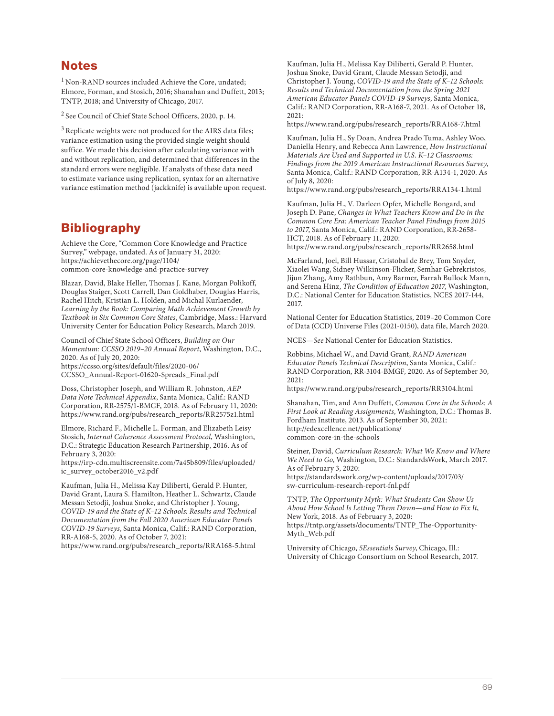## **Notes**

 $1^1$  Non-RAND sources included Achieve the Core, undated; Elmore, Forman, and Stosich, 2016; Shanahan and Duffett, 2013; TNTP, 2018; and University of Chicago, 2017.

2 See Council of Chief State School Officers, 2020, p. 14.

<sup>3</sup> Replicate weights were not produced for the AIRS data files; variance estimation using the provided single weight should suffice. We made this decision after calculating variance with and without replication, and determined that differences in the standard errors were negligible. If analysts of these data need to estimate variance using replication, syntax for an alternative variance estimation method (jackknife) is available upon request.

Achieve the Core, "Common Core Knowledge and Practice Survey," webpage, undated. As of January 31, 2020: https://achievethecore.org/page/1104/ [common-core-knowledge-and-practice-survey](https://achievethecore.org/page/1104/common-core-knowledge-and-practice-survey)

Blazar, David, Blake Heller, Thomas J. Kane, Morgan Polikoff, Douglas Staiger, Scott Carrell, Dan Goldhaber, Douglas Harris, Rachel Hitch, Kristian L. Holden, and Michal Kurlaender, Learning by the Book: Comparing Math Achievement Growth by Textbook in Six Common Core States, Cambridge, Mass.: Harvard University Center for Education Policy Research, March 2019.

Council of Chief State School Officers, Building on Our Momentum: CCSSO 2019–20 Annual Report, Washington, D.C., 2020. As of July 20, 2020: https://ccsso.org/sites/default/files/2020-06/ [CCSSO\\_Annual-Report-01620-Spreads\\_Final.pdf](https://ccsso.org/sites/default/files/2020-06/CCSSO_Annual-Report-01620-Spreads_Final.pdf)

Doss, Christopher Joseph, and William R. Johnston, AEP Data Note Technical Appendix, Santa Monica, Calif.: RAND Corporation, RR-2575/1-BMGF, 2018. As of February 11, 2020: [https://www.rand.org/pubs/research\\_reports/RR2575z1.html](https://www.rand.org/pubs/research_reports/RR2575z1.html)

Elmore, Richard F., Michelle L. Forman, and Elizabeth Leisy Stosich, Internal Coherence Assessment Protocol, Washington, D.C.: Strategic Education Research Partnership, 2016. As of February 3, 2020:

[https://irp-cdn.multiscreensite.com/7a45b809/files/uploaded/](https://irp-cdn.multiscreensite.com/7a45b809/files/uploaded/ic_survey_october2016_v2.pdf) ic\_survey\_october2016\_v2.pdf

Kaufman, Julia H., Melissa Kay Diliberti, Gerald P. Hunter, David Grant, Laura S. Hamilton, Heather L. Schwartz, Claude Messan Setodji, Joshua Snoke, and Christopher J. Young, COVID-19 and the State of K–12 Schools: Results and Technical Documentation from the Fall 2020 American Educator Panels COVID-19 Surveys, Santa Monica, Calif.: RAND Corporation, RR-A168-5, 2020. As of October 7, 2021:

[https://www.rand.org/pubs/research\\_reports/RRA168-5.html](https://www.rand.org/pubs/research_reports/RRA168-5.html)

Kaufman, Julia H., Melissa Kay Diliberti, Gerald P. Hunter, Joshua Snoke, David Grant, Claude Messan Setodji, and Christopher J. Young, COVID-19 and the State of K–12 Schools: Results and Technical Documentation from the Spring 2021 American Educator Panels COVID-19 Surveys, Santa Monica, Calif.: RAND Corporation, RR-A168-7, 2021. As of October 18,  $2021$ 

[https://www.rand.org/pubs/research\\_reports/RRA168-7.html](https://www.rand.org/pubs/research_reports/RRA168-7.html)

Kaufman, Julia H., Sy Doan, Andrea Prado Tuma, Ashley Woo, Daniella Henry, and Rebecca Ann Lawrence, How Instructional Materials Are Used and Supported in U.S. K-12 Classrooms: Findings from the 2019 American Instructional Resources Survey, Santa Monica, Calif.: RAND Corporation, RR-A134-1, 2020. As of July 8, 2020:

[https://www.rand.org/pubs/research\\_reports/RRA134-1.html](https://www.rand.org/pubs/research_reports/RRA134-1.html)

Kaufman, Julia H., V. Darleen Opfer, Michelle Bongard, and Joseph D. Pane, Changes in What Teachers Know and Do in the Common Core Era: American Teacher Panel Findings from 2015 to 2017, Santa Monica, Calif.: RAND Corporation, RR-2658- HCT, 2018. As of February 11, 2020:

[https://www.rand.org/pubs/research\\_reports/RR2658.html](https://www.rand.org/pubs/research_reports/RR2658.html)

McFarland, Joel, Bill Hussar, Cristobal de Brey, Tom Snyder, Xiaolei Wang, Sidney Wilkinson-Flicker, Semhar Gebrekristos, Jijun Zhang, Amy Rathbun, Amy Barmer, Farrah Bullock Mann, and Serena Hinz, The Condition of Education 2017, Washington, D.C.: National Center for Education Statistics, NCES 2017-144, 2017.

National Center for Education Statistics, 2019–20 Common Core of Data (CCD) Universe Files (2021-0150), data file, March 2020.

NCES—See National Center for Education Statistics.

Robbins, Michael W., and David Grant, RAND American Educator Panels Technical Description, Santa Monica, Calif.: RAND Corporation, RR-3104-BMGF, 2020. As of September 30, 2021:

[https://www.rand.org/pubs/research\\_reports/RR3104.html](https://www.rand.org/pubs/research_reports/RR3104.html)

Shanahan, Tim, and Ann Duffett, Common Core in the Schools: A First Look at Reading Assignments, Washington, D.C.: Thomas B. Fordham Institute, 2013. As of September 30, 2021: [http://edexcellence.net/publications/](http://edexcellence.net/publications/common-core-in-the-schools)  common-core-in-the-schools

Steiner, David, Curriculum Research: What We Know and Where We Need to Go, Washington, D.C.: StandardsWork, March 2017. As of February 3, 2020: [https://standardswork.org/wp-content/uploads/2017/03/](https://standardswork.org/wp-content/uploads/2017/03/sw-curriculum-research-report-fnl.pdf) 

sw-curriculum-research-report-fnl.pdf

TNTP, The Opportunity Myth: What Students Can Show Us About How School Is Letting Them Down—and How to Fix It, New York, 2018. As of February 3, 2020: [https://tntp.org/assets/documents/TNTP\\_The-Opportunity-](https://tntp.org/assets/documents/TNTP_The-Opportunity-Myth_Web.pdf)Myth\_Web.pdf

University of Chicago, 5Essentials Survey, Chicago, Ill.: University of Chicago Consortium on School Research, 2017.